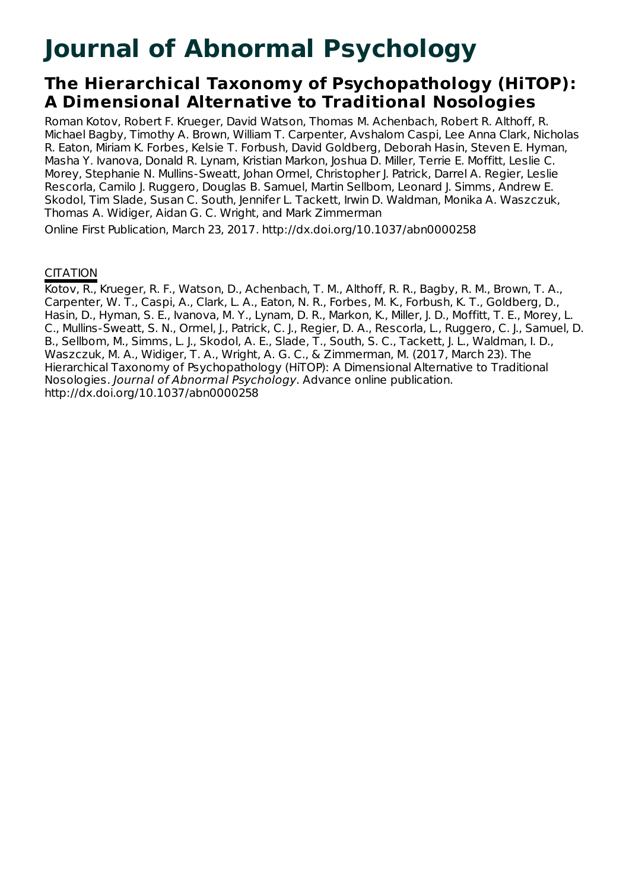# **Journal of Abnormal Psychology**

## **The Hierarchical Taxonomy of Psychopathology (HiTOP): A Dimensional Alternative to Traditional Nosologies**

Roman Kotov, Robert F. Krueger, David Watson, Thomas M. Achenbach, Robert R. Althoff, R. Michael Bagby, Timothy A. Brown, William T. Carpenter, Avshalom Caspi, Lee Anna Clark, Nicholas R. Eaton, Miriam K. Forbes, Kelsie T. Forbush, David Goldberg, Deborah Hasin, Steven E. Hyman, Masha Y. Ivanova, Donald R. Lynam, Kristian Markon, Joshua D. Miller, Terrie E. Moffitt, Leslie C. Morey, Stephanie N. Mullins-Sweatt, Johan Ormel, Christopher J. Patrick, Darrel A. Regier, Leslie Rescorla, Camilo J. Ruggero, Douglas B. Samuel, Martin Sellbom, Leonard J. Simms, Andrew E. Skodol, Tim Slade, Susan C. South, Jennifer L. Tackett, Irwin D. Waldman, Monika A. Waszczuk, Thomas A. Widiger, Aidan G. C. Wright, and Mark Zimmerman

Online First Publication, March 23, 2017. http://dx.doi.org/10.1037/abn0000258

### **CITATION**

Kotov, R., Krueger, R. F., Watson, D., Achenbach, T. M., Althoff, R. R., Bagby, R. M., Brown, T. A., Carpenter, W. T., Caspi, A., Clark, L. A., Eaton, N. R., Forbes, M. K., Forbush, K. T., Goldberg, D., Hasin, D., Hyman, S. E., Ivanova, M. Y., Lynam, D. R., Markon, K., Miller, J. D., Moffitt, T. E., Morey, L. C., Mullins-Sweatt, S. N., Ormel, J., Patrick, C. J., Regier, D. A., Rescorla, L., Ruggero, C. J., Samuel, D. B., Sellbom, M., Simms, L. J., Skodol, A. E., Slade, T., South, S. C., Tackett, J. L., Waldman, I. D., Waszczuk, M. A., Widiger, T. A., Wright, A. G. C., & Zimmerman, M. (2017, March 23). The Hierarchical Taxonomy of Psychopathology (HiTOP): A Dimensional Alternative to Traditional Nosologies. Journal of Abnormal Psychology. Advance online publication. http://dx.doi.org/10.1037/abn0000258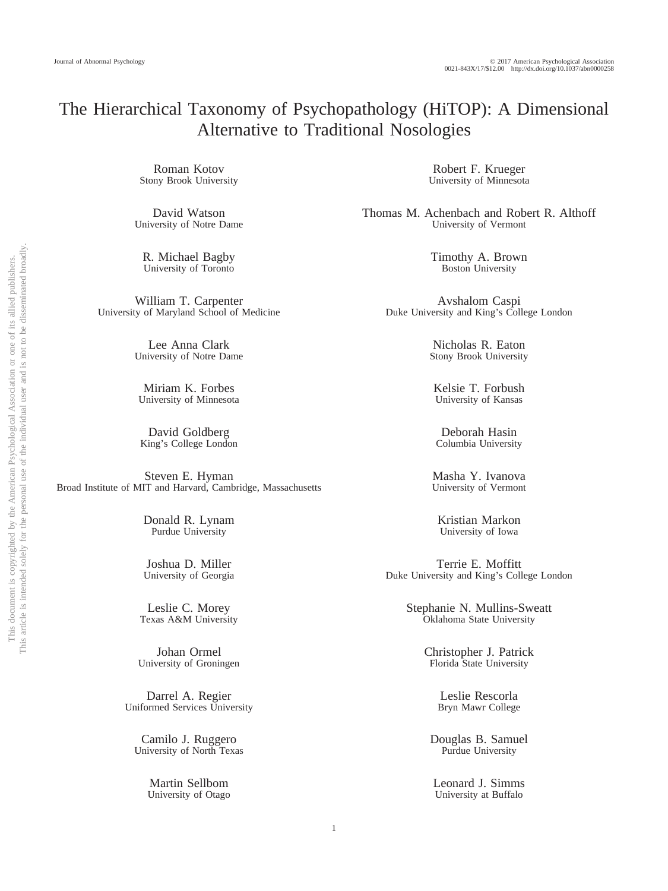## The Hierarchical Taxonomy of Psychopathology (HiTOP): A Dimensional Alternative to Traditional Nosologies

Roman Kotov Stony Brook University

David Watson University of Notre Dame

R. Michael Bagby University of Toronto

William T. Carpenter University of Maryland School of Medicine

> Lee Anna Clark University of Notre Dame

Miriam K. Forbes University of Minnesota

David Goldberg King's College London

Steven E. Hyman Broad Institute of MIT and Harvard, Cambridge, Massachusetts

> Donald R. Lynam Purdue University

> Joshua D. Miller University of Georgia

Leslie C. Morey Texas A&M University

Johan Ormel University of Groningen

Darrel A. Regier Uniformed Services University

Camilo J. Ruggero University of North Texas

> Martin Sellbom University of Otago

Robert F. Krueger University of Minnesota

Thomas M. Achenbach and Robert R. Althoff University of Vermont

> Timothy A. Brown Boston University

Avshalom Caspi Duke University and King's College London

> Nicholas R. Eaton Stony Brook University

Kelsie T. Forbush University of Kansas

Deborah Hasin Columbia University

Masha Y. Ivanova University of Vermont

Kristian Markon University of Iowa

Terrie E. Moffitt Duke University and King's College London

> Stephanie N. Mullins-Sweatt Oklahoma State University

> > Christopher J. Patrick Florida State University

> > > Leslie Rescorla Bryn Mawr College

Douglas B. Samuel Purdue University

Leonard J. Simms University at Buffalo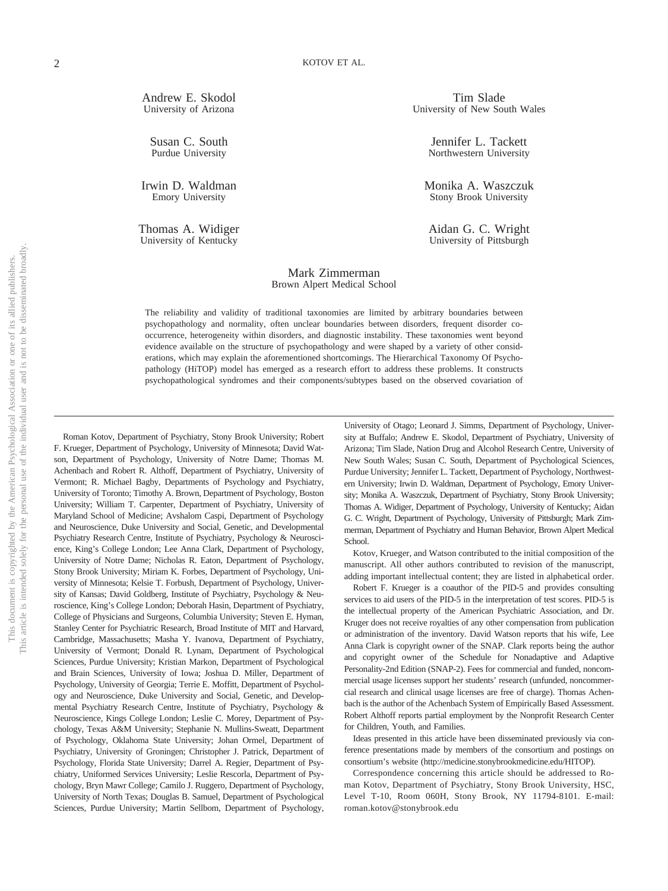Andrew E. Skodol University of Arizona

Susan C. South Purdue University

Irwin D. Waldman Emory University

Thomas A. Widiger University of Kentucky

#### Tim Slade University of New South Wales

Jennifer L. Tackett Northwestern University

Monika A. Waszczuk Stony Brook University

Aidan G. C. Wright University of Pittsburgh

#### Mark Zimmerman Brown Alpert Medical School

The reliability and validity of traditional taxonomies are limited by arbitrary boundaries between psychopathology and normality, often unclear boundaries between disorders, frequent disorder cooccurrence, heterogeneity within disorders, and diagnostic instability. These taxonomies went beyond evidence available on the structure of psychopathology and were shaped by a variety of other considerations, which may explain the aforementioned shortcomings. The Hierarchical Taxonomy Of Psychopathology (HiTOP) model has emerged as a research effort to address these problems. It constructs psychopathological syndromes and their components/subtypes based on the observed covariation of

Roman Kotov, Department of Psychiatry, Stony Brook University; Robert F. Krueger, Department of Psychology, University of Minnesota; David Watson, Department of Psychology, University of Notre Dame; Thomas M. Achenbach and Robert R. Althoff, Department of Psychiatry, University of Vermont; R. Michael Bagby, Departments of Psychology and Psychiatry, University of Toronto; Timothy A. Brown, Department of Psychology, Boston University; William T. Carpenter, Department of Psychiatry, University of Maryland School of Medicine; Avshalom Caspi, Department of Psychology and Neuroscience, Duke University and Social, Genetic, and Developmental Psychiatry Research Centre, Institute of Psychiatry, Psychology & Neuroscience, King's College London; Lee Anna Clark, Department of Psychology, University of Notre Dame; Nicholas R. Eaton, Department of Psychology, Stony Brook University; Miriam K. Forbes, Department of Psychology, University of Minnesota; Kelsie T. Forbush, Department of Psychology, University of Kansas; David Goldberg, Institute of Psychiatry, Psychology & Neuroscience, King's College London; Deborah Hasin, Department of Psychiatry, College of Physicians and Surgeons, Columbia University; Steven E. Hyman, Stanley Center for Psychiatric Research, Broad Institute of MIT and Harvard, Cambridge, Massachusetts; Masha Y. Ivanova, Department of Psychiatry, University of Vermont; Donald R. Lynam, Department of Psychological Sciences, Purdue University; Kristian Markon, Department of Psychological and Brain Sciences, University of Iowa; Joshua D. Miller, Department of Psychology, University of Georgia; Terrie E. Moffitt, Department of Psychology and Neuroscience, Duke University and Social, Genetic, and Developmental Psychiatry Research Centre, Institute of Psychiatry, Psychology & Neuroscience, Kings College London; Leslie C. Morey, Department of Psychology, Texas A&M University; Stephanie N. Mullins-Sweatt, Department of Psychology, Oklahoma State University; Johan Ormel, Department of Psychiatry, University of Groningen; Christopher J. Patrick, Department of Psychology, Florida State University; Darrel A. Regier, Department of Psychiatry, Uniformed Services University; Leslie Rescorla, Department of Psychology, Bryn Mawr College; Camilo J. Ruggero, Department of Psychology, University of North Texas; Douglas B. Samuel, Department of Psychological Sciences, Purdue University; Martin Sellbom, Department of Psychology,

University of Otago; Leonard J. Simms, Department of Psychology, University at Buffalo; Andrew E. Skodol, Department of Psychiatry, University of Arizona; Tim Slade, Nation Drug and Alcohol Research Centre, University of New South Wales; Susan C. South, Department of Psychological Sciences, Purdue University; Jennifer L. Tackett, Department of Psychology, Northwestern University; Irwin D. Waldman, Department of Psychology, Emory University; Monika A. Waszczuk, Department of Psychiatry, Stony Brook University; Thomas A. Widiger, Department of Psychology, University of Kentucky; Aidan G. C. Wright, Department of Psychology, University of Pittsburgh; Mark Zimmerman, Department of Psychiatry and Human Behavior, Brown Alpert Medical School.

Kotov, Krueger, and Watson contributed to the initial composition of the manuscript. All other authors contributed to revision of the manuscript, adding important intellectual content; they are listed in alphabetical order.

Robert F. Krueger is a coauthor of the PID-5 and provides consulting services to aid users of the PID-5 in the interpretation of test scores. PID-5 is the intellectual property of the American Psychiatric Association, and Dr. Kruger does not receive royalties of any other compensation from publication or administration of the inventory. David Watson reports that his wife, Lee Anna Clark is copyright owner of the SNAP. Clark reports being the author and copyright owner of the Schedule for Nonadaptive and Adaptive Personality-2nd Edition (SNAP-2). Fees for commercial and funded, noncommercial usage licenses support her students' research (unfunded, noncommercial research and clinical usage licenses are free of charge). Thomas Achenbach is the author of the Achenbach System of Empirically Based Assessment. Robert Althoff reports partial employment by the Nonprofit Research Center for Children, Youth, and Families.

Ideas presented in this article have been disseminated previously via conference presentations made by members of the consortium and postings on consortium's website [\(http://medicine.stonybrookmedicine.edu/HITOP\)](http://medicine.stonybrookmedicine.edu/HITOP).

Correspondence concerning this article should be addressed to Roman Kotov, Department of Psychiatry, Stony Brook University, HSC, Level T-10, Room 060H, Stony Brook, NY 11794-8101. E-mail: [roman.kotov@stonybrook.edu](mailto:roman.kotov@stonybrook.edu)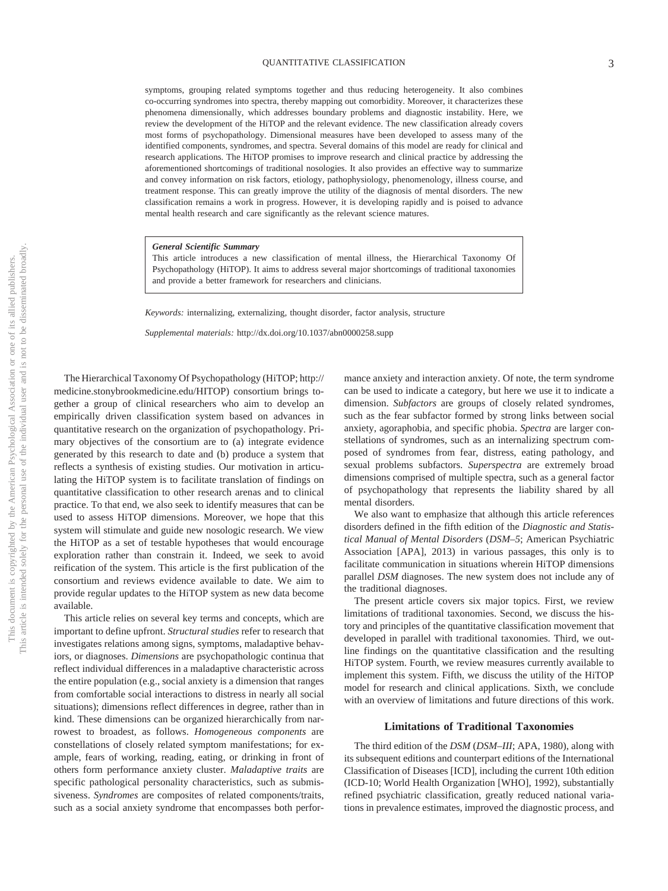#### QUANTITATIVE CLASSIFICATION 3

symptoms, grouping related symptoms together and thus reducing heterogeneity. It also combines co-occurring syndromes into spectra, thereby mapping out comorbidity. Moreover, it characterizes these phenomena dimensionally, which addresses boundary problems and diagnostic instability. Here, we review the development of the HiTOP and the relevant evidence. The new classification already covers most forms of psychopathology. Dimensional measures have been developed to assess many of the identified components, syndromes, and spectra. Several domains of this model are ready for clinical and research applications. The HiTOP promises to improve research and clinical practice by addressing the aforementioned shortcomings of traditional nosologies. It also provides an effective way to summarize and convey information on risk factors, etiology, pathophysiology, phenomenology, illness course, and treatment response. This can greatly improve the utility of the diagnosis of mental disorders. The new classification remains a work in progress. However, it is developing rapidly and is poised to advance mental health research and care significantly as the relevant science matures.

*General Scientific Summary*

This article introduces a new classification of mental illness, the Hierarchical Taxonomy Of Psychopathology (HiTOP). It aims to address several major shortcomings of traditional taxonomies and provide a better framework for researchers and clinicians.

*Keywords:* internalizing, externalizing, thought disorder, factor analysis, structure

*Supplemental materials:* http://dx.doi.org/10.1037/abn0000258.supp

The Hierarchical Taxonomy Of Psychopathology (HiTOP[; http://](http://medicine.stonybrookmedicine.edu/HITOP) [medicine.stonybrookmedicine.edu/HITOP\)](http://medicine.stonybrookmedicine.edu/HITOP) consortium brings together a group of clinical researchers who aim to develop an empirically driven classification system based on advances in quantitative research on the organization of psychopathology. Primary objectives of the consortium are to (a) integrate evidence generated by this research to date and (b) produce a system that reflects a synthesis of existing studies. Our motivation in articulating the HiTOP system is to facilitate translation of findings on quantitative classification to other research arenas and to clinical practice. To that end, we also seek to identify measures that can be used to assess HiTOP dimensions. Moreover, we hope that this system will stimulate and guide new nosologic research. We view the HiTOP as a set of testable hypotheses that would encourage exploration rather than constrain it. Indeed, we seek to avoid reification of the system. This article is the first publication of the consortium and reviews evidence available to date. We aim to provide regular updates to the HiTOP system as new data become available.

This article relies on several key terms and concepts, which are important to define upfront. *Structural studies* refer to research that investigates relations among signs, symptoms, maladaptive behaviors, or diagnoses. *Dimensions* are psychopathologic continua that reflect individual differences in a maladaptive characteristic across the entire population (e.g., social anxiety is a dimension that ranges from comfortable social interactions to distress in nearly all social situations); dimensions reflect differences in degree, rather than in kind. These dimensions can be organized hierarchically from narrowest to broadest, as follows. *Homogeneous components* are constellations of closely related symptom manifestations; for example, fears of working, reading, eating, or drinking in front of others form performance anxiety cluster. *Maladaptive traits* are specific pathological personality characteristics, such as submissiveness. *Syndromes* are composites of related components/traits, such as a social anxiety syndrome that encompasses both perfor-

mance anxiety and interaction anxiety. Of note, the term syndrome can be used to indicate a category, but here we use it to indicate a dimension. *Subfactors* are groups of closely related syndromes, such as the fear subfactor formed by strong links between social anxiety, agoraphobia, and specific phobia. *Spectra* are larger constellations of syndromes, such as an internalizing spectrum composed of syndromes from fear, distress, eating pathology, and sexual problems subfactors. *Superspectra* are extremely broad dimensions comprised of multiple spectra, such as a general factor of psychopathology that represents the liability shared by all mental disorders.

We also want to emphasize that although this article references disorders defined in the fifth edition of the *Diagnostic and Statistical Manual of Mental Disorders* (*DSM–5*; American Psychiatric Association [APA], 2013) in various passages, this only is to facilitate communication in situations wherein HiTOP dimensions parallel *DSM* diagnoses. The new system does not include any of the traditional diagnoses.

The present article covers six major topics. First, we review limitations of traditional taxonomies. Second, we discuss the history and principles of the quantitative classification movement that developed in parallel with traditional taxonomies. Third, we outline findings on the quantitative classification and the resulting HiTOP system. Fourth, we review measures currently available to implement this system. Fifth, we discuss the utility of the HiTOP model for research and clinical applications. Sixth, we conclude with an overview of limitations and future directions of this work.

#### **Limitations of Traditional Taxonomies**

The third edition of the *DSM* (*DSM–III*; APA, 1980), along with its subsequent editions and counterpart editions of the International Classification of Diseases [ICD], including the current 10th edition (ICD-10; World Health Organization [WHO], 1992), substantially refined psychiatric classification, greatly reduced national variations in prevalence estimates, improved the diagnostic process, and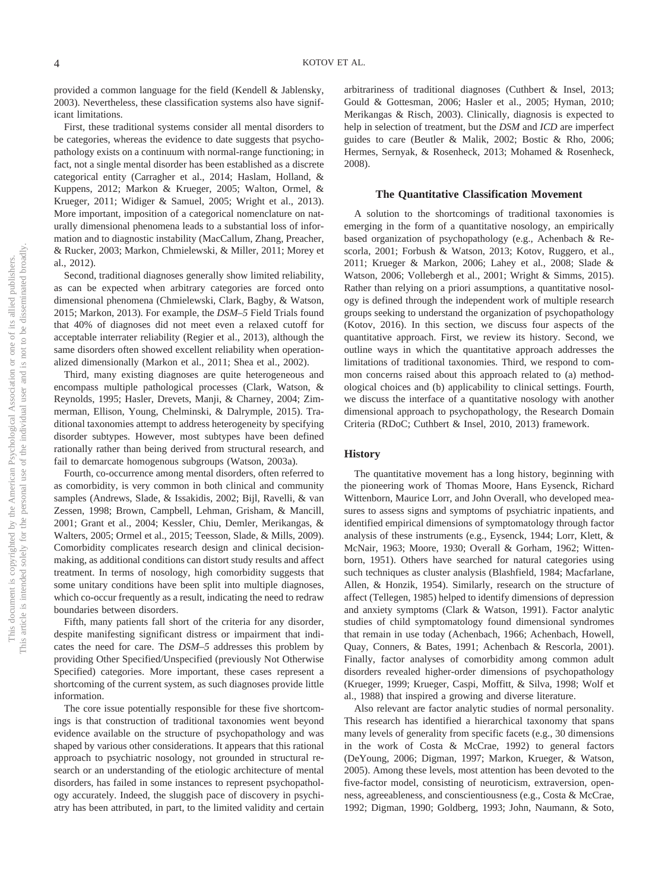provided a common language for the field (Kendell & Jablensky, 2003). Nevertheless, these classification systems also have significant limitations.

First, these traditional systems consider all mental disorders to be categories, whereas the evidence to date suggests that psychopathology exists on a continuum with normal-range functioning; in fact, not a single mental disorder has been established as a discrete categorical entity (Carragher et al., 2014; [Haslam, Holland, &](#page-19-0) [Kuppens, 2012;](#page-19-0) Markon & Krueger, 2005; Walton, Ormel, & Krueger, 2011; Widiger & Samuel, 2005; Wright et al., 2013). More important, imposition of a categorical nomenclature on naturally dimensional phenomena leads to a substantial loss of information and to diagnostic instability (MacCallum, Zhang, Preacher, & Rucker, 2003; Markon, Chmielewski, & Miller, 2011; Morey et al., 2012).

Second, traditional diagnoses generally show limited reliability, as can be expected when arbitrary categories are forced onto dimensional phenomena (Chmielewski, Clark, Bagby, & Watson, 2015; Markon, 2013). For example, the *DSM–5* Field Trials found that 40% of diagnoses did not meet even a relaxed cutoff for acceptable interrater reliability (Regier et al., 2013), although the same disorders often showed excellent reliability when operationalized dimensionally (Markon et al., 2011; Shea et al., 2002).

Third, many existing diagnoses are quite heterogeneous and encompass multiple pathological processes (Clark, Watson, & Reynolds, 1995; Hasler, Drevets, Manji, & Charney, 2004; Zimmerman, Ellison, Young, Chelminski, & Dalrymple, 2015). Traditional taxonomies attempt to address heterogeneity by specifying disorder subtypes. However, most subtypes have been defined rationally rather than being derived from structural research, and fail to demarcate homogenous subgroups (Watson, 2003a).

Fourth, co-occurrence among mental disorders, often referred to as comorbidity, is very common in both clinical and community samples (Andrews, Slade, & Issakidis, 2002; Bijl, Ravelli, & van Zessen, 1998; Brown, Campbell, Lehman, Grisham, & Mancill, 2001; Grant et al., 2004; Kessler, Chiu, Demler, Merikangas, & Walters, 2005; Ormel et al., 2015; Teesson, Slade, & Mills, 2009). Comorbidity complicates research design and clinical decisionmaking, as additional conditions can distort study results and affect treatment. In terms of nosology, high comorbidity suggests that some unitary conditions have been split into multiple diagnoses, which co-occur frequently as a result, indicating the need to redraw boundaries between disorders.

Fifth, many patients fall short of the criteria for any disorder, despite manifesting significant distress or impairment that indicates the need for care. The *DSM–5* addresses this problem by providing Other Specified/Unspecified (previously Not Otherwise Specified) categories. More important, these cases represent a shortcoming of the current system, as such diagnoses provide little information.

The core issue potentially responsible for these five shortcomings is that construction of traditional taxonomies went beyond evidence available on the structure of psychopathology and was shaped by various other considerations. It appears that this rational approach to psychiatric nosology, not grounded in structural research or an understanding of the etiologic architecture of mental disorders, has failed in some instances to represent psychopathology accurately. Indeed, the sluggish pace of discovery in psychiatry has been attributed, in part, to the limited validity and certain arbitrariness of traditional diagnoses (Cuthbert & Insel, 2013; Gould & Gottesman, 2006; Hasler et al., 2005; Hyman, 2010; Merikangas & Risch, 2003). Clinically, diagnosis is expected to help in selection of treatment, but the *DSM* and *ICD* are imperfect guides to care (Beutler & Malik, 2002; Bostic & Rho, 2006; Hermes, Sernyak, & Rosenheck, 2013; Mohamed & Rosenheck, 2008).

#### **The Quantitative Classification Movement**

A solution to the shortcomings of traditional taxonomies is emerging in the form of a quantitative nosology, an empirically based organization of psychopathology (e.g., Achenbach & Rescorla, 2001; Forbush & Watson, 2013; Kotov, Ruggero, et al., 2011; Krueger & Markon, 2006; Lahey et al., 2008; Slade & Watson, 2006; Vollebergh et al., 2001; Wright & Simms, 2015). Rather than relying on a priori assumptions, a quantitative nosology is defined through the independent work of multiple research groups seeking to understand the organization of psychopathology (Kotov, 2016). In this section, we discuss four aspects of the quantitative approach. First, we review its history. Second, we outline ways in which the quantitative approach addresses the limitations of traditional taxonomies. Third, we respond to common concerns raised about this approach related to (a) methodological choices and (b) applicability to clinical settings. Fourth, we discuss the interface of a quantitative nosology with another dimensional approach to psychopathology, the Research Domain Criteria (RDoC; Cuthbert & Insel, 2010, 2013) framework.

#### **History**

The quantitative movement has a long history, beginning with the pioneering work of Thomas Moore, Hans Eysenck, Richard Wittenborn, Maurice Lorr, and John Overall, who developed measures to assess signs and symptoms of psychiatric inpatients, and identified empirical dimensions of symptomatology through factor analysis of these instruments (e.g., Eysenck, 1944; Lorr, Klett, & McNair, 1963; Moore, 1930; Overall & Gorham, 1962; Wittenborn, 1951). Others have searched for natural categories using such techniques as cluster analysis (Blashfield, 1984; Macfarlane, Allen, & Honzik, 1954). Similarly, research on the structure of affect (Tellegen, 1985) helped to identify dimensions of depression and anxiety symptoms (Clark & Watson, 1991). Factor analytic studies of child symptomatology found dimensional syndromes that remain in use today (Achenbach, 1966; Achenbach, Howell, Quay, Conners, & Bates, 1991; Achenbach & Rescorla, 2001). Finally, factor analyses of comorbidity among common adult disorders revealed higher-order dimensions of psychopathology (Krueger, 1999; Krueger, Caspi, Moffitt, & Silva, 1998; Wolf et al., 1988) that inspired a growing and diverse literature.

Also relevant are factor analytic studies of normal personality. This research has identified a hierarchical taxonomy that spans many levels of generality from specific facets (e.g., 30 dimensions in the work of Costa & McCrae, 1992) to general factors (DeYoung, 2006; Digman, 1997; Markon, Krueger, & Watson, 2005). Among these levels, most attention has been devoted to the five-factor model, consisting of neuroticism, extraversion, openness, agreeableness, and conscientiousness (e.g., Costa & McCrae, 1992; Digman, 1990; Goldberg, 1993; John, Naumann, & Soto,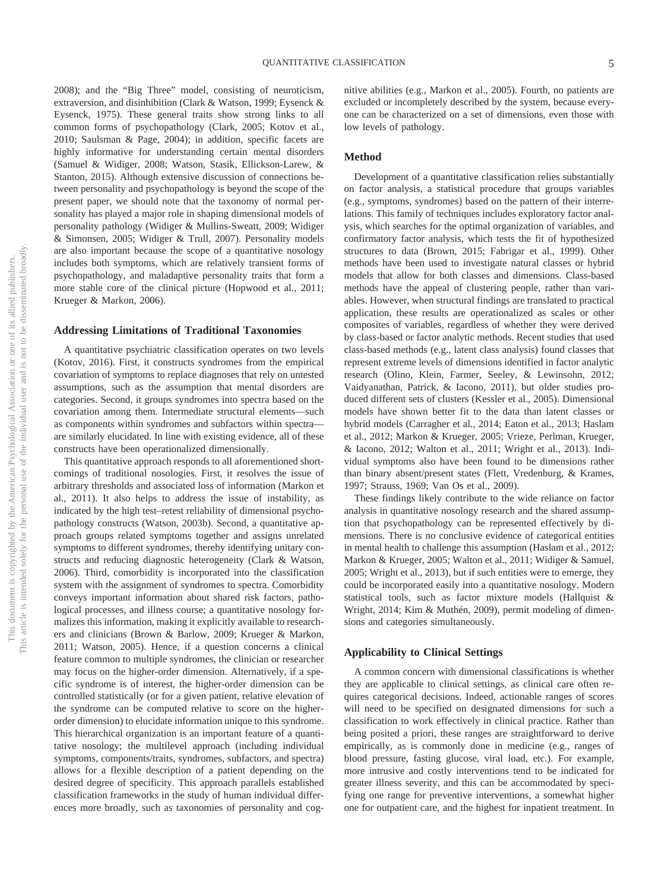2008); and the "Big Three" model, consisting of neuroticism, extraversion, and disinhibition (Clark & Watson, 1999; Eysenck & Eysenck, 1975). These general traits show strong links to all common forms of psychopathology (Clark, 2005; Kotov et al., 2010; Saulsman & Page, 2004); in addition, specific facets are highly informative for understanding certain mental disorders (Samuel & Widiger, 2008; Watson, Stasik, Ellickson-Larew, & Stanton, 2015). Although extensive discussion of connections between personality and psychopathology is beyond the scope of the present paper, we should note that the taxonomy of normal personality has played a major role in shaping dimensional models of personality pathology (Widiger & Mullins-Sweatt, 2009; Widiger & Simonsen, 2005; Widiger & Trull, 2007). Personality models are also important because the scope of a quantitative nosology includes both symptoms, which are relatively transient forms of psychopathology, and maladaptive personality traits that form a more stable core of the clinical picture (Hopwood et al., 2011; Krueger & Markon, 2006).

#### **Addressing Limitations of Traditional Taxonomies**

A quantitative psychiatric classification operates on two levels (Kotov, 2016). First, it constructs syndromes from the empirical covariation of symptoms to replace diagnoses that rely on untested assumptions, such as the assumption that mental disorders are categories. Second, it groups syndromes into spectra based on the covariation among them. Intermediate structural elements—such as components within syndromes and subfactors within spectra are similarly elucidated. In line with existing evidence, all of these constructs have been operationalized dimensionally.

This quantitative approach responds to all aforementioned shortcomings of traditional nosologies. First, it resolves the issue of arbitrary thresholds and associated loss of information (Markon et al., 2011). It also helps to address the issue of instability, as indicated by the high test–retest reliability of dimensional psychopathology constructs (Watson, 2003b). Second, a quantitative approach groups related symptoms together and assigns unrelated symptoms to different syndromes, thereby identifying unitary constructs and reducing diagnostic heterogeneity (Clark & Watson, 2006). Third, comorbidity is incorporated into the classification system with the assignment of syndromes to spectra. Comorbidity conveys important information about shared risk factors, pathological processes, and illness course; a quantitative nosology formalizes this information, making it explicitly available to researchers and clinicians (Brown & Barlow, 2009; Krueger & Markon, 2011; Watson, 2005). Hence, if a question concerns a clinical feature common to multiple syndromes, the clinician or researcher may focus on the higher-order dimension. Alternatively, if a specific syndrome is of interest, the higher-order dimension can be controlled statistically (or for a given patient, relative elevation of the syndrome can be computed relative to score on the higherorder dimension) to elucidate information unique to this syndrome. This hierarchical organization is an important feature of a quantitative nosology; the multilevel approach (including individual symptoms, components/traits, syndromes, subfactors, and spectra) allows for a flexible description of a patient depending on the desired degree of specificity. This approach parallels established classification frameworks in the study of human individual differences more broadly, such as taxonomies of personality and cognitive abilities (e.g., Markon et al., 2005). Fourth, no patients are excluded or incompletely described by the system, because everyone can be characterized on a set of dimensions, even those with low levels of pathology.

#### **Method**

Development of a quantitative classification relies substantially on factor analysis, a statistical procedure that groups variables (e.g., symptoms, syndromes) based on the pattern of their interrelations. This family of techniques includes exploratory factor analysis, which searches for the optimal organization of variables, and confirmatory factor analysis, which tests the fit of hypothesized structures to data (Brown, 2015; [Fabrigar et al., 1999\)](#page-18-0). Other methods have been used to investigate natural classes or hybrid models that allow for both classes and dimensions. Class-based methods have the appeal of clustering people, rather than variables. However, when structural findings are translated to practical application, these results are operationalized as scales or other composites of variables, regardless of whether they were derived by class-based or factor analytic methods. Recent studies that used class-based methods (e.g., latent class analysis) found classes that represent extreme levels of dimensions identified in factor analytic research (Olino, Klein, Farmer, Seeley, & Lewinsohn, 2012; Vaidyanathan, Patrick, & Iacono, 2011), but older studies produced different sets of clusters (Kessler et al., 2005). Dimensional models have shown better fit to the data than latent classes or hybrid models (Carragher et al., 2014; Eaton et al., 2013; [Haslam](#page-19-0) [et al., 2012;](#page-19-0) Markon & Krueger, 2005; Vrieze, Perlman, Krueger, & Iacono, 2012; Walton et al., 2011; Wright et al., 2013). Individual symptoms also have been found to be dimensions rather than binary absent/present states (Flett, Vredenburg, & Krames, 1997; Strauss, 1969; Van Os et al., 2009).

These findings likely contribute to the wide reliance on factor analysis in quantitative nosology research and the shared assumption that psychopathology can be represented effectively by dimensions. There is no conclusive evidence of categorical entities in mental health to challenge this assumption [\(Haslam et al., 2012;](#page-19-0) Markon & Krueger, 2005; Walton et al., 2011; Widiger & Samuel, 2005; Wright et al., 2013), but if such entities were to emerge, they could be incorporated easily into a quantitative nosology. Modern statistical tools, such as factor mixture models (Hallquist & Wright, 2014; Kim & Muthén, 2009), permit modeling of dimensions and categories simultaneously.

#### **Applicability to Clinical Settings**

A common concern with dimensional classifications is whether they are applicable to clinical settings, as clinical care often requires categorical decisions. Indeed, actionable ranges of scores will need to be specified on designated dimensions for such a classification to work effectively in clinical practice. Rather than being posited a priori, these ranges are straightforward to derive empirically, as is commonly done in medicine (e.g., ranges of blood pressure, fasting glucose, viral load, etc.). For example, more intrusive and costly interventions tend to be indicated for greater illness severity, and this can be accommodated by specifying one range for preventive interventions, a somewhat higher one for outpatient care, and the highest for inpatient treatment. In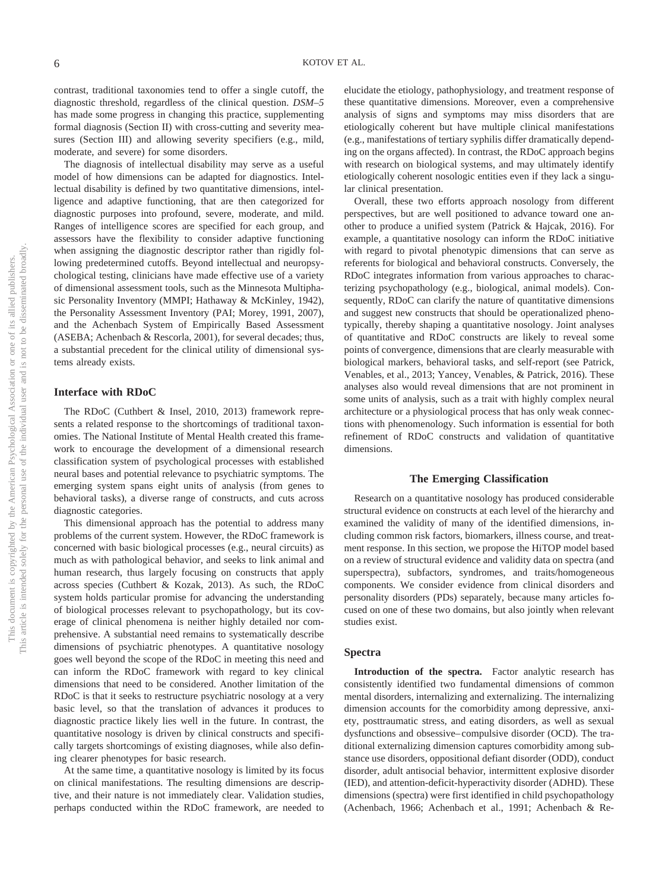contrast, traditional taxonomies tend to offer a single cutoff, the diagnostic threshold, regardless of the clinical question. *DSM–5* has made some progress in changing this practice, supplementing formal diagnosis (Section II) with cross-cutting and severity measures (Section III) and allowing severity specifiers (e.g., mild, moderate, and severe) for some disorders.

The diagnosis of intellectual disability may serve as a useful model of how dimensions can be adapted for diagnostics. Intellectual disability is defined by two quantitative dimensions, intelligence and adaptive functioning, that are then categorized for diagnostic purposes into profound, severe, moderate, and mild. Ranges of intelligence scores are specified for each group, and assessors have the flexibility to consider adaptive functioning when assigning the diagnostic descriptor rather than rigidly following predetermined cutoffs. Beyond intellectual and neuropsychological testing, clinicians have made effective use of a variety of dimensional assessment tools, such as the Minnesota Multiphasic Personality Inventory (MMPI; Hathaway & McKinley, 1942), the Personality Assessment Inventory (PAI; Morey, 1991, 2007), and the Achenbach System of Empirically Based Assessment (ASEBA; Achenbach & Rescorla, 2001), for several decades; thus, a substantial precedent for the clinical utility of dimensional systems already exists.

#### **Interface with RDoC**

The RDoC (Cuthbert & Insel, 2010, 2013) framework represents a related response to the shortcomings of traditional taxonomies. The National Institute of Mental Health created this framework to encourage the development of a dimensional research classification system of psychological processes with established neural bases and potential relevance to psychiatric symptoms. The emerging system spans eight units of analysis (from genes to behavioral tasks), a diverse range of constructs, and cuts across diagnostic categories.

This dimensional approach has the potential to address many problems of the current system. However, the RDoC framework is concerned with basic biological processes (e.g., neural circuits) as much as with pathological behavior, and seeks to link animal and human research, thus largely focusing on constructs that apply across species (Cuthbert & Kozak, 2013). As such, the RDoC system holds particular promise for advancing the understanding of biological processes relevant to psychopathology, but its coverage of clinical phenomena is neither highly detailed nor comprehensive. A substantial need remains to systematically describe dimensions of psychiatric phenotypes. A quantitative nosology goes well beyond the scope of the RDoC in meeting this need and can inform the RDoC framework with regard to key clinical dimensions that need to be considered. Another limitation of the RDoC is that it seeks to restructure psychiatric nosology at a very basic level, so that the translation of advances it produces to diagnostic practice likely lies well in the future. In contrast, the quantitative nosology is driven by clinical constructs and specifically targets shortcomings of existing diagnoses, while also defining clearer phenotypes for basic research.

At the same time, a quantitative nosology is limited by its focus on clinical manifestations. The resulting dimensions are descriptive, and their nature is not immediately clear. Validation studies, perhaps conducted within the RDoC framework, are needed to

elucidate the etiology, pathophysiology, and treatment response of these quantitative dimensions. Moreover, even a comprehensive analysis of signs and symptoms may miss disorders that are etiologically coherent but have multiple clinical manifestations (e.g., manifestations of tertiary syphilis differ dramatically depending on the organs affected). In contrast, the RDoC approach begins with research on biological systems, and may ultimately identify etiologically coherent nosologic entities even if they lack a singular clinical presentation.

Overall, these two efforts approach nosology from different perspectives, but are well positioned to advance toward one another to produce a unified system (Patrick & Hajcak, 2016). For example, a quantitative nosology can inform the RDoC initiative with regard to pivotal phenotypic dimensions that can serve as referents for biological and behavioral constructs. Conversely, the RDoC integrates information from various approaches to characterizing psychopathology (e.g., biological, animal models). Consequently, RDoC can clarify the nature of quantitative dimensions and suggest new constructs that should be operationalized phenotypically, thereby shaping a quantitative nosology. Joint analyses of quantitative and RDoC constructs are likely to reveal some points of convergence, dimensions that are clearly measurable with biological markers, behavioral tasks, and self-report (see Patrick, Venables, et al., 2013; Yancey, Venables, & Patrick, 2016). These analyses also would reveal dimensions that are not prominent in some units of analysis, such as a trait with highly complex neural architecture or a physiological process that has only weak connections with phenomenology. Such information is essential for both refinement of RDoC constructs and validation of quantitative dimensions.

#### **The Emerging Classification**

Research on a quantitative nosology has produced considerable structural evidence on constructs at each level of the hierarchy and examined the validity of many of the identified dimensions, including common risk factors, biomarkers, illness course, and treatment response. In this section, we propose the HiTOP model based on a review of structural evidence and validity data on spectra (and superspectra), subfactors, syndromes, and traits/homogeneous components. We consider evidence from clinical disorders and personality disorders (PDs) separately, because many articles focused on one of these two domains, but also jointly when relevant studies exist.

#### **Spectra**

**Introduction of the spectra.** Factor analytic research has consistently identified two fundamental dimensions of common mental disorders, internalizing and externalizing. The internalizing dimension accounts for the comorbidity among depressive, anxiety, posttraumatic stress, and eating disorders, as well as sexual dysfunctions and obsessive– compulsive disorder (OCD). The traditional externalizing dimension captures comorbidity among substance use disorders, oppositional defiant disorder (ODD), conduct disorder, adult antisocial behavior, intermittent explosive disorder (IED), and attention-deficit-hyperactivity disorder (ADHD). These dimensions (spectra) were first identified in child psychopathology (Achenbach, 1966; Achenbach et al., 1991; Achenbach & Re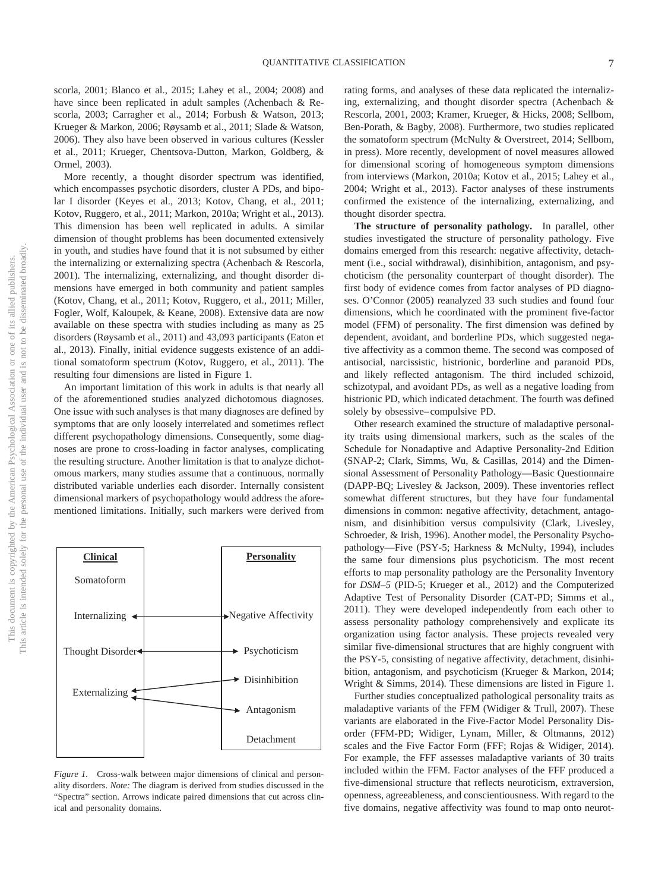scorla, 2001; Blanco et al., 2015; Lahey et al., 2004; 2008) and have since been replicated in adult samples (Achenbach & Rescorla, 2003; Carragher et al., 2014; Forbush & Watson, 2013; Krueger & Markon, 2006; Røysamb et al., 2011; Slade & Watson, 2006). They also have been observed in various cultures (Kessler et al., 2011; Krueger, Chentsova-Dutton, Markon, Goldberg, & Ormel, 2003).

More recently, a thought disorder spectrum was identified, which encompasses psychotic disorders, cluster A PDs, and bipolar I disorder (Keyes et al., 2013; Kotov, Chang, et al., 2011; Kotov, Ruggero, et al., 2011; Markon, 2010a; Wright et al., 2013). This dimension has been well replicated in adults. A similar dimension of thought problems has been documented extensively in youth, and studies have found that it is not subsumed by either the internalizing or externalizing spectra (Achenbach & Rescorla, 2001). The internalizing, externalizing, and thought disorder dimensions have emerged in both community and patient samples (Kotov, Chang, et al., 2011; Kotov, Ruggero, et al., 2011; Miller, Fogler, Wolf, Kaloupek, & Keane, 2008). Extensive data are now available on these spectra with studies including as many as 25 disorders (Røysamb et al., 2011) and 43,093 participants (Eaton et al., 2013). Finally, initial evidence suggests existence of an additional somatoform spectrum (Kotov, Ruggero, et al., 2011). The resulting four dimensions are listed in Figure 1.

An important limitation of this work in adults is that nearly all of the aforementioned studies analyzed dichotomous diagnoses. One issue with such analyses is that many diagnoses are defined by symptoms that are only loosely interrelated and sometimes reflect different psychopathology dimensions. Consequently, some diagnoses are prone to cross-loading in factor analyses, complicating the resulting structure. Another limitation is that to analyze dichotomous markers, many studies assume that a continuous, normally distributed variable underlies each disorder. Internally consistent dimensional markers of psychopathology would address the aforementioned limitations. Initially, such markers were derived from



*Figure 1.* Cross-walk between major dimensions of clinical and personality disorders. *Note:* The diagram is derived from studies discussed in the "Spectra" section. Arrows indicate paired dimensions that cut across clinical and personality domains.

rating forms, and analyses of these data replicated the internalizing, externalizing, and thought disorder spectra (Achenbach & Rescorla, 2001, 2003; Kramer, Krueger, & Hicks, 2008; Sellbom, Ben-Porath, & Bagby, 2008). Furthermore, two studies replicated the somatoform spectrum (McNulty & Overstreet, 2014; Sellbom, in press). More recently, development of novel measures allowed for dimensional scoring of homogeneous symptom dimensions from interviews (Markon, 2010a; Kotov et al., 2015; Lahey et al., 2004; Wright et al., 2013). Factor analyses of these instruments confirmed the existence of the internalizing, externalizing, and thought disorder spectra.

**The structure of personality pathology.** In parallel, other studies investigated the structure of personality pathology. Five domains emerged from this research: negative affectivity, detachment (i.e., social withdrawal), disinhibition, antagonism, and psychoticism (the personality counterpart of thought disorder). The first body of evidence comes from factor analyses of PD diagnoses. O'Connor (2005) reanalyzed 33 such studies and found four dimensions, which he coordinated with the prominent five-factor model (FFM) of personality. The first dimension was defined by dependent, avoidant, and borderline PDs, which suggested negative affectivity as a common theme. The second was composed of antisocial, narcissistic, histrionic, borderline and paranoid PDs, and likely reflected antagonism. The third included schizoid, schizotypal, and avoidant PDs, as well as a negative loading from histrionic PD, which indicated detachment. The fourth was defined solely by obsessive– compulsive PD.

Other research examined the structure of maladaptive personality traits using dimensional markers, such as the scales of the Schedule for Nonadaptive and Adaptive Personality-2nd Edition (SNAP-2; Clark, Simms, Wu, & Casillas, 2014) and the Dimensional Assessment of Personality Pathology—Basic Questionnaire (DAPP-BQ; Livesley & Jackson, 2009). These inventories reflect somewhat different structures, but they have four fundamental dimensions in common: negative affectivity, detachment, antagonism, and disinhibition versus compulsivity (Clark, Livesley, Schroeder, & Irish, 1996). Another model, the Personality Psychopathology—Five (PSY-5; Harkness & McNulty, 1994), includes the same four dimensions plus psychoticism. The most recent efforts to map personality pathology are the Personality Inventory for *DSM–5* (PID-5; Krueger et al., 2012) and the Computerized Adaptive Test of Personality Disorder (CAT-PD; Simms et al., 2011). They were developed independently from each other to assess personality pathology comprehensively and explicate its organization using factor analysis. These projects revealed very similar five-dimensional structures that are highly congruent with the PSY-5, consisting of negative affectivity, detachment, disinhibition, antagonism, and psychoticism (Krueger & Markon, 2014; Wright & Simms, 2014). These dimensions are listed in Figure 1.

Further studies conceptualized pathological personality traits as maladaptive variants of the FFM (Widiger & Trull, 2007). These variants are elaborated in the Five-Factor Model Personality Disorder (FFM-PD; Widiger, Lynam, Miller, & Oltmanns, 2012) scales and the Five Factor Form (FFF; Rojas & Widiger, 2014). For example, the FFF assesses maladaptive variants of 30 traits included within the FFM. Factor analyses of the FFF produced a five-dimensional structure that reflects neuroticism, extraversion, openness, agreeableness, and conscientiousness. With regard to the five domains, negative affectivity was found to map onto neurot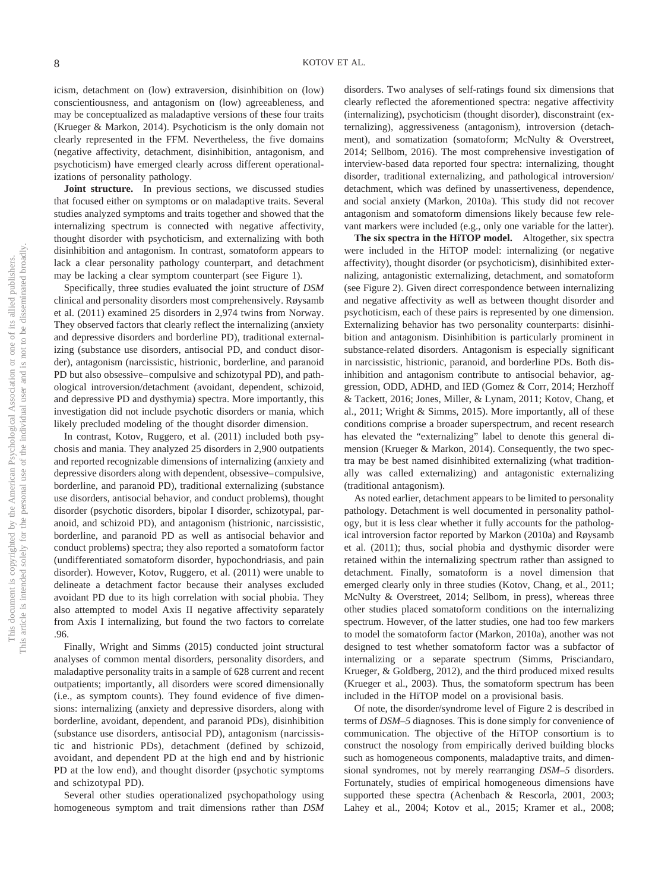icism, detachment on (low) extraversion, disinhibition on (low) conscientiousness, and antagonism on (low) agreeableness, and may be conceptualized as maladaptive versions of these four traits (Krueger & Markon, 2014). Psychoticism is the only domain not clearly represented in the FFM. Nevertheless, the five domains (negative affectivity, detachment, disinhibition, antagonism, and psychoticism) have emerged clearly across different operationalizations of personality pathology.

**Joint structure.** In previous sections, we discussed studies that focused either on symptoms or on maladaptive traits. Several studies analyzed symptoms and traits together and showed that the internalizing spectrum is connected with negative affectivity, thought disorder with psychoticism, and externalizing with both disinhibition and antagonism. In contrast, somatoform appears to lack a clear personality pathology counterpart, and detachment may be lacking a clear symptom counterpart (see Figure 1).

Specifically, three studies evaluated the joint structure of *DSM* clinical and personality disorders most comprehensively. Røysamb et al. (2011) examined 25 disorders in 2,974 twins from Norway. They observed factors that clearly reflect the internalizing (anxiety and depressive disorders and borderline PD), traditional externalizing (substance use disorders, antisocial PD, and conduct disorder), antagonism (narcissistic, histrionic, borderline, and paranoid PD but also obsessive– compulsive and schizotypal PD), and pathological introversion/detachment (avoidant, dependent, schizoid, and depressive PD and dysthymia) spectra. More importantly, this investigation did not include psychotic disorders or mania, which likely precluded modeling of the thought disorder dimension.

In contrast, Kotov, Ruggero, et al. (2011) included both psychosis and mania. They analyzed 25 disorders in 2,900 outpatients and reported recognizable dimensions of internalizing (anxiety and depressive disorders along with dependent, obsessive– compulsive, borderline, and paranoid PD), traditional externalizing (substance use disorders, antisocial behavior, and conduct problems), thought disorder (psychotic disorders, bipolar I disorder, schizotypal, paranoid, and schizoid PD), and antagonism (histrionic, narcissistic, borderline, and paranoid PD as well as antisocial behavior and conduct problems) spectra; they also reported a somatoform factor (undifferentiated somatoform disorder, hypochondriasis, and pain disorder). However, Kotov, Ruggero, et al. (2011) were unable to delineate a detachment factor because their analyses excluded avoidant PD due to its high correlation with social phobia. They also attempted to model Axis II negative affectivity separately from Axis I internalizing, but found the two factors to correlate .96.

Finally, Wright and Simms (2015) conducted joint structural analyses of common mental disorders, personality disorders, and maladaptive personality traits in a sample of 628 current and recent outpatients; importantly, all disorders were scored dimensionally (i.e., as symptom counts). They found evidence of five dimensions: internalizing (anxiety and depressive disorders, along with borderline, avoidant, dependent, and paranoid PDs), disinhibition (substance use disorders, antisocial PD), antagonism (narcissistic and histrionic PDs), detachment (defined by schizoid, avoidant, and dependent PD at the high end and by histrionic PD at the low end), and thought disorder (psychotic symptoms and schizotypal PD).

Several other studies operationalized psychopathology using homogeneous symptom and trait dimensions rather than *DSM* disorders. Two analyses of self-ratings found six dimensions that clearly reflected the aforementioned spectra: negative affectivity (internalizing), psychoticism (thought disorder), disconstraint (externalizing), aggressiveness (antagonism), introversion (detachment), and somatization (somatoform; McNulty & Overstreet, 2014; Sellbom, 2016). The most comprehensive investigation of interview-based data reported four spectra: internalizing, thought disorder, traditional externalizing, and pathological introversion/ detachment, which was defined by unassertiveness, dependence, and social anxiety (Markon, 2010a). This study did not recover antagonism and somatoform dimensions likely because few relevant markers were included (e.g., only one variable for the latter).

**The six spectra in the HiTOP model.** Altogether, six spectra were included in the HiTOP model: internalizing (or negative affectivity), thought disorder (or psychoticism), disinhibited externalizing, antagonistic externalizing, detachment, and somatoform (see Figure 2). Given direct correspondence between internalizing and negative affectivity as well as between thought disorder and psychoticism, each of these pairs is represented by one dimension. Externalizing behavior has two personality counterparts: disinhibition and antagonism. Disinhibition is particularly prominent in substance-related disorders. Antagonism is especially significant in narcissistic, histrionic, paranoid, and borderline PDs. Both disinhibition and antagonism contribute to antisocial behavior, aggression, ODD, ADHD, and IED (Gomez & Corr, 2014; Herzhoff & Tackett, 2016; Jones, Miller, & Lynam, 2011; Kotov, Chang, et al., 2011; Wright & Simms, 2015). More importantly, all of these conditions comprise a broader superspectrum, and recent research has elevated the "externalizing" label to denote this general dimension (Krueger & Markon, 2014). Consequently, the two spectra may be best named disinhibited externalizing (what traditionally was called externalizing) and antagonistic externalizing (traditional antagonism).

As noted earlier, detachment appears to be limited to personality pathology. Detachment is well documented in personality pathology, but it is less clear whether it fully accounts for the pathological introversion factor reported by Markon (2010a) and Røysamb et al. (2011); thus, social phobia and dysthymic disorder were retained within the internalizing spectrum rather than assigned to detachment. Finally, somatoform is a novel dimension that emerged clearly only in three studies (Kotov, Chang, et al., 2011; McNulty & Overstreet, 2014; Sellbom, in press), whereas three other studies placed somatoform conditions on the internalizing spectrum. However, of the latter studies, one had too few markers to model the somatoform factor (Markon, 2010a), another was not designed to test whether somatoform factor was a subfactor of internalizing or a separate spectrum (Simms, Prisciandaro, Krueger, & Goldberg, 2012), and the third produced mixed results (Krueger et al., 2003). Thus, the somatoform spectrum has been included in the HiTOP model on a provisional basis.

Of note, the disorder/syndrome level of Figure 2 is described in terms of *DSM–5* diagnoses. This is done simply for convenience of communication. The objective of the HiTOP consortium is to construct the nosology from empirically derived building blocks such as homogeneous components, maladaptive traits, and dimensional syndromes, not by merely rearranging *DSM–5* disorders. Fortunately, studies of empirical homogeneous dimensions have supported these spectra (Achenbach & Rescorla, 2001, 2003; Lahey et al., 2004; Kotov et al., 2015; Kramer et al., 2008;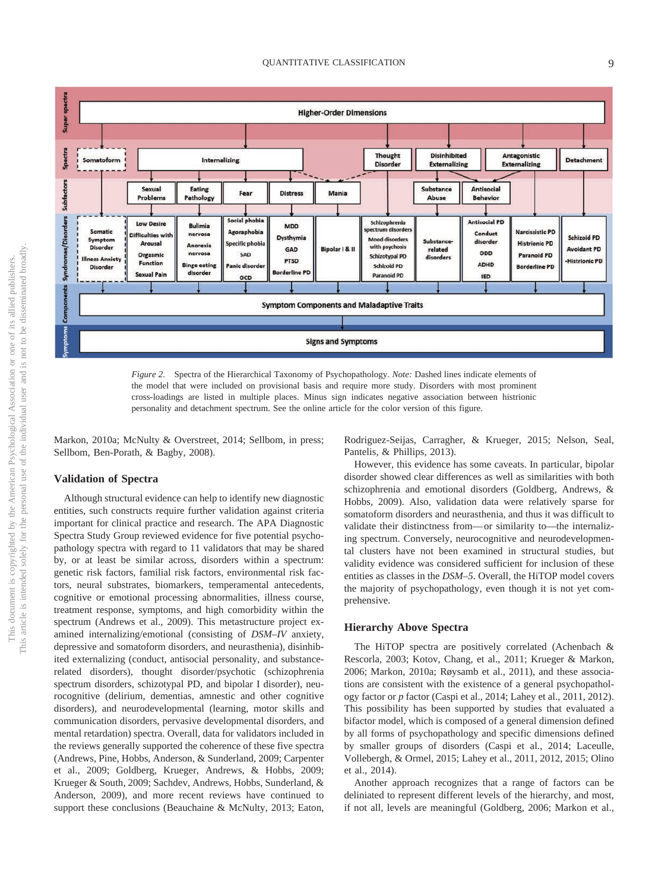

*Figure 2.* Spectra of the Hierarchical Taxonomy of Psychopathology. *Note:* Dashed lines indicate elements of the model that were included on provisional basis and require more study. Disorders with most prominent cross-loadings are listed in multiple places. Minus sign indicates negative association between histrionic personality and detachment spectrum. See the online article for the color version of this figure.

Markon, 2010a; McNulty & Overstreet, 2014; Sellbom, in press; Sellbom, Ben-Porath, & Bagby, 2008).

#### **Validation of Spectra**

Although structural evidence can help to identify new diagnostic entities, such constructs require further validation against criteria important for clinical practice and research. The APA Diagnostic Spectra Study Group reviewed evidence for five potential psychopathology spectra with regard to 11 validators that may be shared by, or at least be similar across, disorders within a spectrum: genetic risk factors, familial risk factors, environmental risk factors, neural substrates, biomarkers, temperamental antecedents, cognitive or emotional processing abnormalities, illness course, treatment response, symptoms, and high comorbidity within the spectrum (Andrews et al., 2009). This metastructure project examined internalizing/emotional (consisting of *DSM–IV* anxiety, depressive and somatoform disorders, and neurasthenia), disinhibited externalizing (conduct, antisocial personality, and substancerelated disorders), thought disorder/psychotic (schizophrenia spectrum disorders, schizotypal PD, and bipolar I disorder), neurocognitive (delirium, dementias, amnestic and other cognitive disorders), and neurodevelopmental (learning, motor skills and communication disorders, pervasive developmental disorders, and mental retardation) spectra. Overall, data for validators included in the reviews generally supported the coherence of these five spectra (Andrews, Pine, Hobbs, Anderson, & Sunderland, 2009; Carpenter et al., 2009; Goldberg, Krueger, Andrews, & Hobbs, 2009; Krueger & South, 2009; Sachdev, Andrews, Hobbs, Sunderland, & Anderson, 2009), and more recent reviews have continued to support these conclusions (Beauchaine & McNulty, 2013; Eaton, Rodriguez-Seijas, Carragher, & Krueger, 2015; Nelson, Seal, Pantelis, & Phillips, 2013).

However, this evidence has some caveats. In particular, bipolar disorder showed clear differences as well as similarities with both schizophrenia and emotional disorders (Goldberg, Andrews, & Hobbs, 2009). Also, validation data were relatively sparse for somatoform disorders and neurasthenia, and thus it was difficult to validate their distinctness from— or similarity to—the internalizing spectrum. Conversely, neurocognitive and neurodevelopmental clusters have not been examined in structural studies, but validity evidence was considered sufficient for inclusion of these entities as classes in the *DSM–5*. Overall, the HiTOP model covers the majority of psychopathology, even though it is not yet comprehensive.

#### **Hierarchy Above Spectra**

The HiTOP spectra are positively correlated (Achenbach & Rescorla, 2003; Kotov, Chang, et al., 2011; Krueger & Markon, 2006; Markon, 2010a; Røysamb et al., 2011), and these associations are consistent with the existence of a general psychopathology factor or *p* factor (Caspi et al., 2014; Lahey et al., 2011, 2012). This possibility has been supported by studies that evaluated a bifactor model, which is composed of a general dimension defined by all forms of psychopathology and specific dimensions defined by smaller groups of disorders (Caspi et al., 2014; Laceulle, Vollebergh, & Ormel, 2015; Lahey et al., 2011, 2012, 2015; Olino et al., 2014).

Another approach recognizes that a range of factors can be deliniated to represent different levels of the hierarchy, and most, if not all, levels are meaningful (Goldberg, 2006; Markon et al.,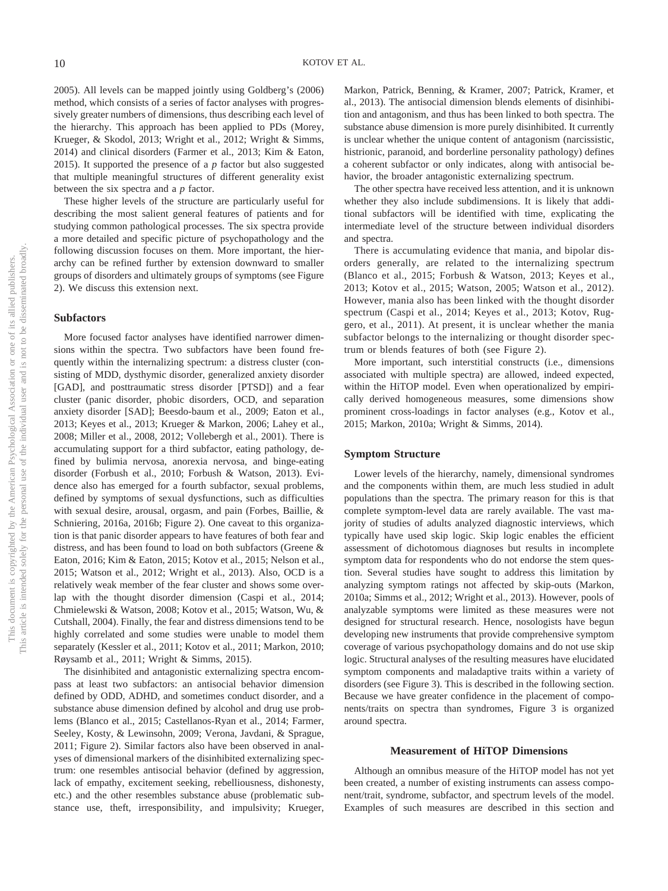2005). All levels can be mapped jointly using Goldberg's (2006) method, which consists of a series of factor analyses with progressively greater numbers of dimensions, thus describing each level of the hierarchy. This approach has been applied to PDs (Morey, Krueger, & Skodol, 2013; Wright et al., 2012; Wright & Simms, 2014) and clinical disorders (Farmer et al., 2013; Kim & Eaton, 2015). It supported the presence of a *p* factor but also suggested that multiple meaningful structures of different generality exist between the six spectra and a *p* factor.

These higher levels of the structure are particularly useful for describing the most salient general features of patients and for studying common pathological processes. The six spectra provide a more detailed and specific picture of psychopathology and the following discussion focuses on them. More important, the hierarchy can be refined further by extension downward to smaller groups of disorders and ultimately groups of symptoms (see Figure 2). We discuss this extension next.

#### **Subfactors**

More focused factor analyses have identified narrower dimensions within the spectra. Two subfactors have been found frequently within the internalizing spectrum: a distress cluster (consisting of MDD, dysthymic disorder, generalized anxiety disorder [GAD], and posttraumatic stress disorder [PTSD]) and a fear cluster (panic disorder, phobic disorders, OCD, and separation anxiety disorder [SAD]; Beesdo-baum et al., 2009; Eaton et al., 2013; Keyes et al., 2013; Krueger & Markon, 2006; Lahey et al., 2008; Miller et al., 2008, 2012; Vollebergh et al., 2001). There is accumulating support for a third subfactor, eating pathology, defined by bulimia nervosa, anorexia nervosa, and binge-eating disorder (Forbush et al., 2010; Forbush & Watson, 2013). Evidence also has emerged for a fourth subfactor, sexual problems, defined by symptoms of sexual dysfunctions, such as difficulties with sexual desire, arousal, orgasm, and pain (Forbes, Baillie, & Schniering, 2016a, 2016b; Figure 2). One caveat to this organization is that panic disorder appears to have features of both fear and distress, and has been found to load on both subfactors (Greene & Eaton, 2016; Kim & Eaton, 2015; Kotov et al., 2015; Nelson et al., 2015; Watson et al., 2012; Wright et al., 2013). Also, OCD is a relatively weak member of the fear cluster and shows some overlap with the thought disorder dimension (Caspi et al., 2014; Chmielewski & Watson, 2008; Kotov et al., 2015; Watson, Wu, & Cutshall, 2004). Finally, the fear and distress dimensions tend to be highly correlated and some studies were unable to model them separately (Kessler et al., 2011; Kotov et al., 2011; Markon, 2010; Røysamb et al., 2011; Wright & Simms, 2015).

The disinhibited and antagonistic externalizing spectra encompass at least two subfactors: an antisocial behavior dimension defined by ODD, ADHD, and sometimes conduct disorder, and a substance abuse dimension defined by alcohol and drug use problems (Blanco et al., 2015; Castellanos-Ryan et al., 2014; Farmer, Seeley, Kosty, & Lewinsohn, 2009; Verona, Javdani, & Sprague, 2011; Figure 2). Similar factors also have been observed in analyses of dimensional markers of the disinhibited externalizing spectrum: one resembles antisocial behavior (defined by aggression, lack of empathy, excitement seeking, rebelliousness, dishonesty, etc.) and the other resembles substance abuse (problematic substance use, theft, irresponsibility, and impulsivity; Krueger,

Markon, Patrick, Benning, & Kramer, 2007; Patrick, Kramer, et al., 2013). The antisocial dimension blends elements of disinhibition and antagonism, and thus has been linked to both spectra. The substance abuse dimension is more purely disinhibited. It currently is unclear whether the unique content of antagonism (narcissistic, histrionic, paranoid, and borderline personality pathology) defines a coherent subfactor or only indicates, along with antisocial behavior, the broader antagonistic externalizing spectrum.

The other spectra have received less attention, and it is unknown whether they also include subdimensions. It is likely that additional subfactors will be identified with time, explicating the intermediate level of the structure between individual disorders and spectra.

There is accumulating evidence that mania, and bipolar disorders generally, are related to the internalizing spectrum (Blanco et al., 2015; Forbush & Watson, 2013; Keyes et al., 2013; Kotov et al., 2015; Watson, 2005; Watson et al., 2012). However, mania also has been linked with the thought disorder spectrum (Caspi et al., 2014; Keyes et al., 2013; Kotov, Ruggero, et al., 2011). At present, it is unclear whether the mania subfactor belongs to the internalizing or thought disorder spectrum or blends features of both (see Figure 2).

More important, such interstitial constructs (i.e., dimensions associated with multiple spectra) are allowed, indeed expected, within the HiTOP model. Even when operationalized by empirically derived homogeneous measures, some dimensions show prominent cross-loadings in factor analyses (e.g., Kotov et al., 2015; Markon, 2010a; Wright & Simms, 2014).

#### **Symptom Structure**

Lower levels of the hierarchy, namely, dimensional syndromes and the components within them, are much less studied in adult populations than the spectra. The primary reason for this is that complete symptom-level data are rarely available. The vast majority of studies of adults analyzed diagnostic interviews, which typically have used skip logic. Skip logic enables the efficient assessment of dichotomous diagnoses but results in incomplete symptom data for respondents who do not endorse the stem question. Several studies have sought to address this limitation by analyzing symptom ratings not affected by skip-outs (Markon, 2010a; Simms et al., 2012; Wright et al., 2013). However, pools of analyzable symptoms were limited as these measures were not designed for structural research. Hence, nosologists have begun developing new instruments that provide comprehensive symptom coverage of various psychopathology domains and do not use skip logic. Structural analyses of the resulting measures have elucidated symptom components and maladaptive traits within a variety of disorders (see Figure 3). This is described in the following section. Because we have greater confidence in the placement of components/traits on spectra than syndromes, Figure 3 is organized around spectra.

#### **Measurement of HiTOP Dimensions**

Although an omnibus measure of the HiTOP model has not yet been created, a number of existing instruments can assess component/trait, syndrome, subfactor, and spectrum levels of the model. Examples of such measures are described in this section and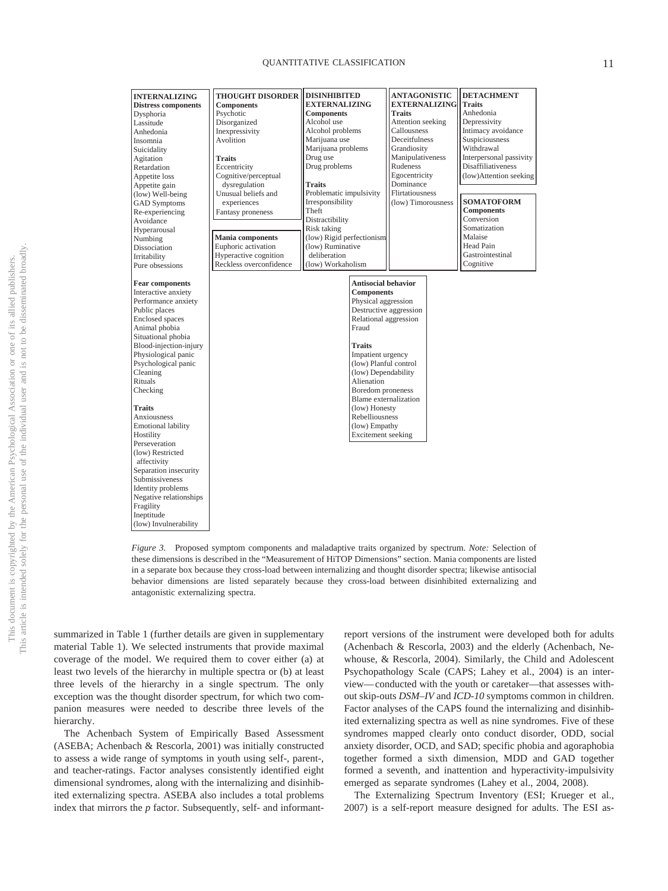#### QUANTITATIVE CLASSIFICATION 11

| <b>INTERNALIZING</b><br><b>Distress components</b><br>Dysphoria<br>Lassitude<br>Anhedonia<br>Insomnia<br>Suicidality<br>Agitation<br>Retardation<br>Appetite loss<br>Appetite gain<br>(low) Well-being<br><b>GAD Symptoms</b><br>Re-experiencing<br>Avoidance<br>Hyperarousal<br>Numbing<br>Dissociation<br>Irritability<br>Pure obsessions                                                                                                                                                                                                   | <b>THOUGHT DISORDER DISINHIBITED</b><br><b>Components</b><br>Psychotic<br>Disorganized<br>Inexpressivity<br>Avolition<br><b>Traits</b><br>Eccentricity<br>Cognitive/perceptual<br>dysregulation<br>Unusual beliefs and<br>experiences<br>Fantasy proneness<br><b>Mania components</b><br>Euphoric activation<br>Hyperactive cognition<br>Reckless overconfidence | <b>EXTERNALIZING</b><br><b>Components</b><br>Alcohol use<br>Alcohol problems<br>Marijuana use<br>Marijuana problems<br>Drug use<br>Drug problems<br><b>Traits</b><br>Problematic impulsivity<br>Irresponsibility<br>Theft<br>Distractibility<br>Risk taking<br>(low) Rigid perfectionism<br>(low) Ruminative<br>deliberation<br>(low) Workaholism | <b>ANTAGONISTIC</b><br><b>EXTERNALIZING</b><br><b>Traits</b><br>Attention seeking<br>Callousness<br><b>Deceitfulness</b><br>Grandiosity<br>Manipulativeness<br>Rudeness<br>Egocentricity<br>Dominance<br>Flirtatiousness<br>(low) Timorousness | <b>DETACHMENT</b><br><b>Traits</b><br>Anhedonia<br>Depressivity<br>Intimacy avoidance<br>Suspiciousness<br>Withdrawal<br>Interpersonal passivity<br><b>Disaffiliativeness</b><br>(low)Attention seeking<br><b>SOMATOFORM</b><br><b>Components</b><br>Conversion<br>Somatization<br>Malaise<br>Head Pain<br>Gastrointestinal<br>Cognitive |
|-----------------------------------------------------------------------------------------------------------------------------------------------------------------------------------------------------------------------------------------------------------------------------------------------------------------------------------------------------------------------------------------------------------------------------------------------------------------------------------------------------------------------------------------------|------------------------------------------------------------------------------------------------------------------------------------------------------------------------------------------------------------------------------------------------------------------------------------------------------------------------------------------------------------------|---------------------------------------------------------------------------------------------------------------------------------------------------------------------------------------------------------------------------------------------------------------------------------------------------------------------------------------------------|------------------------------------------------------------------------------------------------------------------------------------------------------------------------------------------------------------------------------------------------|------------------------------------------------------------------------------------------------------------------------------------------------------------------------------------------------------------------------------------------------------------------------------------------------------------------------------------------|
| <b>Fear components</b><br>Interactive anxiety<br>Performance anxiety<br>Public places<br><b>Enclosed</b> spaces<br>Animal phobia<br>Situational phobia<br>Blood-injection-injury<br>Physiological panic<br>Psychological panic<br>Cleaning<br>Rituals<br>Checking<br><b>Traits</b><br>Anxiousness<br><b>Emotional lability</b><br>Hostility<br>Perseveration<br>(low) Restricted<br>affectivity<br>Separation insecurity<br>Submissiveness<br>Identity problems<br>Negative relationships<br>Fragility<br>Ineptitude<br>(low) Invulnerability |                                                                                                                                                                                                                                                                                                                                                                  | <b>Antisocial behavior</b><br><b>Components</b><br>Physical aggression<br>Relational aggression<br>Fraud<br><b>Traits</b><br>Impatient urgency<br>(low) Planful control<br>(low) Dependability<br>Alienation<br>Boredom proneness<br>Blame externalization<br>(low) Honesty<br>Rebelliousness<br>(low) Empathy<br>Excitement seeking              | Destructive aggression                                                                                                                                                                                                                         |                                                                                                                                                                                                                                                                                                                                          |

*Figure 3.* Proposed symptom components and maladaptive traits organized by spectrum. *Note:* Selection of these dimensions is described in the "Measurement of HiTOP Dimensions" section. Mania components are listed in a separate box because they cross-load between internalizing and thought disorder spectra; likewise antisocial behavior dimensions are listed separately because they cross-load between disinhibited externalizing and antagonistic externalizing spectra.

summarized in [Table 1](#page-12-0) (further details are given in supplementary material [Table 1\)](#page-12-0). We selected instruments that provide maximal coverage of the model. We required them to cover either (a) at least two levels of the hierarchy in multiple spectra or (b) at least three levels of the hierarchy in a single spectrum. The only exception was the thought disorder spectrum, for which two companion measures were needed to describe three levels of the hierarchy.

The Achenbach System of Empirically Based Assessment (ASEBA; Achenbach & Rescorla, 2001) was initially constructed to assess a wide range of symptoms in youth using self-, parent-, and teacher-ratings. Factor analyses consistently identified eight dimensional syndromes, along with the internalizing and disinhibited externalizing spectra. ASEBA also includes a total problems index that mirrors the *p* factor. Subsequently, self- and informant-

report versions of the instrument were developed both for adults (Achenbach & Rescorla, 2003) and the elderly (Achenbach, Newhouse, & Rescorla, 2004). Similarly, the Child and Adolescent Psychopathology Scale (CAPS; Lahey et al., 2004) is an interview— conducted with the youth or caretaker—that assesses without skip-outs *DSM–IV* and *ICD-10* symptoms common in children. Factor analyses of the CAPS found the internalizing and disinhibited externalizing spectra as well as nine syndromes. Five of these syndromes mapped clearly onto conduct disorder, ODD, social anxiety disorder, OCD, and SAD; specific phobia and agoraphobia together formed a sixth dimension, MDD and GAD together formed a seventh, and inattention and hyperactivity-impulsivity emerged as separate syndromes (Lahey et al., 2004, 2008).

The Externalizing Spectrum Inventory (ESI; Krueger et al., 2007) is a self-report measure designed for adults. The ESI as-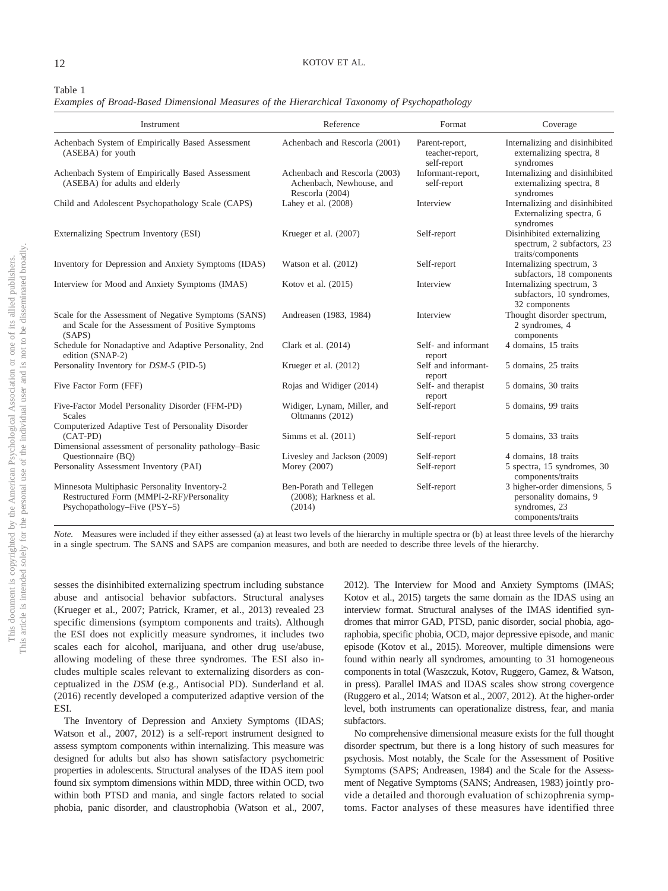#### 12 KOTOV ET AL.

#### <span id="page-12-0"></span>Table 1

*Examples of Broad-Based Dimensional Measures of the Hierarchical Taxonomy of Psychopathology*

| Instrument                                                                                                                 | Reference                                                                    | Format                                           | Coverage                                                                                     |
|----------------------------------------------------------------------------------------------------------------------------|------------------------------------------------------------------------------|--------------------------------------------------|----------------------------------------------------------------------------------------------|
| Achenbach System of Empirically Based Assessment<br>(ASEBA) for youth                                                      | Achenbach and Rescorla (2001)                                                | Parent-report,<br>teacher-report,<br>self-report | Internalizing and disinhibited<br>externalizing spectra, 8<br>syndromes                      |
| Achenbach System of Empirically Based Assessment<br>(ASEBA) for adults and elderly                                         | Achenbach and Rescorla (2003)<br>Achenbach, Newhouse, and<br>Rescorla (2004) | Informant-report,<br>self-report                 | Internalizing and disinhibited<br>externalizing spectra, 8<br>syndromes                      |
| Child and Adolescent Psychopathology Scale (CAPS)                                                                          | Lahey et al. (2008)                                                          | Interview                                        | Internalizing and disinhibited<br>Externalizing spectra, 6<br>syndromes                      |
| Externalizing Spectrum Inventory (ESI)                                                                                     | Krueger et al. (2007)                                                        | Self-report                                      | Disinhibited externalizing<br>spectrum, 2 subfactors, 23<br>traits/components                |
| Inventory for Depression and Anxiety Symptoms (IDAS)                                                                       | Watson et al. $(2012)$                                                       | Self-report                                      | Internalizing spectrum, 3<br>subfactors, 18 components                                       |
| Interview for Mood and Anxiety Symptoms (IMAS)                                                                             | Kotov et al. $(2015)$                                                        | Interview                                        | Internalizing spectrum, 3<br>subfactors, 10 syndromes,<br>32 components                      |
| Scale for the Assessment of Negative Symptoms (SANS)<br>and Scale for the Assessment of Positive Symptoms<br>(SAPS)        | Andreasen (1983, 1984)                                                       | Interview                                        | Thought disorder spectrum,<br>2 syndromes, 4<br>components                                   |
| Schedule for Nonadaptive and Adaptive Personality, 2nd<br>edition (SNAP-2)                                                 | Clark et al. (2014)                                                          | Self- and informant<br>report                    | 4 domains, 15 traits                                                                         |
| Personality Inventory for DSM-5 (PID-5)                                                                                    | Krueger et al. (2012)                                                        | Self and informant-<br>report                    | 5 domains, 25 traits                                                                         |
| Five Factor Form (FFF)                                                                                                     | Rojas and Widiger (2014)                                                     | Self- and therapist<br>report                    | 5 domains, 30 traits                                                                         |
| Five-Factor Model Personality Disorder (FFM-PD)<br><b>Scales</b><br>Computerized Adaptive Test of Personality Disorder     | Widiger, Lynam, Miller, and<br>Oltmanns (2012)                               | Self-report                                      | 5 domains, 99 traits                                                                         |
| $(CAT-PD)$<br>Dimensional assessment of personality pathology-Basic                                                        | Simms et al. $(2011)$                                                        | Self-report                                      | 5 domains, 33 traits                                                                         |
| Questionnaire (BO)                                                                                                         | Livesley and Jackson (2009)                                                  | Self-report                                      | 4 domains, 18 traits                                                                         |
| Personality Assessment Inventory (PAI)                                                                                     | Morey (2007)                                                                 | Self-report                                      | 5 spectra, 15 syndromes, 30<br>components/traits                                             |
| Minnesota Multiphasic Personality Inventory-2<br>Restructured Form (MMPI-2-RF)/Personality<br>Psychopathology–Five (PSY–5) | Ben-Porath and Tellegen<br>$(2008)$ ; Harkness et al.<br>(2014)              | Self-report                                      | 3 higher-order dimensions, 5<br>personality domains, 9<br>syndromes, 23<br>components/traits |

*Note.* Measures were included if they either assessed (a) at least two levels of the hierarchy in multiple spectra or (b) at least three levels of the hierarchy in a single spectrum. The SANS and SAPS are companion measures, and both are needed to describe three levels of the hierarchy.

sesses the disinhibited externalizing spectrum including substance abuse and antisocial behavior subfactors. Structural analyses (Krueger et al., 2007; Patrick, Kramer, et al., 2013) revealed 23 specific dimensions (symptom components and traits). Although the ESI does not explicitly measure syndromes, it includes two scales each for alcohol, marijuana, and other drug use/abuse, allowing modeling of these three syndromes. The ESI also includes multiple scales relevant to externalizing disorders as conceptualized in the *DSM* (e.g., Antisocial PD). Sunderland et al. (2016) recently developed a computerized adaptive version of the ESI.

The Inventory of Depression and Anxiety Symptoms (IDAS; Watson et al., 2007, 2012) is a self-report instrument designed to assess symptom components within internalizing. This measure was designed for adults but also has shown satisfactory psychometric properties in adolescents. Structural analyses of the IDAS item pool found six symptom dimensions within MDD, three within OCD, two within both PTSD and mania, and single factors related to social phobia, panic disorder, and claustrophobia (Watson et al., 2007, 2012). The Interview for Mood and Anxiety Symptoms (IMAS; Kotov et al., 2015) targets the same domain as the IDAS using an interview format. Structural analyses of the IMAS identified syndromes that mirror GAD, PTSD, panic disorder, social phobia, agoraphobia, specific phobia, OCD, major depressive episode, and manic episode (Kotov et al., 2015). Moreover, multiple dimensions were found within nearly all syndromes, amounting to 31 homogeneous components in total (Waszczuk, Kotov, Ruggero, Gamez, & Watson, in press). Parallel IMAS and IDAS scales show strong covergence (Ruggero et al., 2014; Watson et al., 2007, 2012). At the higher-order level, both instruments can operationalize distress, fear, and mania subfactors.

No comprehensive dimensional measure exists for the full thought disorder spectrum, but there is a long history of such measures for psychosis. Most notably, the Scale for the Assessment of Positive Symptoms (SAPS; Andreasen, 1984) and the Scale for the Assessment of Negative Symptoms (SANS; Andreasen, 1983) jointly provide a detailed and thorough evaluation of schizophrenia symptoms. Factor analyses of these measures have identified three

This document is copyrighted by the American Psychological Association or one of its allied publishers.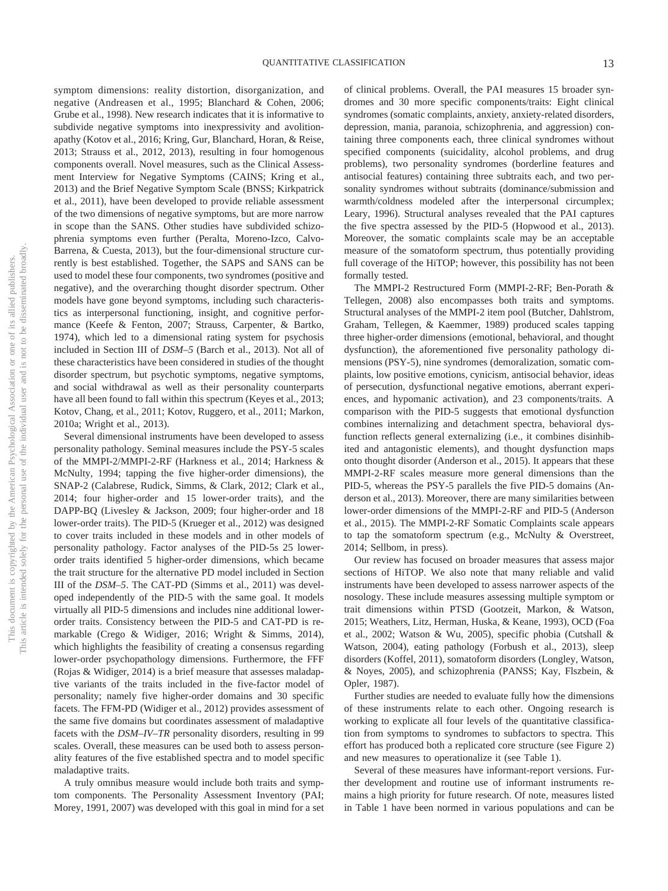symptom dimensions: reality distortion, disorganization, and negative (Andreasen et al., 1995; Blanchard & Cohen, 2006; Grube et al., 1998). New research indicates that it is informative to subdivide negative symptoms into inexpressivity and avolitionapathy (Kotov et al., 2016; Kring, Gur, Blanchard, Horan, & Reise, 2013; Strauss et al., 2012, 2013), resulting in four homogenous components overall. Novel measures, such as the Clinical Assessment Interview for Negative Symptoms (CAINS; Kring et al., 2013) and the Brief Negative Symptom Scale (BNSS; Kirkpatrick et al., 2011), have been developed to provide reliable assessment of the two dimensions of negative symptoms, but are more narrow in scope than the SANS. Other studies have subdivided schizophrenia symptoms even further (Peralta, Moreno-Izco, Calvo-Barrena, & Cuesta, 2013), but the four-dimensional structure currently is best established. Together, the SAPS and SANS can be used to model these four components, two syndromes (positive and negative), and the overarching thought disorder spectrum. Other models have gone beyond symptoms, including such characteristics as interpersonal functioning, insight, and cognitive performance (Keefe & Fenton, 2007; Strauss, Carpenter, & Bartko, 1974), which led to a dimensional rating system for psychosis included in Section III of *DSM–5* (Barch et al., 2013). Not all of these characteristics have been considered in studies of the thought disorder spectrum, but psychotic symptoms, negative symptoms, and social withdrawal as well as their personality counterparts have all been found to fall within this spectrum (Keyes et al., 2013; Kotov, Chang, et al., 2011; Kotov, Ruggero, et al., 2011; Markon, 2010a; Wright et al., 2013).

Several dimensional instruments have been developed to assess personality pathology. Seminal measures include the PSY-5 scales of the MMPI-2/MMPI-2-RF (Harkness et al., 2014; Harkness & McNulty, 1994; tapping the five higher-order dimensions), the SNAP-2 (Calabrese, Rudick, Simms, & Clark, 2012; Clark et al., 2014; four higher-order and 15 lower-order traits), and the DAPP-BQ (Livesley & Jackson, 2009; four higher-order and 18 lower-order traits). The PID-5 (Krueger et al., 2012) was designed to cover traits included in these models and in other models of personality pathology. Factor analyses of the PID-5s 25 lowerorder traits identified 5 higher-order dimensions, which became the trait structure for the alternative PD model included in Section III of the *DSM–5*. The CAT-PD (Simms et al., 2011) was developed independently of the PID-5 with the same goal. It models virtually all PID-5 dimensions and includes nine additional lowerorder traits. Consistency between the PID-5 and CAT-PD is remarkable (Crego & Widiger, 2016; Wright & Simms, 2014), which highlights the feasibility of creating a consensus regarding lower-order psychopathology dimensions. Furthermore, the FFF (Rojas & Widiger, 2014) is a brief measure that assesses maladaptive variants of the traits included in the five-factor model of personality; namely five higher-order domains and 30 specific facets. The FFM-PD (Widiger et al., 2012) provides assessment of the same five domains but coordinates assessment of maladaptive facets with the *DSM–IV–TR* personality disorders, resulting in 99 scales. Overall, these measures can be used both to assess personality features of the five established spectra and to model specific maladaptive traits.

A truly omnibus measure would include both traits and symptom components. The Personality Assessment Inventory (PAI; Morey, 1991, 2007) was developed with this goal in mind for a set of clinical problems. Overall, the PAI measures 15 broader syndromes and 30 more specific components/traits: Eight clinical syndromes (somatic complaints, anxiety, anxiety-related disorders, depression, mania, paranoia, schizophrenia, and aggression) containing three components each, three clinical syndromes without specified components (suicidality, alcohol problems, and drug problems), two personality syndromes (borderline features and antisocial features) containing three subtraits each, and two personality syndromes without subtraits (dominance/submission and warmth/coldness modeled after the interpersonal circumplex; Leary, 1996). Structural analyses revealed that the PAI captures the five spectra assessed by the PID-5 (Hopwood et al., 2013). Moreover, the somatic complaints scale may be an acceptable measure of the somatoform spectrum, thus potentially providing full coverage of the HiTOP; however, this possibility has not been formally tested.

The MMPI-2 Restructured Form (MMPI-2-RF; Ben-Porath & Tellegen, 2008) also encompasses both traits and symptoms. Structural analyses of the MMPI-2 item pool (Butcher, Dahlstrom, Graham, Tellegen, & Kaemmer, 1989) produced scales tapping three higher-order dimensions (emotional, behavioral, and thought dysfunction), the aforementioned five personality pathology dimensions (PSY-5), nine syndromes (demoralization, somatic complaints, low positive emotions, cynicism, antisocial behavior, ideas of persecution, dysfunctional negative emotions, aberrant experiences, and hypomanic activation), and 23 components/traits. A comparison with the PID-5 suggests that emotional dysfunction combines internalizing and detachment spectra, behavioral dysfunction reflects general externalizing (i.e., it combines disinhibited and antagonistic elements), and thought dysfunction maps onto thought disorder (Anderson et al., 2015). It appears that these MMPI-2-RF scales measure more general dimensions than the PID-5, whereas the PSY-5 parallels the five PID-5 domains (Anderson et al., 2013). Moreover, there are many similarities between lower-order dimensions of the MMPI-2-RF and PID-5 (Anderson et al., 2015). The MMPI-2-RF Somatic Complaints scale appears to tap the somatoform spectrum (e.g., McNulty & Overstreet, 2014; Sellbom, in press).

Our review has focused on broader measures that assess major sections of HiTOP. We also note that many reliable and valid instruments have been developed to assess narrower aspects of the nosology. These include measures assessing multiple symptom or trait dimensions within PTSD (Gootzeit, Markon, & Watson, 2015; Weathers, Litz, Herman, Huska, & Keane, 1993), OCD (Foa et al., 2002; Watson & Wu, 2005), specific phobia (Cutshall & Watson, 2004), eating pathology (Forbush et al., 2013), sleep disorders (Koffel, 2011), somatoform disorders (Longley, Watson, & Noyes, 2005), and schizophrenia (PANSS; Kay, Flszbein, & Opler, 1987).

Further studies are needed to evaluate fully how the dimensions of these instruments relate to each other. Ongoing research is working to explicate all four levels of the quantitative classification from symptoms to syndromes to subfactors to spectra. This effort has produced both a replicated core structure (see Figure 2) and new measures to operationalize it (see [Table 1\)](#page-12-0).

Several of these measures have informant-report versions. Further development and routine use of informant instruments remains a high priority for future research. Of note, measures listed in [Table 1](#page-12-0) have been normed in various populations and can be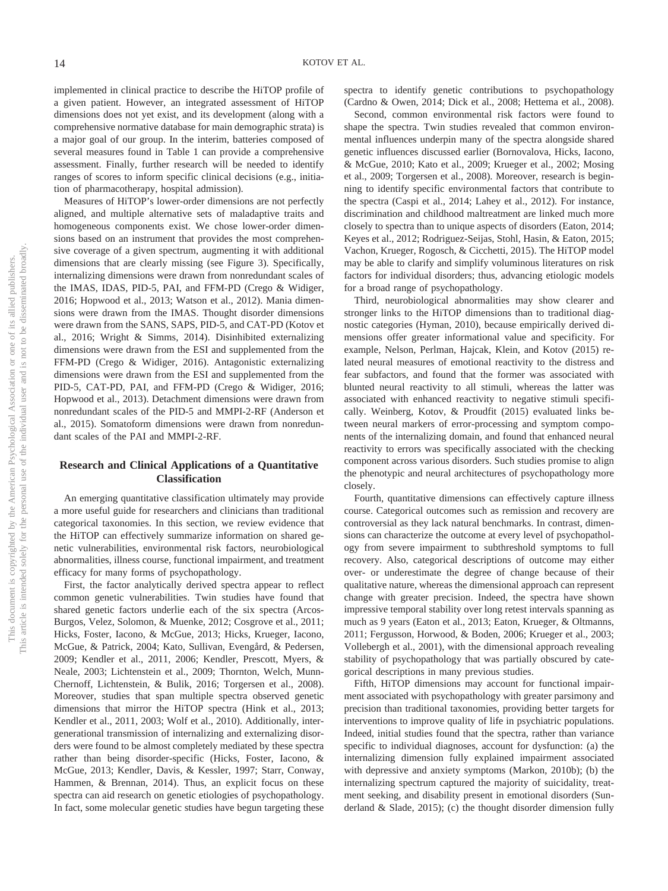implemented in clinical practice to describe the HiTOP profile of a given patient. However, an integrated assessment of HiTOP dimensions does not yet exist, and its development (along with a comprehensive normative database for main demographic strata) is a major goal of our group. In the interim, batteries composed of several measures found in [Table 1](#page-12-0) can provide a comprehensive assessment. Finally, further research will be needed to identify ranges of scores to inform specific clinical decisions (e.g., initiation of pharmacotherapy, hospital admission).

Measures of HiTOP's lower-order dimensions are not perfectly aligned, and multiple alternative sets of maladaptive traits and homogeneous components exist. We chose lower-order dimensions based on an instrument that provides the most comprehensive coverage of a given spectrum, augmenting it with additional dimensions that are clearly missing (see Figure 3). Specifically, internalizing dimensions were drawn from nonredundant scales of the IMAS, IDAS, PID-5, PAI, and FFM-PD (Crego & Widiger, 2016; Hopwood et al., 2013; Watson et al., 2012). Mania dimensions were drawn from the IMAS. Thought disorder dimensions were drawn from the SANS, SAPS, PID-5, and CAT-PD (Kotov et al., 2016; Wright & Simms, 2014). Disinhibited externalizing dimensions were drawn from the ESI and supplemented from the FFM-PD (Crego & Widiger, 2016). Antagonistic externalizing dimensions were drawn from the ESI and supplemented from the PID-5, CAT-PD, PAI, and FFM-PD (Crego & Widiger, 2016; Hopwood et al., 2013). Detachment dimensions were drawn from nonredundant scales of the PID-5 and MMPI-2-RF (Anderson et al., 2015). Somatoform dimensions were drawn from nonredundant scales of the PAI and MMPI-2-RF.

#### **Research and Clinical Applications of a Quantitative Classification**

An emerging quantitative classification ultimately may provide a more useful guide for researchers and clinicians than traditional categorical taxonomies. In this section, we review evidence that the HiTOP can effectively summarize information on shared genetic vulnerabilities, environmental risk factors, neurobiological abnormalities, illness course, functional impairment, and treatment efficacy for many forms of psychopathology.

First, the factor analytically derived spectra appear to reflect common genetic vulnerabilities. Twin studies have found that shared genetic factors underlie each of the six spectra (Arcos-Burgos, Velez, Solomon, & Muenke, 2012; Cosgrove et al., 2011; Hicks, Foster, Iacono, & McGue, 2013; Hicks, Krueger, Iacono, McGue, & Patrick, 2004; Kato, Sullivan, Evengård, & Pedersen, 2009; Kendler et al., 2011, 2006; Kendler, Prescott, Myers, & Neale, 2003; Lichtenstein et al., 2009; Thornton, Welch, Munn-Chernoff, Lichtenstein, & Bulik, 2016; Torgersen et al., 2008). Moreover, studies that span multiple spectra observed genetic dimensions that mirror the HiTOP spectra (Hink et al., 2013; Kendler et al., 2011, 2003; Wolf et al., 2010). Additionally, intergenerational transmission of internalizing and externalizing disorders were found to be almost completely mediated by these spectra rather than being disorder-specific (Hicks, Foster, Iacono, & McGue, 2013; Kendler, Davis, & Kessler, 1997; Starr, Conway, Hammen, & Brennan, 2014). Thus, an explicit focus on these spectra can aid research on genetic etiologies of psychopathology. In fact, some molecular genetic studies have begun targeting these

spectra to identify genetic contributions to psychopathology (Cardno & Owen, 2014; Dick et al., 2008; Hettema et al., 2008).

Second, common environmental risk factors were found to shape the spectra. Twin studies revealed that common environmental influences underpin many of the spectra alongside shared genetic influences discussed earlier (Bornovalova, Hicks, Iacono, & McGue, 2010; Kato et al., 2009; Krueger et al., 2002; Mosing et al., 2009; Torgersen et al., 2008). Moreover, research is beginning to identify specific environmental factors that contribute to the spectra (Caspi et al., 2014; Lahey et al., 2012). For instance, discrimination and childhood maltreatment are linked much more closely to spectra than to unique aspects of disorders (Eaton, 2014; Keyes et al., 2012; Rodriguez-Seijas, Stohl, Hasin, & Eaton, 2015; Vachon, Krueger, Rogosch, & Cicchetti, 2015). The HiTOP model may be able to clarify and simplify voluminous literatures on risk factors for individual disorders; thus, advancing etiologic models for a broad range of psychopathology.

Third, neurobiological abnormalities may show clearer and stronger links to the HiTOP dimensions than to traditional diagnostic categories (Hyman, 2010), because empirically derived dimensions offer greater informational value and specificity. For example, Nelson, Perlman, Hajcak, Klein, and Kotov (2015) related neural measures of emotional reactivity to the distress and fear subfactors, and found that the former was associated with blunted neural reactivity to all stimuli, whereas the latter was associated with enhanced reactivity to negative stimuli specifically. Weinberg, Kotov, & Proudfit (2015) evaluated links between neural markers of error-processing and symptom components of the internalizing domain, and found that enhanced neural reactivity to errors was specifically associated with the checking component across various disorders. Such studies promise to align the phenotypic and neural architectures of psychopathology more closely.

Fourth, quantitative dimensions can effectively capture illness course. Categorical outcomes such as remission and recovery are controversial as they lack natural benchmarks. In contrast, dimensions can characterize the outcome at every level of psychopathology from severe impairment to subthreshold symptoms to full recovery. Also, categorical descriptions of outcome may either over- or underestimate the degree of change because of their qualitative nature, whereas the dimensional approach can represent change with greater precision. Indeed, the spectra have shown impressive temporal stability over long retest intervals spanning as much as 9 years (Eaton et al., 2013; Eaton, Krueger, & Oltmanns, 2011; Fergusson, Horwood, & Boden, 2006; Krueger et al., 2003; Vollebergh et al., 2001), with the dimensional approach revealing stability of psychopathology that was partially obscured by categorical descriptions in many previous studies.

Fifth, HiTOP dimensions may account for functional impairment associated with psychopathology with greater parsimony and precision than traditional taxonomies, providing better targets for interventions to improve quality of life in psychiatric populations. Indeed, initial studies found that the spectra, rather than variance specific to individual diagnoses, account for dysfunction: (a) the internalizing dimension fully explained impairment associated with depressive and anxiety symptoms (Markon, 2010b); (b) the internalizing spectrum captured the majority of suicidality, treatment seeking, and disability present in emotional disorders (Sunderland & Slade, 2015); (c) the thought disorder dimension fully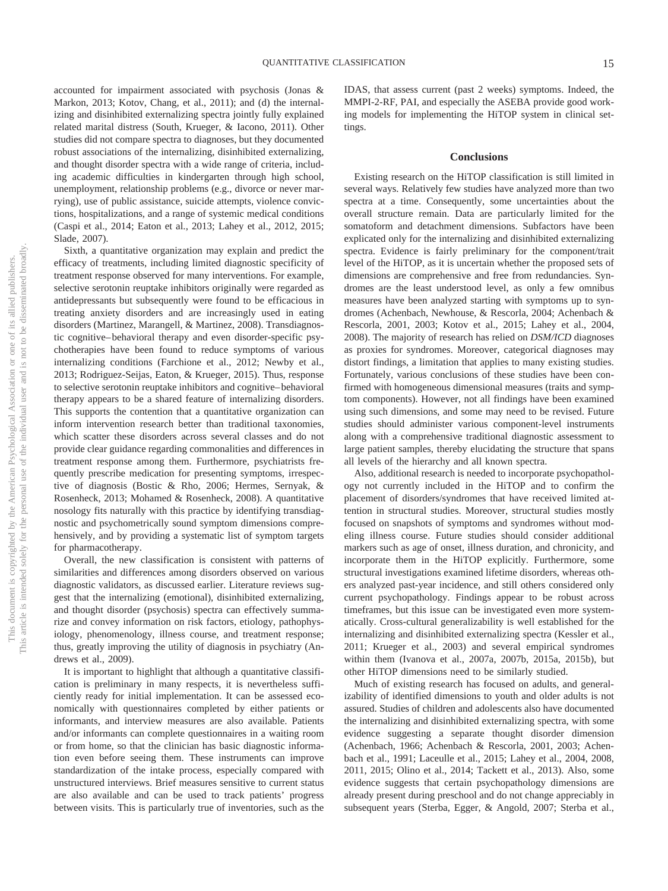accounted for impairment associated with psychosis (Jonas & Markon, 2013; Kotov, Chang, et al., 2011); and (d) the internalizing and disinhibited externalizing spectra jointly fully explained related marital distress (South, Krueger, & Iacono, 2011). Other studies did not compare spectra to diagnoses, but they documented robust associations of the internalizing, disinhibited externalizing, and thought disorder spectra with a wide range of criteria, including academic difficulties in kindergarten through high school, unemployment, relationship problems (e.g., divorce or never marrying), use of public assistance, suicide attempts, violence convictions, hospitalizations, and a range of systemic medical conditions (Caspi et al., 2014; Eaton et al., 2013; Lahey et al., 2012, 2015; Slade, 2007).

Sixth, a quantitative organization may explain and predict the efficacy of treatments, including limited diagnostic specificity of treatment response observed for many interventions. For example, selective serotonin reuptake inhibitors originally were regarded as antidepressants but subsequently were found to be efficacious in treating anxiety disorders and are increasingly used in eating disorders (Martinez, Marangell, & Martinez, 2008). Transdiagnostic cognitive– behavioral therapy and even disorder-specific psychotherapies have been found to reduce symptoms of various internalizing conditions (Farchione et al., 2012; Newby et al., 2013; Rodriguez-Seijas, Eaton, & Krueger, 2015). Thus, response to selective serotonin reuptake inhibitors and cognitive– behavioral therapy appears to be a shared feature of internalizing disorders. This supports the contention that a quantitative organization can inform intervention research better than traditional taxonomies, which scatter these disorders across several classes and do not provide clear guidance regarding commonalities and differences in treatment response among them. Furthermore, psychiatrists frequently prescribe medication for presenting symptoms, irrespective of diagnosis (Bostic & Rho, 2006; Hermes, Sernyak, & Rosenheck, 2013; Mohamed & Rosenheck, 2008). A quantitative nosology fits naturally with this practice by identifying transdiagnostic and psychometrically sound symptom dimensions comprehensively, and by providing a systematic list of symptom targets for pharmacotherapy.

Overall, the new classification is consistent with patterns of similarities and differences among disorders observed on various diagnostic validators, as discussed earlier. Literature reviews suggest that the internalizing (emotional), disinhibited externalizing, and thought disorder (psychosis) spectra can effectively summarize and convey information on risk factors, etiology, pathophysiology, phenomenology, illness course, and treatment response; thus, greatly improving the utility of diagnosis in psychiatry (Andrews et al., 2009).

It is important to highlight that although a quantitative classification is preliminary in many respects, it is nevertheless sufficiently ready for initial implementation. It can be assessed economically with questionnaires completed by either patients or informants, and interview measures are also available. Patients and/or informants can complete questionnaires in a waiting room or from home, so that the clinician has basic diagnostic information even before seeing them. These instruments can improve standardization of the intake process, especially compared with unstructured interviews. Brief measures sensitive to current status are also available and can be used to track patients' progress between visits. This is particularly true of inventories, such as the IDAS, that assess current (past 2 weeks) symptoms. Indeed, the MMPI-2-RF, PAI, and especially the ASEBA provide good working models for implementing the HiTOP system in clinical settings.

#### **Conclusions**

Existing research on the HiTOP classification is still limited in several ways. Relatively few studies have analyzed more than two spectra at a time. Consequently, some uncertainties about the overall structure remain. Data are particularly limited for the somatoform and detachment dimensions. Subfactors have been explicated only for the internalizing and disinhibited externalizing spectra. Evidence is fairly preliminary for the component/trait level of the HiTOP, as it is uncertain whether the proposed sets of dimensions are comprehensive and free from redundancies. Syndromes are the least understood level, as only a few omnibus measures have been analyzed starting with symptoms up to syndromes (Achenbach, Newhouse, & Rescorla, 2004; Achenbach & Rescorla, 2001, 2003; Kotov et al., 2015; Lahey et al., 2004, 2008). The majority of research has relied on *DSM/ICD* diagnoses as proxies for syndromes. Moreover, categorical diagnoses may distort findings, a limitation that applies to many existing studies. Fortunately, various conclusions of these studies have been confirmed with homogeneous dimensional measures (traits and symptom components). However, not all findings have been examined using such dimensions, and some may need to be revised. Future studies should administer various component-level instruments along with a comprehensive traditional diagnostic assessment to large patient samples, thereby elucidating the structure that spans all levels of the hierarchy and all known spectra.

Also, additional research is needed to incorporate psychopathology not currently included in the HiTOP and to confirm the placement of disorders/syndromes that have received limited attention in structural studies. Moreover, structural studies mostly focused on snapshots of symptoms and syndromes without modeling illness course. Future studies should consider additional markers such as age of onset, illness duration, and chronicity, and incorporate them in the HiTOP explicitly. Furthermore, some structural investigations examined lifetime disorders, whereas others analyzed past-year incidence, and still others considered only current psychopathology. Findings appear to be robust across timeframes, but this issue can be investigated even more systematically. Cross-cultural generalizability is well established for the internalizing and disinhibited externalizing spectra (Kessler et al., 2011; Krueger et al., 2003) and several empirical syndromes within them (Ivanova et al., 2007a, 2007b, 2015a, 2015b), but other HiTOP dimensions need to be similarly studied.

Much of existing research has focused on adults, and generalizability of identified dimensions to youth and older adults is not assured. Studies of children and adolescents also have documented the internalizing and disinhibited externalizing spectra, with some evidence suggesting a separate thought disorder dimension (Achenbach, 1966; Achenbach & Rescorla, 2001, 2003; Achenbach et al., 1991; Laceulle et al., 2015; Lahey et al., 2004, 2008, 2011, 2015; Olino et al., 2014; Tackett et al., 2013). Also, some evidence suggests that certain psychopathology dimensions are already present during preschool and do not change appreciably in subsequent years (Sterba, Egger, & Angold, 2007; Sterba et al.,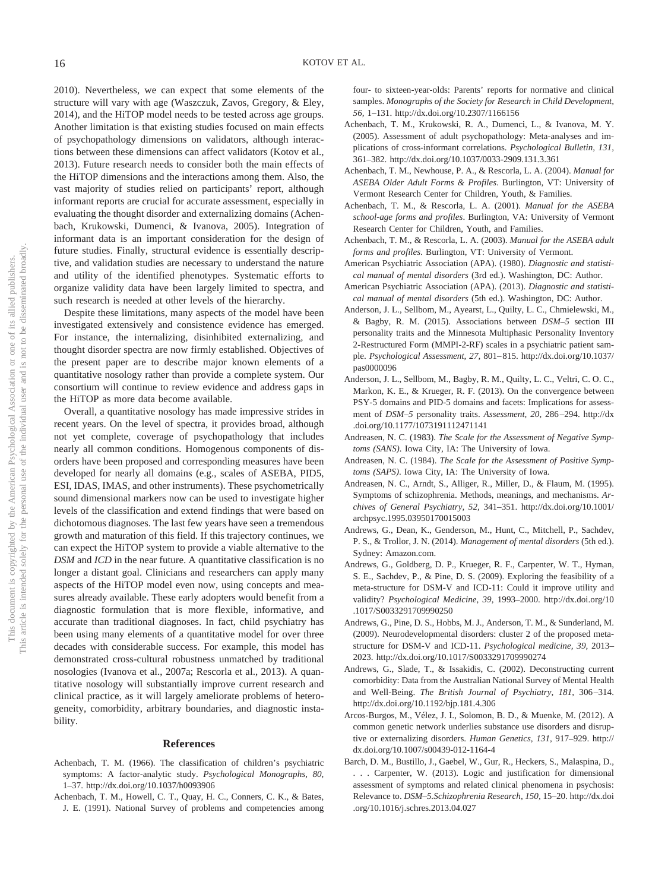2010). Nevertheless, we can expect that some elements of the structure will vary with age (Waszczuk, Zavos, Gregory, & Eley, 2014), and the HiTOP model needs to be tested across age groups. Another limitation is that existing studies focused on main effects of psychopathology dimensions on validators, although interactions between these dimensions can affect validators (Kotov et al., 2013). Future research needs to consider both the main effects of the HiTOP dimensions and the interactions among them. Also, the vast majority of studies relied on participants' report, although informant reports are crucial for accurate assessment, especially in evaluating the thought disorder and externalizing domains (Achenbach, Krukowski, Dumenci, & Ivanova, 2005). Integration of informant data is an important consideration for the design of future studies. Finally, structural evidence is essentially descriptive, and validation studies are necessary to understand the nature and utility of the identified phenotypes. Systematic efforts to organize validity data have been largely limited to spectra, and such research is needed at other levels of the hierarchy.

Despite these limitations, many aspects of the model have been investigated extensively and consistence evidence has emerged. For instance, the internalizing, disinhibited externalizing, and thought disorder spectra are now firmly established. Objectives of the present paper are to describe major known elements of a quantitative nosology rather than provide a complete system. Our consortium will continue to review evidence and address gaps in the HiTOP as more data become available.

Overall, a quantitative nosology has made impressive strides in recent years. On the level of spectra, it provides broad, although not yet complete, coverage of psychopathology that includes nearly all common conditions. Homogenous components of disorders have been proposed and corresponding measures have been developed for nearly all domains (e.g., scales of ASEBA, PID5, ESI, IDAS, IMAS, and other instruments). These psychometrically sound dimensional markers now can be used to investigate higher levels of the classification and extend findings that were based on dichotomous diagnoses. The last few years have seen a tremendous growth and maturation of this field. If this trajectory continues, we can expect the HiTOP system to provide a viable alternative to the *DSM* and *ICD* in the near future. A quantitative classification is no longer a distant goal. Clinicians and researchers can apply many aspects of the HiTOP model even now, using concepts and measures already available. These early adopters would benefit from a diagnostic formulation that is more flexible, informative, and accurate than traditional diagnoses. In fact, child psychiatry has been using many elements of a quantitative model for over three decades with considerable success. For example, this model has demonstrated cross-cultural robustness unmatched by traditional nosologies (Ivanova et al., 2007a; Rescorla et al., 2013). A quantitative nosology will substantially improve current research and clinical practice, as it will largely ameliorate problems of heterogeneity, comorbidity, arbitrary boundaries, and diagnostic instability.

#### **References**

- Achenbach, T. M. (1966). The classification of children's psychiatric symptoms: A factor-analytic study. *Psychological Monographs, 80,* 1–37.<http://dx.doi.org/10.1037/h0093906>
- Achenbach, T. M., Howell, C. T., Quay, H. C., Conners, C. K., & Bates, J. E. (1991). National Survey of problems and competencies among

four- to sixteen-year-olds: Parents' reports for normative and clinical samples. *Monographs of the Society for Research in Child Development, 56,* 1–131.<http://dx.doi.org/10.2307/1166156>

- Achenbach, T. M., Krukowski, R. A., Dumenci, L., & Ivanova, M. Y. (2005). Assessment of adult psychopathology: Meta-analyses and implications of cross-informant correlations. *Psychological Bulletin, 131,* 361–382.<http://dx.doi.org/10.1037/0033-2909.131.3.361>
- Achenbach, T. M., Newhouse, P. A., & Rescorla, L. A. (2004). *Manual for ASEBA Older Adult Forms & Profiles*. Burlington, VT: University of Vermont Research Center for Children, Youth, & Families.
- Achenbach, T. M., & Rescorla, L. A. (2001). *Manual for the ASEBA school-age forms and profiles*. Burlington, VA: University of Vermont Research Center for Children, Youth, and Families.
- Achenbach, T. M., & Rescorla, L. A. (2003). *Manual for the ASEBA adult forms and profiles*. Burlington, VT: University of Vermont.
- American Psychiatric Association (APA). (1980). *Diagnostic and statistical manual of mental disorders* (3rd ed.). Washington, DC: Author.
- American Psychiatric Association (APA). (2013). *Diagnostic and statistical manual of mental disorders* (5th ed.). Washington, DC: Author.
- Anderson, J. L., Sellbom, M., Ayearst, L., Quilty, L. C., Chmielewski, M., & Bagby, R. M. (2015). Associations between *DSM–5* section III personality traits and the Minnesota Multiphasic Personality Inventory 2-Restructured Form (MMPI-2-RF) scales in a psychiatric patient sample. *Psychological Assessment, 27,* 801– 815. [http://dx.doi.org/10.1037/](http://dx.doi.org/10.1037/pas0000096) [pas0000096](http://dx.doi.org/10.1037/pas0000096)
- Anderson, J. L., Sellbom, M., Bagby, R. M., Quilty, L. C., Veltri, C. O. C., Markon, K. E., & Krueger, R. F. (2013). On the convergence between PSY-5 domains and PID-5 domains and facets: Implications for assessment of *DSM–5* personality traits. *Assessment, 20,* 286 –294. [http://dx](http://dx.doi.org/10.1177/1073191112471141) [.doi.org/10.1177/1073191112471141](http://dx.doi.org/10.1177/1073191112471141)
- Andreasen, N. C. (1983). *The Scale for the Assessment of Negative Symptoms (SANS)*. Iowa City, IA: The University of Iowa.
- Andreasen, N. C. (1984). *The Scale for the Assessment of Positive Symptoms (SAPS)*. Iowa City, IA: The University of Iowa.
- Andreasen, N. C., Arndt, S., Alliger, R., Miller, D., & Flaum, M. (1995). Symptoms of schizophrenia. Methods, meanings, and mechanisms. *Archives of General Psychiatry, 52,* 341–351. [http://dx.doi.org/10.1001/](http://dx.doi.org/10.1001/archpsyc.1995.03950170015003) [archpsyc.1995.03950170015003](http://dx.doi.org/10.1001/archpsyc.1995.03950170015003)
- Andrews, G., Dean, K., Genderson, M., Hunt, C., Mitchell, P., Sachdev, P. S., & Trollor, J. N. (2014). *Management of mental disorders* (5th ed.). Sydney: Amazon.com.
- Andrews, G., Goldberg, D. P., Krueger, R. F., Carpenter, W. T., Hyman, S. E., Sachdev, P., & Pine, D. S. (2009). Exploring the feasibility of a meta-structure for DSM-V and ICD-11: Could it improve utility and validity? *Psychological Medicine, 39,* 1993–2000. [http://dx.doi.org/10](http://dx.doi.org/10.1017/S0033291709990250) [.1017/S0033291709990250](http://dx.doi.org/10.1017/S0033291709990250)
- Andrews, G., Pine, D. S., Hobbs, M. J., Anderson, T. M., & Sunderland, M. (2009). Neurodevelopmental disorders: cluster 2 of the proposed metastructure for DSM-V and ICD-11. *Psychological medicine, 39,* 2013– 2023.<http://dx.doi.org/10.1017/S0033291709990274>
- Andrews, G., Slade, T., & Issakidis, C. (2002). Deconstructing current comorbidity: Data from the Australian National Survey of Mental Health and Well-Being. *The British Journal of Psychiatry, 181, 306-314*. <http://dx.doi.org/10.1192/bjp.181.4.306>
- Arcos-Burgos, M., Vélez, J. I., Solomon, B. D., & Muenke, M. (2012). A common genetic network underlies substance use disorders and disruptive or externalizing disorders. *Human Genetics, 131,* 917–929. [http://](http://dx.doi.org/10.1007/s00439-012-1164-4) [dx.doi.org/10.1007/s00439-012-1164-4](http://dx.doi.org/10.1007/s00439-012-1164-4)
- Barch, D. M., Bustillo, J., Gaebel, W., Gur, R., Heckers, S., Malaspina, D., . . . Carpenter, W. (2013). Logic and justification for dimensional assessment of symptoms and related clinical phenomena in psychosis: Relevance to. *DSM–5.Schizophrenia Research, 150,* 15–20. [http://dx.doi](http://dx.doi.org/10.1016/j.schres.2013.04.027) [.org/10.1016/j.schres.2013.04.027](http://dx.doi.org/10.1016/j.schres.2013.04.027)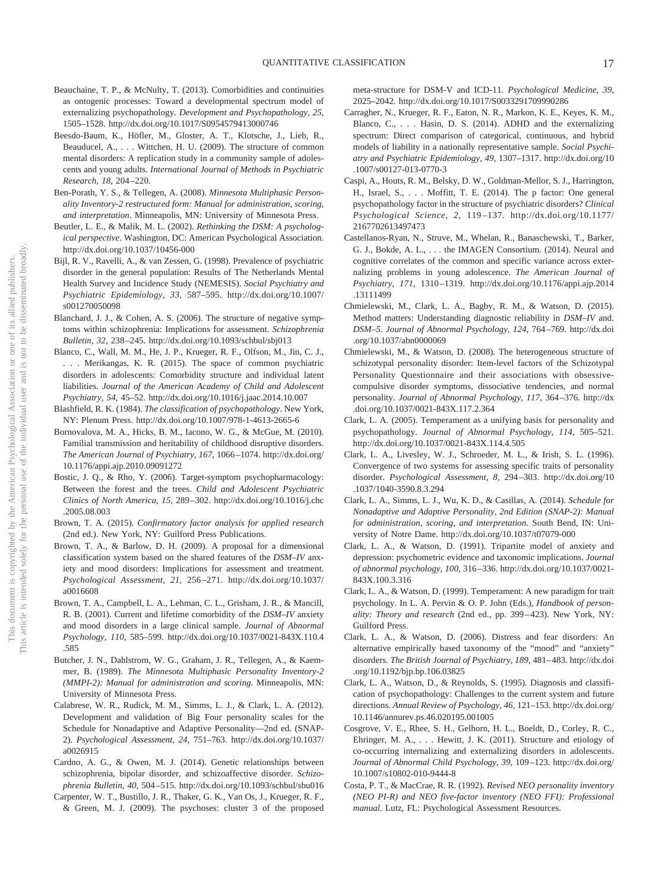- Beauchaine, T. P., & McNulty, T. (2013). Comorbidities and continuities as ontogenic processes: Toward a developmental spectrum model of externalizing psychopathology. *Development and Psychopathology, 25,* 1505–1528.<http://dx.doi.org/10.1017/S0954579413000746>
- Beesdo-Baum, K., Höfler, M., Gloster, A. T., Klotsche, J., Lieb, R., Beauducel, A.,... Wittchen, H. U. (2009). The structure of common mental disorders: A replication study in a community sample of adolescents and young adults. *International Journal of Methods in Psychiatric Research, 18,* 204 –220.
- Ben-Porath, Y. S., & Tellegen, A. (2008). *Minnesota Multiphasic Personality Inventory-2 restructured form: Manual for administration, scoring, and interpretation*. Minneapolis, MN: University of Minnesota Press.
- Beutler, L. E., & Malik, M. L. (2002). *Rethinking the DSM: A psychological perspective*. Washington, DC: American Psychological Association. <http://dx.doi.org/10.1037/10456-000>
- Bijl, R. V., Ravelli, A., & van Zessen, G. (1998). Prevalence of psychiatric disorder in the general population: Results of The Netherlands Mental Health Survey and Incidence Study (NEMESIS). *Social Psychiatry and Psychiatric Epidemiology, 33,* 587–595. [http://dx.doi.org/10.1007/](http://dx.doi.org/10.1007/s001270050098) [s001270050098](http://dx.doi.org/10.1007/s001270050098)
- Blanchard, J. J., & Cohen, A. S. (2006). The structure of negative symptoms within schizophrenia: Implications for assessment. *Schizophrenia Bulletin, 32,* 238 –245.<http://dx.doi.org/10.1093/schbul/sbj013>
- Blanco, C., Wall, M. M., He, J. P., Krueger, R. F., Olfson, M., Jin, C. J., . . . Merikangas, K. R. (2015). The space of common psychiatric disorders in adolescents: Comorbidity structure and individual latent liabilities. *Journal of the American Academy of Child and Adolescent Psychiatry, 54,* 45–52.<http://dx.doi.org/10.1016/j.jaac.2014.10.007>
- Blashfield, R. K. (1984). *The classification of psychopathology*. New York, NY: Plenum Press.<http://dx.doi.org/10.1007/978-1-4613-2665-6>
- Bornovalova, M. A., Hicks, B. M., Iacono, W. G., & McGue, M. (2010). Familial transmission and heritability of childhood disruptive disorders. *The American Journal of Psychiatry, 167,* 1066 –1074. [http://dx.doi.org/](http://dx.doi.org/10.1176/appi.ajp.2010.09091272) [10.1176/appi.ajp.2010.09091272](http://dx.doi.org/10.1176/appi.ajp.2010.09091272)
- Bostic, J. Q., & Rho, Y. (2006). Target-symptom psychopharmacology: Between the forest and the trees. *Child and Adolescent Psychiatric Clinics of North America, 15,* 289 –302. [http://dx.doi.org/10.1016/j.chc](http://dx.doi.org/10.1016/j.chc.2005.08.003) [.2005.08.003](http://dx.doi.org/10.1016/j.chc.2005.08.003)
- Brown, T. A. (2015). *Confirmatory factor analysis for applied research* (2nd ed.). New York, NY: Guilford Press Publications.
- Brown, T. A., & Barlow, D. H. (2009). A proposal for a dimensional classification system based on the shared features of the *DSM–IV* anxiety and mood disorders: Implications for assessment and treatment. *Psychological Assessment, 21,* 256 –271. [http://dx.doi.org/10.1037/](http://dx.doi.org/10.1037/a0016608) [a0016608](http://dx.doi.org/10.1037/a0016608)
- Brown, T. A., Campbell, L. A., Lehman, C. L., Grisham, J. R., & Mancill, R. B. (2001). Current and lifetime comorbidity of the *DSM–IV* anxiety and mood disorders in a large clinical sample. *Journal of Abnormal Psychology, 110,* 585–599. [http://dx.doi.org/10.1037/0021-843X.110.4](http://dx.doi.org/10.1037/0021-843X.110.4.585) [.585](http://dx.doi.org/10.1037/0021-843X.110.4.585)
- Butcher, J. N., Dahlstrom, W. G., Graham, J. R., Tellegen, A., & Kaemmer, B. (1989). *The Minnesota Multiphasic Personality Inventory-2 (MMPI-2): Manual for administration and scoring*. Minneapolis, MN: University of Minnesota Press.
- Calabrese, W. R., Rudick, M. M., Simms, L. J., & Clark, L. A. (2012). Development and validation of Big Four personality scales for the Schedule for Nonadaptive and Adaptive Personality—2nd ed. (SNAP-2). *Psychological Assessment, 24,* 751–763. [http://dx.doi.org/10.1037/](http://dx.doi.org/10.1037/a0026915) [a0026915](http://dx.doi.org/10.1037/a0026915)
- Cardno, A. G., & Owen, M. J. (2014). Genetic relationships between schizophrenia, bipolar disorder, and schizoaffective disorder. *Schizophrenia Bulletin, 40,* 504 –515.<http://dx.doi.org/10.1093/schbul/sbu016>
- Carpenter, W. T., Bustillo, J. R., Thaker, G. K., Van Os, J., Krueger, R. F., & Green, M. J. (2009). The psychoses: cluster 3 of the proposed

meta-structure for DSM-V and ICD-11. *Psychological Medicine, 39,* 2025–2042.<http://dx.doi.org/10.1017/S0033291709990286>

- Carragher, N., Krueger, R. F., Eaton, N. R., Markon, K. E., Keyes, K. M., Blanco, C.,... Hasin, D. S. (2014). ADHD and the externalizing spectrum: Direct comparison of categorical, continuous, and hybrid models of liability in a nationally representative sample. *Social Psychiatry and Psychiatric Epidemiology, 49,* 1307–1317. [http://dx.doi.org/10](http://dx.doi.org/10.1007/s00127-013-0770-3) [.1007/s00127-013-0770-3](http://dx.doi.org/10.1007/s00127-013-0770-3)
- Caspi, A., Houts, R. M., Belsky, D. W., Goldman-Mellor, S. J., Harrington, H., Israel, S.,... Moffitt, T. E. (2014). The p factor: One general psychopathology factor in the structure of psychiatric disorders? *Clinical Psychological Science, 2,* 119 –137. [http://dx.doi.org/10.1177/](http://dx.doi.org/10.1177/2167702613497473) [2167702613497473](http://dx.doi.org/10.1177/2167702613497473)
- Castellanos-Ryan, N., Struve, M., Whelan, R., Banaschewski, T., Barker, G. J., Bokde, A. L., . . . the IMAGEN Consortium. (2014). Neural and cognitive correlates of the common and specific variance across externalizing problems in young adolescence. *The American Journal of Psychiatry, 171,* 1310 –1319. [http://dx.doi.org/10.1176/appi.ajp.2014](http://dx.doi.org/10.1176/appi.ajp.2014.13111499) [.13111499](http://dx.doi.org/10.1176/appi.ajp.2014.13111499)
- Chmielewski, M., Clark, L. A., Bagby, R. M., & Watson, D. (2015). Method matters: Understanding diagnostic reliability in *DSM–IV* and. *DSM–5*. *Journal of Abnormal Psychology, 124,* 764 –769. [http://dx.doi](http://dx.doi.org/10.1037/abn0000069) [.org/10.1037/abn0000069](http://dx.doi.org/10.1037/abn0000069)
- Chmielewski, M., & Watson, D. (2008). The heterogeneous structure of schizotypal personality disorder: Item-level factors of the Schizotypal Personality Questionnaire and their associations with obsessivecompulsive disorder symptoms, dissociative tendencies, and normal personality. *Journal of Abnormal Psychology, 117,* 364 –376. [http://dx](http://dx.doi.org/10.1037/0021-843X.117.2.364) [.doi.org/10.1037/0021-843X.117.2.364](http://dx.doi.org/10.1037/0021-843X.117.2.364)
- Clark, L. A. (2005). Temperament as a unifying basis for personality and psychopathology. *Journal of Abnormal Psychology, 114,* 505–521. <http://dx.doi.org/10.1037/0021-843X.114.4.505>
- Clark, L. A., Livesley, W. J., Schroeder, M. L., & Irish, S. L. (1996). Convergence of two systems for assessing specific traits of personality disorder. *Psychological Assessment, 8,* 294 –303. [http://dx.doi.org/10](http://dx.doi.org/10.1037/1040-3590.8.3.294) [.1037/1040-3590.8.3.294](http://dx.doi.org/10.1037/1040-3590.8.3.294)
- Clark, L. A., Simms, L. J., Wu, K. D., & Casillas, A. (2014). *Schedule for Nonadaptive and Adaptive Personality, 2nd Edition (SNAP-2): Manual for administration, scoring, and interpretation*. South Bend, IN: University of Notre Dame.<http://dx.doi.org/10.1037/t07079-000>
- Clark, L. A., & Watson, D. (1991). Tripartite model of anxiety and depression: psychometric evidence and taxonomic implications. *Journal of abnormal psychology, 100,* 316 –336. [http://dx.doi.org/10.1037/0021-](http://dx.doi.org/10.1037/0021-843X.100.3.316) [843X.100.3.316](http://dx.doi.org/10.1037/0021-843X.100.3.316)
- Clark, L. A., & Watson, D. (1999). Temperament: A new paradigm for trait psychology. In L. A. Pervin & O. P. John (Eds.), *Handbook of personality: Theory and research* (2nd ed., pp. 399-423). New York, NY: Guilford Press.
- Clark, L. A., & Watson, D. (2006). Distress and fear disorders: An alternative empirically based taxonomy of the "mood" and "anxiety" disorders. *The British Journal of Psychiatry, 189,* 481– 483. [http://dx.doi](http://dx.doi.org/10.1192/bjp.bp.106.03825) [.org/10.1192/bjp.bp.106.03825](http://dx.doi.org/10.1192/bjp.bp.106.03825)
- Clark, L. A., Watson, D., & Reynolds, S. (1995). Diagnosis and classification of psychopathology: Challenges to the current system and future directions. *Annual Review of Psychology, 46,* 121–153. [http://dx.doi.org/](http://dx.doi.org/10.1146/annurev.ps.46.020195.001005) [10.1146/annurev.ps.46.020195.001005](http://dx.doi.org/10.1146/annurev.ps.46.020195.001005)
- Cosgrove, V. E., Rhee, S. H., Gelhorn, H. L., Boeldt, D., Corley, R. C., Ehringer, M. A.,... Hewitt, J. K. (2011). Structure and etiology of co-occurring internalizing and externalizing disorders in adolescents. *Journal of Abnormal Child Psychology, 39,* 109 –123. [http://dx.doi.org/](http://dx.doi.org/10.1007/s10802-010-9444-8) [10.1007/s10802-010-9444-8](http://dx.doi.org/10.1007/s10802-010-9444-8)
- Costa, P. T., & MacCrae, R. R. (1992). *Revised NEO personality inventory (NEO PI-R) and NEO five-factor inventory (NEO FFI): Professional manual*. Lutz, FL: Psychological Assessment Resources.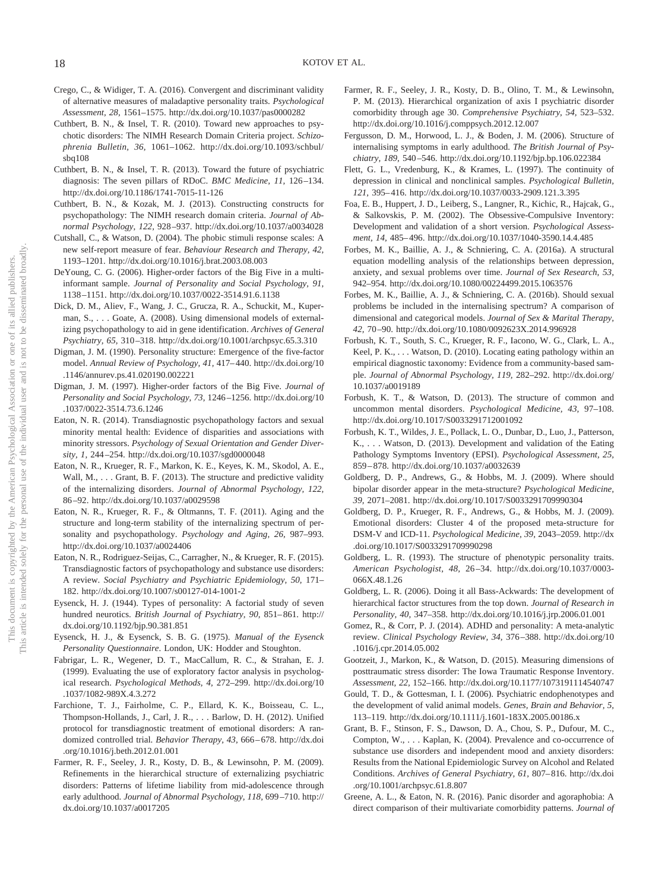- Crego, C., & Widiger, T. A. (2016). Convergent and discriminant validity of alternative measures of maladaptive personality traits. *Psychological Assessment, 28,* 1561–1575.<http://dx.doi.org/10.1037/pas0000282>
- Cuthbert, B. N., & Insel, T. R. (2010). Toward new approaches to psychotic disorders: The NIMH Research Domain Criteria project. *Schizophrenia Bulletin, 36,* 1061–1062. [http://dx.doi.org/10.1093/schbul/](http://dx.doi.org/10.1093/schbul/sbq108) sh $q108$
- Cuthbert, B. N., & Insel, T. R. (2013). Toward the future of psychiatric diagnosis: The seven pillars of RDoC. *BMC Medicine*, 11, 126-134. <http://dx.doi.org/10.1186/1741-7015-11-126>
- Cuthbert, B. N., & Kozak, M. J. (2013). Constructing constructs for psychopathology: The NIMH research domain criteria. *Journal of Abnormal Psychology, 122,* 928 –937.<http://dx.doi.org/10.1037/a0034028>
- Cutshall, C., & Watson, D. (2004). The phobic stimuli response scales: A new self-report measure of fear. *Behaviour Research and Therapy, 42,* 1193–1201.<http://dx.doi.org/10.1016/j.brat.2003.08.003>
- DeYoung, C. G. (2006). Higher-order factors of the Big Five in a multiinformant sample. *Journal of Personality and Social Psychology, 91,* 1138 –1151.<http://dx.doi.org/10.1037/0022-3514.91.6.1138>
- Dick, D. M., Aliev, F., Wang, J. C., Grucza, R. A., Schuckit, M., Kuperman, S.,... Goate, A. (2008). Using dimensional models of externalizing psychopathology to aid in gene identification. *Archives of General Psychiatry, 65,* 310 –318.<http://dx.doi.org/10.1001/archpsyc.65.3.310>
- Digman, J. M. (1990). Personality structure: Emergence of the five-factor model. *Annual Review of Psychology, 41,* 417– 440. [http://dx.doi.org/10](http://dx.doi.org/10.1146/annurev.ps.41.020190.002221) [.1146/annurev.ps.41.020190.002221](http://dx.doi.org/10.1146/annurev.ps.41.020190.002221)
- Digman, J. M. (1997). Higher-order factors of the Big Five. *Journal of Personality and Social Psychology, 73,* 1246 –1256. [http://dx.doi.org/10](http://dx.doi.org/10.1037/0022-3514.73.6.1246) [.1037/0022-3514.73.6.1246](http://dx.doi.org/10.1037/0022-3514.73.6.1246)
- Eaton, N. R. (2014). Transdiagnostic psychopathology factors and sexual minority mental health: Evidence of disparities and associations with minority stressors. *Psychology of Sexual Orientation and Gender Diversity, 1,* 244 –254.<http://dx.doi.org/10.1037/sgd0000048>
- Eaton, N. R., Krueger, R. F., Markon, K. E., Keyes, K. M., Skodol, A. E., Wall, M., ... Grant, B. F. (2013). The structure and predictive validity of the internalizing disorders. *Journal of Abnormal Psychology, 122,* 86 –92.<http://dx.doi.org/10.1037/a0029598>
- Eaton, N. R., Krueger, R. F., & Oltmanns, T. F. (2011). Aging and the structure and long-term stability of the internalizing spectrum of personality and psychopathology. *Psychology and Aging, 26,* 987–993. <http://dx.doi.org/10.1037/a0024406>
- Eaton, N. R., Rodriguez-Seijas, C., Carragher, N., & Krueger, R. F. (2015). Transdiagnostic factors of psychopathology and substance use disorders: A review. *Social Psychiatry and Psychiatric Epidemiology, 50,* 171– 182.<http://dx.doi.org/10.1007/s00127-014-1001-2>
- Eysenck, H. J. (1944). Types of personality: A factorial study of seven hundred neurotics. *British Journal of Psychiatry, 90, 851*-861. [http://](http://dx.doi.org/10.1192/bjp.90.381.851) [dx.doi.org/10.1192/bjp.90.381.851](http://dx.doi.org/10.1192/bjp.90.381.851)
- Eysenck, H. J., & Eysenck, S. B. G. (1975). *Manual of the Eysenck Personality Questionnaire*. London, UK: Hodder and Stoughton.
- <span id="page-18-0"></span>Fabrigar, L. R., Wegener, D. T., MacCallum, R. C., & Strahan, E. J. (1999). Evaluating the use of exploratory factor analysis in psychological research. *Psychological Methods, 4,* 272–299. [http://dx.doi.org/10](http://dx.doi.org/10.1037/1082-989X.4.3.272) [.1037/1082-989X.4.3.272](http://dx.doi.org/10.1037/1082-989X.4.3.272)
- Farchione, T. J., Fairholme, C. P., Ellard, K. K., Boisseau, C. L., Thompson-Hollands, J., Carl, J. R.,... Barlow, D. H. (2012). Unified protocol for transdiagnostic treatment of emotional disorders: A randomized controlled trial. *Behavior Therapy, 43,* 666 – 678. [http://dx.doi](http://dx.doi.org/10.1016/j.beth.2012.01.001) [.org/10.1016/j.beth.2012.01.001](http://dx.doi.org/10.1016/j.beth.2012.01.001)
- Farmer, R. F., Seeley, J. R., Kosty, D. B., & Lewinsohn, P. M. (2009). Refinements in the hierarchical structure of externalizing psychiatric disorders: Patterns of lifetime liability from mid-adolescence through early adulthood. *Journal of Abnormal Psychology, 118,* 699 –710. [http://](http://dx.doi.org/10.1037/a0017205) [dx.doi.org/10.1037/a0017205](http://dx.doi.org/10.1037/a0017205)
- Farmer, R. F., Seeley, J. R., Kosty, D. B., Olino, T. M., & Lewinsohn, P. M. (2013). Hierarchical organization of axis I psychiatric disorder comorbidity through age 30. *Comprehensive Psychiatry, 54,* 523–532. <http://dx.doi.org/10.1016/j.comppsych.2012.12.007>
- Fergusson, D. M., Horwood, L. J., & Boden, J. M. (2006). Structure of internalising symptoms in early adulthood. *The British Journal of Psychiatry, 189,* 540 –546.<http://dx.doi.org/10.1192/bjp.bp.106.022384>
- Flett, G. L., Vredenburg, K., & Krames, L. (1997). The continuity of depression in clinical and nonclinical samples. *Psychological Bulletin, 121,* 395– 416.<http://dx.doi.org/10.1037/0033-2909.121.3.395>
- Foa, E. B., Huppert, J. D., Leiberg, S., Langner, R., Kichic, R., Hajcak, G., & Salkovskis, P. M. (2002). The Obsessive-Compulsive Inventory: Development and validation of a short version. *Psychological Assessment, 14,* 485– 496.<http://dx.doi.org/10.1037/1040-3590.14.4.485>
- Forbes, M. K., Baillie, A. J., & Schniering, C. A. (2016a). A structural equation modelling analysis of the relationships between depression, anxiety, and sexual problems over time. *Journal of Sex Research, 53,* 942–954.<http://dx.doi.org/10.1080/00224499.2015.1063576>
- Forbes, M. K., Baillie, A. J., & Schniering, C. A. (2016b). Should sexual problems be included in the internalising spectrum? A comparison of dimensional and categorical models. *Journal of Sex & Marital Therapy, 42,* 70 –90.<http://dx.doi.org/10.1080/0092623X.2014.996928>
- Forbush, K. T., South, S. C., Krueger, R. F., Iacono, W. G., Clark, L. A., Keel, P. K., ... Watson, D. (2010). Locating eating pathology within an empirical diagnostic taxonomy: Evidence from a community-based sample. *Journal of Abnormal Psychology, 119,* 282–292. [http://dx.doi.org/](http://dx.doi.org/10.1037/a0019189) [10.1037/a0019189](http://dx.doi.org/10.1037/a0019189)
- Forbush, K. T., & Watson, D. (2013). The structure of common and uncommon mental disorders. *Psychological Medicine, 43,* 97–108. <http://dx.doi.org/10.1017/S0033291712001092>
- Forbush, K. T., Wildes, J. E., Pollack, L. O., Dunbar, D., Luo, J., Patterson, K., . . . Watson, D. (2013). Development and validation of the Eating Pathology Symptoms Inventory (EPSI). *Psychological Assessment, 25,* 859 – 878.<http://dx.doi.org/10.1037/a0032639>
- Goldberg, D. P., Andrews, G., & Hobbs, M. J. (2009). Where should bipolar disorder appear in the meta-structure? *Psychological Medicine, 39,* 2071–2081.<http://dx.doi.org/10.1017/S0033291709990304>
- Goldberg, D. P., Krueger, R. F., Andrews, G., & Hobbs, M. J. (2009). Emotional disorders: Cluster 4 of the proposed meta-structure for DSM-V and ICD-11. *Psychological Medicine, 39,* 2043–2059. [http://dx](http://dx.doi.org/10.1017/S0033291709990298) [.doi.org/10.1017/S0033291709990298](http://dx.doi.org/10.1017/S0033291709990298)
- Goldberg, L. R. (1993). The structure of phenotypic personality traits. *American Psychologist, 48,* 26 –34. [http://dx.doi.org/10.1037/0003-](http://dx.doi.org/10.1037/0003-066X.48.1.26) [066X.48.1.26](http://dx.doi.org/10.1037/0003-066X.48.1.26)
- Goldberg, L. R. (2006). Doing it all Bass-Ackwards: The development of hierarchical factor structures from the top down. *Journal of Research in Personality, 40,* 347–358.<http://dx.doi.org/10.1016/j.jrp.2006.01.001>
- Gomez, R., & Corr, P. J. (2014). ADHD and personality: A meta-analytic review. *Clinical Psychology Review, 34,* 376 –388. [http://dx.doi.org/10](http://dx.doi.org/10.1016/j.cpr.2014.05.002) [.1016/j.cpr.2014.05.002](http://dx.doi.org/10.1016/j.cpr.2014.05.002)
- Gootzeit, J., Markon, K., & Watson, D. (2015). Measuring dimensions of posttraumatic stress disorder: The Iowa Traumatic Response Inventory. *Assessment, 22,* 152–166.<http://dx.doi.org/10.1177/1073191114540747>
- Gould, T. D., & Gottesman, I. I. (2006). Psychiatric endophenotypes and the development of valid animal models. *Genes, Brain and Behavior, 5,* 113–119.<http://dx.doi.org/10.1111/j.1601-183X.2005.00186.x>
- Grant, B. F., Stinson, F. S., Dawson, D. A., Chou, S. P., Dufour, M. C., Compton, W.,... Kaplan, K. (2004). Prevalence and co-occurrence of substance use disorders and independent mood and anxiety disorders: Results from the National Epidemiologic Survey on Alcohol and Related Conditions. *Archives of General Psychiatry, 61,* 807– 816. [http://dx.doi](http://dx.doi.org/10.1001/archpsyc.61.8.807) [.org/10.1001/archpsyc.61.8.807](http://dx.doi.org/10.1001/archpsyc.61.8.807)
- Greene, A. L., & Eaton, N. R. (2016). Panic disorder and agoraphobia: A direct comparison of their multivariate comorbidity patterns. *Journal of*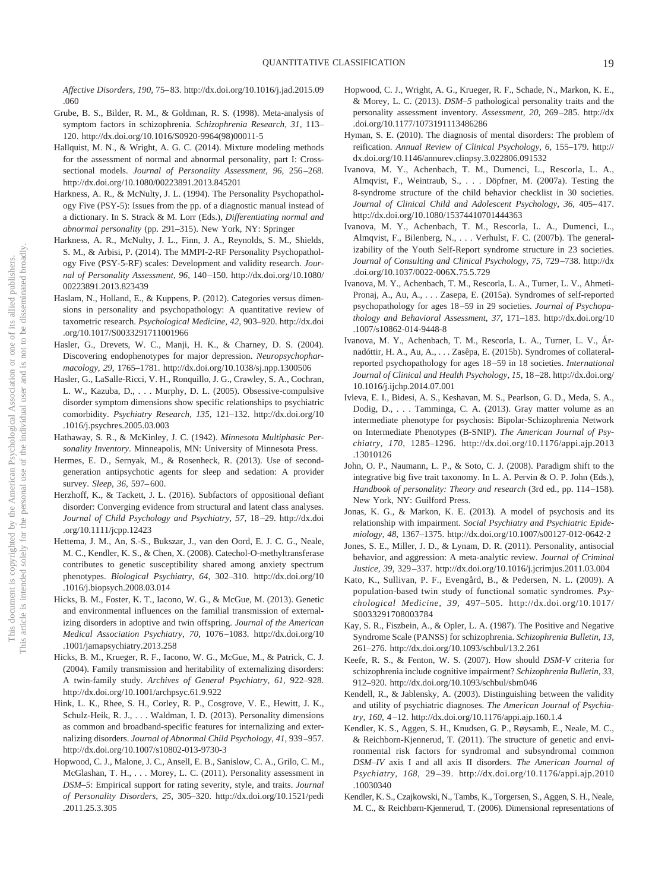*Affective Disorders, 190,* 75– 83. [http://dx.doi.org/10.1016/j.jad.2015.09](http://dx.doi.org/10.1016/j.jad.2015.09.060) [.060](http://dx.doi.org/10.1016/j.jad.2015.09.060)

- Grube, B. S., Bilder, R. M., & Goldman, R. S. (1998). Meta-analysis of symptom factors in schizophrenia. *Schizophrenia Research, 31,* 113– 120. [http://dx.doi.org/10.1016/S0920-9964\(98\)00011-5](http://dx.doi.org/10.1016/S0920-9964%2898%2900011-5)
- Hallquist, M. N., & Wright, A. G. C. (2014). Mixture modeling methods for the assessment of normal and abnormal personality, part I: Crosssectional models. *Journal of Personality Assessment, 96,* 256 –268. <http://dx.doi.org/10.1080/00223891.2013.845201>
- Harkness, A. R., & McNulty, J. L. (1994). The Personality Psychopathology Five (PSY-5): Issues from the pp. of a diagnostic manual instead of a dictionary. In S. Strack & M. Lorr (Eds.), *Differentiating normal and abnormal personality* (pp. 291–315). New York, NY: Springer
- Harkness, A. R., McNulty, J. L., Finn, J. A., Reynolds, S. M., Shields, S. M., & Arbisi, P. (2014). The MMPI-2-RF Personality Psychopathology Five (PSY-5-RF) scales: Development and validity research. *Journal of Personality Assessment, 96,* 140 –150. [http://dx.doi.org/10.1080/](http://dx.doi.org/10.1080/00223891.2013.823439) [00223891.2013.823439](http://dx.doi.org/10.1080/00223891.2013.823439)
- <span id="page-19-0"></span>Haslam, N., Holland, E., & Kuppens, P. (2012). Categories versus dimensions in personality and psychopathology: A quantitative review of taxometric research. *Psychological Medicine, 42,* 903–920. [http://dx.doi](http://dx.doi.org/10.1017/S0033291711001966) [.org/10.1017/S0033291711001966](http://dx.doi.org/10.1017/S0033291711001966)
- Hasler, G., Drevets, W. C., Manji, H. K., & Charney, D. S. (2004). Discovering endophenotypes for major depression. *Neuropsychopharmacology, 29,* 1765–1781.<http://dx.doi.org/10.1038/sj.npp.1300506>
- Hasler, G., LaSalle-Ricci, V. H., Ronquillo, J. G., Crawley, S. A., Cochran, L. W., Kazuba, D.,... Murphy, D. L. (2005). Obsessive-compulsive disorder symptom dimensions show specific relationships to psychiatric comorbidity. *Psychiatry Research, 135,* 121–132. [http://dx.doi.org/10](http://dx.doi.org/10.1016/j.psychres.2005.03.003) [.1016/j.psychres.2005.03.003](http://dx.doi.org/10.1016/j.psychres.2005.03.003)
- Hathaway, S. R., & McKinley, J. C. (1942). *Minnesota Multiphasic Personality Inventory*. Minneapolis, MN: University of Minnesota Press.
- Hermes, E. D., Sernyak, M., & Rosenheck, R. (2013). Use of secondgeneration antipsychotic agents for sleep and sedation: A provider survey. *Sleep, 36,* 597– 600.
- Herzhoff, K., & Tackett, J. L. (2016). Subfactors of oppositional defiant disorder: Converging evidence from structural and latent class analyses. *Journal of Child Psychology and Psychiatry, 57,* 18 –29. [http://dx.doi](http://dx.doi.org/10.1111/jcpp.12423) [.org/10.1111/jcpp.12423](http://dx.doi.org/10.1111/jcpp.12423)
- Hettema, J. M., An, S.-S., Bukszar, J., van den Oord, E. J. C. G., Neale, M. C., Kendler, K. S., & Chen, X. (2008). Catechol-O-methyltransferase contributes to genetic susceptibility shared among anxiety spectrum phenotypes. *Biological Psychiatry, 64,* 302–310. [http://dx.doi.org/10](http://dx.doi.org/10.1016/j.biopsych.2008.03.014) [.1016/j.biopsych.2008.03.014](http://dx.doi.org/10.1016/j.biopsych.2008.03.014)
- Hicks, B. M., Foster, K. T., Iacono, W. G., & McGue, M. (2013). Genetic and environmental influences on the familial transmission of externalizing disorders in adoptive and twin offspring. *Journal of the American Medical Association Psychiatry, 70,* 1076 –1083. [http://dx.doi.org/10](http://dx.doi.org/10.1001/jamapsychiatry.2013.258) [.1001/jamapsychiatry.2013.258](http://dx.doi.org/10.1001/jamapsychiatry.2013.258)
- Hicks, B. M., Krueger, R. F., Iacono, W. G., McGue, M., & Patrick, C. J. (2004). Family transmission and heritability of externalizing disorders: A twin-family study. *Archives of General Psychiatry, 61,* 922–928. <http://dx.doi.org/10.1001/archpsyc.61.9.922>
- Hink, L. K., Rhee, S. H., Corley, R. P., Cosgrove, V. E., Hewitt, J. K., Schulz-Heik, R. J.,... Waldman, I. D. (2013). Personality dimensions as common and broadband-specific features for internalizing and externalizing disorders. *Journal of Abnormal Child Psychology, 41,* 939 –957. <http://dx.doi.org/10.1007/s10802-013-9730-3>
- Hopwood, C. J., Malone, J. C., Ansell, E. B., Sanislow, C. A., Grilo, C. M., McGlashan, T. H.,... Morey, L. C. (2011). Personality assessment in *DSM–5*: Empirical support for rating severity, style, and traits. *Journal of Personality Disorders, 25,* 305–320. [http://dx.doi.org/10.1521/pedi](http://dx.doi.org/10.1521/pedi.2011.25.3.305) [.2011.25.3.305](http://dx.doi.org/10.1521/pedi.2011.25.3.305)
- Hopwood, C. J., Wright, A. G., Krueger, R. F., Schade, N., Markon, K. E., & Morey, L. C. (2013). *DSM–5* pathological personality traits and the personality assessment inventory. *Assessment, 20,* 269 –285. [http://dx](http://dx.doi.org/10.1177/1073191113486286) [.doi.org/10.1177/1073191113486286](http://dx.doi.org/10.1177/1073191113486286)
- Hyman, S. E. (2010). The diagnosis of mental disorders: The problem of reification. *Annual Review of Clinical Psychology, 6,* 155–179. [http://](http://dx.doi.org/10.1146/annurev.clinpsy.3.022806.091532) [dx.doi.org/10.1146/annurev.clinpsy.3.022806.091532](http://dx.doi.org/10.1146/annurev.clinpsy.3.022806.091532)
- Ivanova, M. Y., Achenbach, T. M., Dumenci, L., Rescorla, L. A., Almqvist, F., Weintraub, S.,... Döpfner, M. (2007a). Testing the 8-syndrome structure of the child behavior checklist in 30 societies. Journal of Clinical Child and Adolescent Psychology, 36, 405-417. <http://dx.doi.org/10.1080/15374410701444363>
- Ivanova, M. Y., Achenbach, T. M., Rescorla, L. A., Dumenci, L., Almqvist, F., Bilenberg, N.,... Verhulst, F. C. (2007b). The generalizability of the Youth Self-Report syndrome structure in 23 societies. *Journal of Consulting and Clinical Psychology, 75,* 729 –738. [http://dx](http://dx.doi.org/10.1037/0022-006X.75.5.729) [.doi.org/10.1037/0022-006X.75.5.729](http://dx.doi.org/10.1037/0022-006X.75.5.729)
- Ivanova, M. Y., Achenbach, T. M., Rescorla, L. A., Turner, L. V., Ahmeti-Pronaj, A., Au, A.,... Zasepa, E. (2015a). Syndromes of self-reported psychopathology for ages 18 –59 in 29 societies. *Journal of Psychopathology and Behavioral Assessment, 37,* 171–183. [http://dx.doi.org/10](http://dx.doi.org/10.1007/s10862-014-9448-8) [.1007/s10862-014-9448-8](http://dx.doi.org/10.1007/s10862-014-9448-8)
- Ivanova, M. Y., Achenbach, T. M., Rescorla, L. A., Turner, L. V., Árnadóttir, H. A., Au, A.,... Zasêpa, E. (2015b). Syndromes of collateralreported psychopathology for ages 18 –59 in 18 societies. *International Journal of Clinical and Health Psychology, 15,* 18 –28. [http://dx.doi.org/](http://dx.doi.org/10.1016/j.ijchp.2014.07.001) [10.1016/j.ijchp.2014.07.001](http://dx.doi.org/10.1016/j.ijchp.2014.07.001)
- Ivleva, E. I., Bidesi, A. S., Keshavan, M. S., Pearlson, G. D., Meda, S. A., Dodig, D.,... Tamminga, C. A. (2013). Gray matter volume as an intermediate phenotype for psychosis: Bipolar-Schizophrenia Network on Intermediate Phenotypes (B-SNIP). *The American Journal of Psychiatry, 170,* 1285–1296. [http://dx.doi.org/10.1176/appi.ajp.2013](http://dx.doi.org/10.1176/appi.ajp.2013.13010126) [.13010126](http://dx.doi.org/10.1176/appi.ajp.2013.13010126)
- John, O. P., Naumann, L. P., & Soto, C. J. (2008). Paradigm shift to the integrative big five trait taxonomy. In L. A. Pervin & O. P. John (Eds.), *Handbook of personality: Theory and research* (3rd ed., pp. 114 –158). New York, NY: Guilford Press.
- Jonas, K. G., & Markon, K. E. (2013). A model of psychosis and its relationship with impairment. *Social Psychiatry and Psychiatric Epidemiology, 48,* 1367–1375.<http://dx.doi.org/10.1007/s00127-012-0642-2>
- Jones, S. E., Miller, J. D., & Lynam, D. R. (2011). Personality, antisocial behavior, and aggression: A meta-analytic review. *Journal of Criminal Justice, 39,* 329 –337.<http://dx.doi.org/10.1016/j.jcrimjus.2011.03.004>
- Kato, K., Sullivan, P. F., Evengård, B., & Pedersen, N. L. (2009). A population-based twin study of functional somatic syndromes. *Psychological Medicine, 39,* 497–505. [http://dx.doi.org/10.1017/](http://dx.doi.org/10.1017/S0033291708003784) [S0033291708003784](http://dx.doi.org/10.1017/S0033291708003784)
- Kay, S. R., Fiszbein, A., & Opler, L. A. (1987). The Positive and Negative Syndrome Scale (PANSS) for schizophrenia. *Schizophrenia Bulletin, 13,* 261–276.<http://dx.doi.org/10.1093/schbul/13.2.261>
- Keefe, R. S., & Fenton, W. S. (2007). How should *DSM-V* criteria for schizophrenia include cognitive impairment? *Schizophrenia Bulletin, 33,* 912–920.<http://dx.doi.org/10.1093/schbul/sbm046>
- Kendell, R., & Jablensky, A. (2003). Distinguishing between the validity and utility of psychiatric diagnoses. *The American Journal of Psychiatry, 160,* 4 –12.<http://dx.doi.org/10.1176/appi.ajp.160.1.4>
- Kendler, K. S., Aggen, S. H., Knudsen, G. P., Røysamb, E., Neale, M. C., & Reichborn-Kjennerud, T. (2011). The structure of genetic and environmental risk factors for syndromal and subsyndromal common *DSM–IV* axis I and all axis II disorders. *The American Journal of Psychiatry, 168,* 29 –39. [http://dx.doi.org/10.1176/appi.ajp.2010](http://dx.doi.org/10.1176/appi.ajp.2010.10030340) [.10030340](http://dx.doi.org/10.1176/appi.ajp.2010.10030340)
- Kendler, K. S., Czajkowski, N., Tambs, K., Torgersen, S., Aggen, S. H., Neale, M. C., & Reichbørn-Kjennerud, T. (2006). Dimensional representations of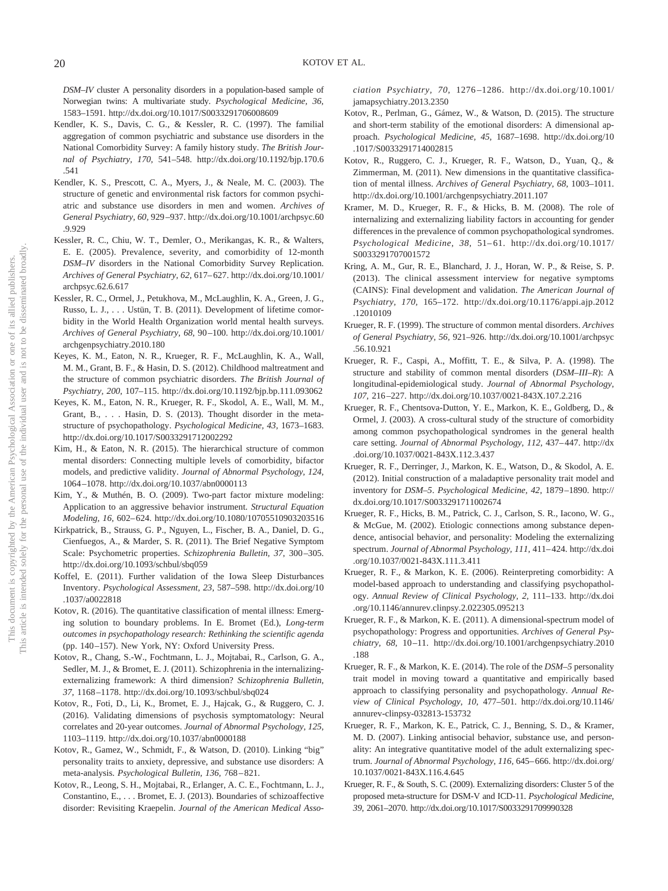*DSM–IV* cluster A personality disorders in a population-based sample of Norwegian twins: A multivariate study. *Psychological Medicine, 36,* 1583–1591.<http://dx.doi.org/10.1017/S0033291706008609>

- Kendler, K. S., Davis, C. G., & Kessler, R. C. (1997). The familial aggregation of common psychiatric and substance use disorders in the National Comorbidity Survey: A family history study. *The British Journal of Psychiatry, 170,* 541–548. [http://dx.doi.org/10.1192/bjp.170.6](http://dx.doi.org/10.1192/bjp.170.6.541) [.541](http://dx.doi.org/10.1192/bjp.170.6.541)
- Kendler, K. S., Prescott, C. A., Myers, J., & Neale, M. C. (2003). The structure of genetic and environmental risk factors for common psychiatric and substance use disorders in men and women. *Archives of General Psychiatry, 60,* 929 –937. [http://dx.doi.org/10.1001/archpsyc.60](http://dx.doi.org/10.1001/archpsyc.60.9.929) [.9.929](http://dx.doi.org/10.1001/archpsyc.60.9.929)
- Kessler, R. C., Chiu, W. T., Demler, O., Merikangas, K. R., & Walters, E. E. (2005). Prevalence, severity, and comorbidity of 12-month *DSM–IV* disorders in the National Comorbidity Survey Replication. *Archives of General Psychiatry, 62,* 617– 627. [http://dx.doi.org/10.1001/](http://dx.doi.org/10.1001/archpsyc.62.6.617) [archpsyc.62.6.617](http://dx.doi.org/10.1001/archpsyc.62.6.617)
- Kessler, R. C., Ormel, J., Petukhova, M., McLaughlin, K. A., Green, J. G., Russo, L. J.,... Ustün, T. B. (2011). Development of lifetime comorbidity in the World Health Organization world mental health surveys. *Archives of General Psychiatry, 68,* 90 –100. [http://dx.doi.org/10.1001/](http://dx.doi.org/10.1001/archgenpsychiatry.2010.180) [archgenpsychiatry.2010.180](http://dx.doi.org/10.1001/archgenpsychiatry.2010.180)
- Keyes, K. M., Eaton, N. R., Krueger, R. F., McLaughlin, K. A., Wall, M. M., Grant, B. F., & Hasin, D. S. (2012). Childhood maltreatment and the structure of common psychiatric disorders. *The British Journal of Psychiatry, 200,* 107–115.<http://dx.doi.org/10.1192/bjp.bp.111.093062>
- Keyes, K. M., Eaton, N. R., Krueger, R. F., Skodol, A. E., Wall, M. M., Grant, B.,... Hasin, D. S. (2013). Thought disorder in the metastructure of psychopathology. *Psychological Medicine, 43,* 1673–1683. <http://dx.doi.org/10.1017/S0033291712002292>
- Kim, H., & Eaton, N. R. (2015). The hierarchical structure of common mental disorders: Connecting multiple levels of comorbidity, bifactor models, and predictive validity. *Journal of Abnormal Psychology, 124,* 1064 –1078.<http://dx.doi.org/10.1037/abn0000113>
- Kim, Y., & Muthén, B. O. (2009). Two-part factor mixture modeling: Application to an aggressive behavior instrument. *Structural Equation Modeling, 16,* 602– 624.<http://dx.doi.org/10.1080/10705510903203516>
- Kirkpatrick, B., Strauss, G. P., Nguyen, L., Fischer, B. A., Daniel, D. G., Cienfuegos, A., & Marder, S. R. (2011). The Brief Negative Symptom Scale: Psychometric properties. *Schizophrenia Bulletin, 37,* 300 –305. <http://dx.doi.org/10.1093/schbul/sbq059>
- Koffel, E. (2011). Further validation of the Iowa Sleep Disturbances Inventory. *Psychological Assessment, 23,* 587–598. [http://dx.doi.org/10](http://dx.doi.org/10.1037/a0022818) [.1037/a0022818](http://dx.doi.org/10.1037/a0022818)
- Kotov, R. (2016). The quantitative classification of mental illness: Emerging solution to boundary problems. In E. Bromet (Ed.), *Long-term outcomes in psychopathology research: Rethinking the scientific agenda* (pp. 140 –157). New York, NY: Oxford University Press.
- Kotov, R., Chang, S.-W., Fochtmann, L. J., Mojtabai, R., Carlson, G. A., Sedler, M. J., & Bromet, E. J. (2011). Schizophrenia in the internalizingexternalizing framework: A third dimension? *Schizophrenia Bulletin, 37,* 1168 –1178.<http://dx.doi.org/10.1093/schbul/sbq024>
- Kotov, R., Foti, D., Li, K., Bromet, E. J., Hajcak, G., & Ruggero, C. J. (2016). Validating dimensions of psychosis symptomatology: Neural correlates and 20-year outcomes. *Journal of Abnormal Psychology, 125,* 1103–1119.<http://dx.doi.org/10.1037/abn0000188>
- Kotov, R., Gamez, W., Schmidt, F., & Watson, D. (2010). Linking "big" personality traits to anxiety, depressive, and substance use disorders: A meta-analysis. *Psychological Bulletin, 136,* 768 – 821.
- Kotov, R., Leong, S. H., Mojtabai, R., Erlanger, A. C. E., Fochtmann, L. J., Constantino, E.,... Bromet, E. J. (2013). Boundaries of schizoaffective disorder: Revisiting Kraepelin. *Journal of the American Medical Asso-*

*ciation Psychiatry, 70,* 1276 –1286. [http://dx.doi.org/10.1001/](http://dx.doi.org/10.1001/jamapsychiatry.2013.2350) [jamapsychiatry.2013.2350](http://dx.doi.org/10.1001/jamapsychiatry.2013.2350)

- Kotov, R., Perlman, G., Gámez, W., & Watson, D. (2015). The structure and short-term stability of the emotional disorders: A dimensional approach. *Psychological Medicine, 45,* 1687–1698. [http://dx.doi.org/10](http://dx.doi.org/10.1017/S0033291714002815) [.1017/S0033291714002815](http://dx.doi.org/10.1017/S0033291714002815)
- Kotov, R., Ruggero, C. J., Krueger, R. F., Watson, D., Yuan, Q., & Zimmerman, M. (2011). New dimensions in the quantitative classification of mental illness. *Archives of General Psychiatry, 68,* 1003–1011. <http://dx.doi.org/10.1001/archgenpsychiatry.2011.107>
- Kramer, M. D., Krueger, R. F., & Hicks, B. M. (2008). The role of internalizing and externalizing liability factors in accounting for gender differences in the prevalence of common psychopathological syndromes. *Psychological Medicine, 38,* 51– 61. [http://dx.doi.org/10.1017/](http://dx.doi.org/10.1017/S0033291707001572) [S0033291707001572](http://dx.doi.org/10.1017/S0033291707001572)
- Kring, A. M., Gur, R. E., Blanchard, J. J., Horan, W. P., & Reise, S. P. (2013). The clinical assessment interview for negative symptoms (CAINS): Final development and validation. *The American Journal of Psychiatry, 170,* 165–172. [http://dx.doi.org/10.1176/appi.ajp.2012](http://dx.doi.org/10.1176/appi.ajp.2012.12010109) [.12010109](http://dx.doi.org/10.1176/appi.ajp.2012.12010109)
- Krueger, R. F. (1999). The structure of common mental disorders. *Archives of General Psychiatry, 56,* 921–926. [http://dx.doi.org/10.1001/archpsyc](http://dx.doi.org/10.1001/archpsyc.56.10.921) [.56.10.921](http://dx.doi.org/10.1001/archpsyc.56.10.921)
- Krueger, R. F., Caspi, A., Moffitt, T. E., & Silva, P. A. (1998). The structure and stability of common mental disorders (*DSM–III–R*): A longitudinal-epidemiological study. *Journal of Abnormal Psychology, 107,* 216 –227.<http://dx.doi.org/10.1037/0021-843X.107.2.216>
- Krueger, R. F., Chentsova-Dutton, Y. E., Markon, K. E., Goldberg, D., & Ormel, J. (2003). A cross-cultural study of the structure of comorbidity among common psychopathological syndromes in the general health care setting. *Journal of Abnormal Psychology, 112, 437-447*. [http://dx](http://dx.doi.org/10.1037/0021-843X.112.3.437) [.doi.org/10.1037/0021-843X.112.3.437](http://dx.doi.org/10.1037/0021-843X.112.3.437)
- Krueger, R. F., Derringer, J., Markon, K. E., Watson, D., & Skodol, A. E. (2012). Initial construction of a maladaptive personality trait model and inventory for *DSM–5*. *Psychological Medicine, 42,* 1879 –1890. [http://](http://dx.doi.org/10.1017/S0033291711002674) [dx.doi.org/10.1017/S0033291711002674](http://dx.doi.org/10.1017/S0033291711002674)
- Krueger, R. F., Hicks, B. M., Patrick, C. J., Carlson, S. R., Iacono, W. G., & McGue, M. (2002). Etiologic connections among substance dependence, antisocial behavior, and personality: Modeling the externalizing spectrum. *Journal of Abnormal Psychology, 111,* 411– 424. [http://dx.doi](http://dx.doi.org/10.1037/0021-843X.111.3.411) [.org/10.1037/0021-843X.111.3.411](http://dx.doi.org/10.1037/0021-843X.111.3.411)
- Krueger, R. F., & Markon, K. E. (2006). Reinterpreting comorbidity: A model-based approach to understanding and classifying psychopathology. *Annual Review of Clinical Psychology, 2,* 111–133. [http://dx.doi](http://dx.doi.org/10.1146/annurev.clinpsy.2.022305.095213) [.org/10.1146/annurev.clinpsy.2.022305.095213](http://dx.doi.org/10.1146/annurev.clinpsy.2.022305.095213)
- Krueger, R. F., & Markon, K. E. (2011). A dimensional-spectrum model of psychopathology: Progress and opportunities. *Archives of General Psychiatry, 68,* 10 –11. [http://dx.doi.org/10.1001/archgenpsychiatry.2010](http://dx.doi.org/10.1001/archgenpsychiatry.2010.188) [.188](http://dx.doi.org/10.1001/archgenpsychiatry.2010.188)
- Krueger, R. F., & Markon, K. E. (2014). The role of the *DSM–5* personality trait model in moving toward a quantitative and empirically based approach to classifying personality and psychopathology. *Annual Review of Clinical Psychology, 10,* 477–501. [http://dx.doi.org/10.1146/](http://dx.doi.org/10.1146/annurev-clinpsy-032813-153732) [annurev-clinpsy-032813-153732](http://dx.doi.org/10.1146/annurev-clinpsy-032813-153732)
- Krueger, R. F., Markon, K. E., Patrick, C. J., Benning, S. D., & Kramer, M. D. (2007). Linking antisocial behavior, substance use, and personality: An integrative quantitative model of the adult externalizing spectrum. *Journal of Abnormal Psychology, 116,* 645– 666. [http://dx.doi.org/](http://dx.doi.org/10.1037/0021-843X.116.4.645) [10.1037/0021-843X.116.4.645](http://dx.doi.org/10.1037/0021-843X.116.4.645)
- Krueger, R. F., & South, S. C. (2009). Externalizing disorders: Cluster 5 of the proposed meta-structure for DSM-V and ICD-11. *Psychological Medicine, 39,* 2061–2070.<http://dx.doi.org/10.1017/S0033291709990328>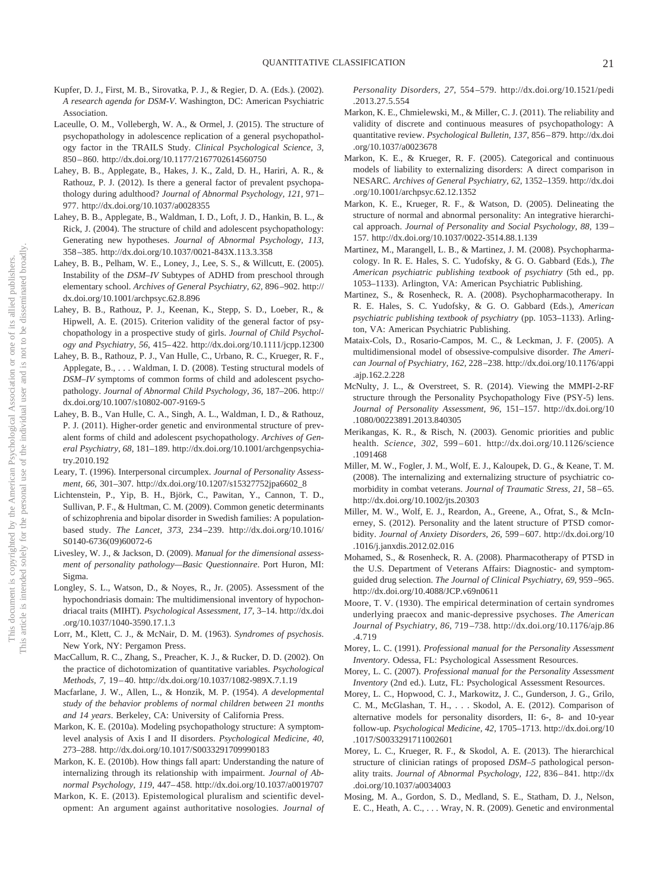- Kupfer, D. J., First, M. B., Sirovatka, P. J., & Regier, D. A. (Eds.). (2002). *A research agenda for DSM-V*. Washington, DC: American Psychiatric Association.
- Laceulle, O. M., Vollebergh, W. A., & Ormel, J. (2015). The structure of psychopathology in adolescence replication of a general psychopathology factor in the TRAILS Study. *Clinical Psychological Science, 3,* 850 – 860.<http://dx.doi.org/10.1177/2167702614560750>
- Lahey, B. B., Applegate, B., Hakes, J. K., Zald, D. H., Hariri, A. R., & Rathouz, P. J. (2012). Is there a general factor of prevalent psychopathology during adulthood? *Journal of Abnormal Psychology, 121,* 971– 977.<http://dx.doi.org/10.1037/a0028355>
- Lahey, B. B., Applegate, B., Waldman, I. D., Loft, J. D., Hankin, B. L., & Rick, J. (2004). The structure of child and adolescent psychopathology: Generating new hypotheses. *Journal of Abnormal Psychology, 113,* 358 –385.<http://dx.doi.org/10.1037/0021-843X.113.3.358>
- Lahey, B. B., Pelham, W. E., Loney, J., Lee, S. S., & Willcutt, E. (2005). Instability of the *DSM–IV* Subtypes of ADHD from preschool through elementary school. *Archives of General Psychiatry, 62,* 896 –902. [http://](http://dx.doi.org/10.1001/archpsyc.62.8.896) [dx.doi.org/10.1001/archpsyc.62.8.896](http://dx.doi.org/10.1001/archpsyc.62.8.896)
- Lahey, B. B., Rathouz, P. J., Keenan, K., Stepp, S. D., Loeber, R., & Hipwell, A. E. (2015). Criterion validity of the general factor of psychopathology in a prospective study of girls. *Journal of Child Psychology and Psychiatry, 56,* 415– 422.<http://dx.doi.org/10.1111/jcpp.12300>
- Lahey, B. B., Rathouz, P. J., Van Hulle, C., Urbano, R. C., Krueger, R. F., Applegate, B.,... Waldman, I. D. (2008). Testing structural models of *DSM–IV* symptoms of common forms of child and adolescent psychopathology. *Journal of Abnormal Child Psychology, 36,* 187–206. [http://](http://dx.doi.org/10.1007/s10802-007-9169-5) [dx.doi.org/10.1007/s10802-007-9169-5](http://dx.doi.org/10.1007/s10802-007-9169-5)
- Lahey, B. B., Van Hulle, C. A., Singh, A. L., Waldman, I. D., & Rathouz, P. J. (2011). Higher-order genetic and environmental structure of prevalent forms of child and adolescent psychopathology. *Archives of General Psychiatry, 68,* 181–189. [http://dx.doi.org/10.1001/archgenpsychia](http://dx.doi.org/10.1001/archgenpsychiatry.2010.192)[try.2010.192](http://dx.doi.org/10.1001/archgenpsychiatry.2010.192)
- Leary, T. (1996). Interpersonal circumplex. *Journal of Personality Assessment, 66,* 301–307. [http://dx.doi.org/10.1207/s15327752jpa6602\\_8](http://dx.doi.org/10.1207/s15327752jpa6602_8)
- Lichtenstein, P., Yip, B. H., Björk, C., Pawitan, Y., Cannon, T. D., Sullivan, P. F., & Hultman, C. M. (2009). Common genetic determinants of schizophrenia and bipolar disorder in Swedish families: A populationbased study. *The Lancet, 373,* 234 –239. [http://dx.doi.org/10.1016/](http://dx.doi.org/10.1016/S0140-6736%2809%2960072-6) [S0140-6736\(09\)60072-6](http://dx.doi.org/10.1016/S0140-6736%2809%2960072-6)
- Livesley, W. J., & Jackson, D. (2009). *Manual for the dimensional assessment of personality pathology—Basic Questionnaire*. Port Huron, MI: Sigma.
- Longley, S. L., Watson, D., & Noyes, R., Jr. (2005). Assessment of the hypochondriasis domain: The multidimensional inventory of hypochondriacal traits (MIHT). *Psychological Assessment, 17,* 3–14. [http://dx.doi](http://dx.doi.org/10.1037/1040-3590.17.1.3) [.org/10.1037/1040-3590.17.1.3](http://dx.doi.org/10.1037/1040-3590.17.1.3)
- Lorr, M., Klett, C. J., & McNair, D. M. (1963). *Syndromes of psychosis*. New York, NY: Pergamon Press.
- MacCallum, R. C., Zhang, S., Preacher, K. J., & Rucker, D. D. (2002). On the practice of dichotomization of quantitative variables. *Psychological Methods, 7,* 19 – 40.<http://dx.doi.org/10.1037/1082-989X.7.1.19>
- Macfarlane, J. W., Allen, L., & Honzik, M. P. (1954). *A developmental study of the behavior problems of normal children between 21 months and 14 years*. Berkeley, CA: University of California Press.
- Markon, K. E. (2010a). Modeling psychopathology structure: A symptomlevel analysis of Axis I and II disorders. *Psychological Medicine, 40,* 273–288.<http://dx.doi.org/10.1017/S0033291709990183>
- Markon, K. E. (2010b). How things fall apart: Understanding the nature of internalizing through its relationship with impairment. *Journal of Abnormal Psychology, 119,* 447– 458.<http://dx.doi.org/10.1037/a0019707>
- Markon, K. E. (2013). Epistemological pluralism and scientific development: An argument against authoritative nosologies. *Journal of*

*Personality Disorders, 27,* 554 –579. [http://dx.doi.org/10.1521/pedi](http://dx.doi.org/10.1521/pedi.2013.27.5.554) [.2013.27.5.554](http://dx.doi.org/10.1521/pedi.2013.27.5.554)

- Markon, K. E., Chmielewski, M., & Miller, C. J. (2011). The reliability and validity of discrete and continuous measures of psychopathology: A quantitative review. *Psychological Bulletin, 137,* 856 – 879. [http://dx.doi](http://dx.doi.org/10.1037/a0023678) [.org/10.1037/a0023678](http://dx.doi.org/10.1037/a0023678)
- Markon, K. E., & Krueger, R. F. (2005). Categorical and continuous models of liability to externalizing disorders: A direct comparison in NESARC. *Archives of General Psychiatry, 62,* 1352–1359. [http://dx.doi](http://dx.doi.org/10.1001/archpsyc.62.12.1352) [.org/10.1001/archpsyc.62.12.1352](http://dx.doi.org/10.1001/archpsyc.62.12.1352)
- Markon, K. E., Krueger, R. F., & Watson, D. (2005). Delineating the structure of normal and abnormal personality: An integrative hierarchical approach. *Journal of Personality and Social Psychology, 88,* 139 – 157.<http://dx.doi.org/10.1037/0022-3514.88.1.139>
- Martinez, M., Marangell, L. B., & Martinez, J. M. (2008). Psychopharmacology. In R. E. Hales, S. C. Yudofsky, & G. O. Gabbard (Eds.), *The American psychiatric publishing textbook of psychiatry* (5th ed., pp. 1053–1133). Arlington, VA: American Psychiatric Publishing.
- Martinez, S., & Rosenheck, R. A. (2008). Psychopharmacotherapy. In R. E. Hales, S. C. Yudofsky, & G. O. Gabbard (Eds.), *American psychiatric publishing textbook of psychiatry* (pp. 1053–1133). Arlington, VA: American Psychiatric Publishing.
- Mataix-Cols, D., Rosario-Campos, M. C., & Leckman, J. F. (2005). A multidimensional model of obsessive-compulsive disorder. *The American Journal of Psychiatry, 162,* 228 –238. [http://dx.doi.org/10.1176/appi](http://dx.doi.org/10.1176/appi.ajp.162.2.228) [.ajp.162.2.228](http://dx.doi.org/10.1176/appi.ajp.162.2.228)
- McNulty, J. L., & Overstreet, S. R. (2014). Viewing the MMPI-2-RF structure through the Personality Psychopathology Five (PSY-5) lens. *Journal of Personality Assessment, 96,* 151–157. [http://dx.doi.org/10](http://dx.doi.org/10.1080/00223891.2013.840305) [.1080/00223891.2013.840305](http://dx.doi.org/10.1080/00223891.2013.840305)
- Merikangas, K. R., & Risch, N. (2003). Genomic priorities and public health. *Science, 302,* 599 – 601. [http://dx.doi.org/10.1126/science](http://dx.doi.org/10.1126/science.1091468) [.1091468](http://dx.doi.org/10.1126/science.1091468)
- Miller, M. W., Fogler, J. M., Wolf, E. J., Kaloupek, D. G., & Keane, T. M. (2008). The internalizing and externalizing structure of psychiatric comorbidity in combat veterans. *Journal of Traumatic Stress, 21,* 58 – 65. <http://dx.doi.org/10.1002/jts.20303>
- Miller, M. W., Wolf, E. J., Reardon, A., Greene, A., Ofrat, S., & McInerney, S. (2012). Personality and the latent structure of PTSD comorbidity. *Journal of Anxiety Disorders, 26,* 599 – 607. [http://dx.doi.org/10](http://dx.doi.org/10.1016/j.janxdis.2012.02.016) [.1016/j.janxdis.2012.02.016](http://dx.doi.org/10.1016/j.janxdis.2012.02.016)
- Mohamed, S., & Rosenheck, R. A. (2008). Pharmacotherapy of PTSD in the U.S. Department of Veterans Affairs: Diagnostic- and symptomguided drug selection. *The Journal of Clinical Psychiatry, 69,* 959 –965. <http://dx.doi.org/10.4088/JCP.v69n0611>
- Moore, T. V. (1930). The empirical determination of certain syndromes underlying praecox and manic-depressive psychoses. *The American Journal of Psychiatry, 86,* 719 –738. [http://dx.doi.org/10.1176/ajp.86](http://dx.doi.org/10.1176/ajp.86.4.719) [.4.719](http://dx.doi.org/10.1176/ajp.86.4.719)
- Morey, L. C. (1991). *Professional manual for the Personality Assessment Inventory*. Odessa, FL: Psychological Assessment Resources.
- Morey, L. C. (2007). *Professional manual for the Personality Assessment Inventory* (2nd ed.). Lutz, FL: Psychological Assessment Resources.
- Morey, L. C., Hopwood, C. J., Markowitz, J. C., Gunderson, J. G., Grilo, C. M., McGlashan, T. H.,... Skodol, A. E. (2012). Comparison of alternative models for personality disorders, II: 6-, 8- and 10-year follow-up. *Psychological Medicine, 42,* 1705–1713. [http://dx.doi.org/10](http://dx.doi.org/10.1017/S0033291711002601) [.1017/S0033291711002601](http://dx.doi.org/10.1017/S0033291711002601)
- Morey, L. C., Krueger, R. F., & Skodol, A. E. (2013). The hierarchical structure of clinician ratings of proposed *DSM–5* pathological personality traits. *Journal of Abnormal Psychology, 122,* 836 – 841. [http://dx](http://dx.doi.org/10.1037/a0034003) [.doi.org/10.1037/a0034003](http://dx.doi.org/10.1037/a0034003)
- Mosing, M. A., Gordon, S. D., Medland, S. E., Statham, D. J., Nelson, E. C., Heath, A. C.,... Wray, N. R. (2009). Genetic and environmental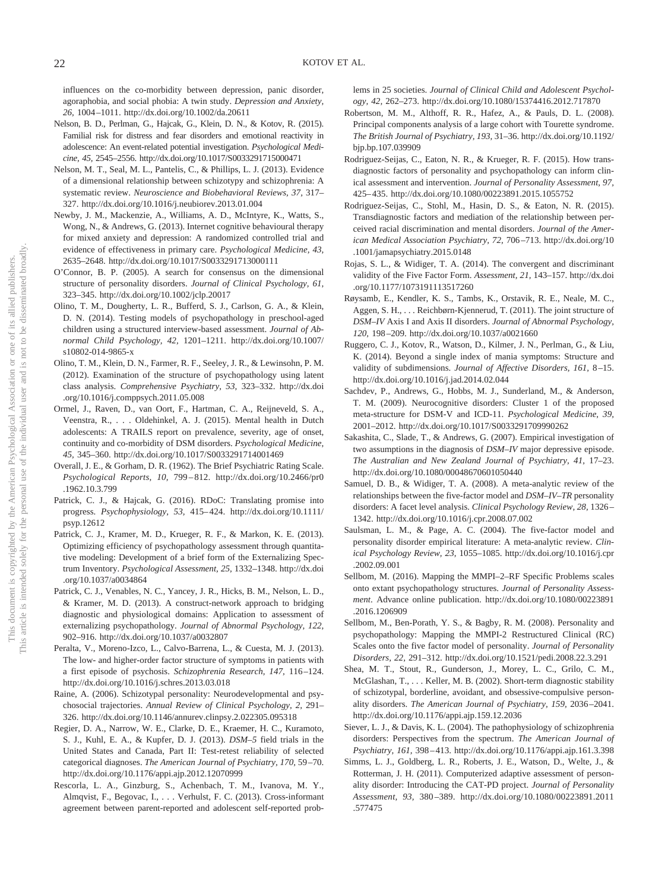influences on the co-morbidity between depression, panic disorder, agoraphobia, and social phobia: A twin study. *Depression and Anxiety, 26,* 1004 –1011.<http://dx.doi.org/10.1002/da.20611>

- Nelson, B. D., Perlman, G., Hajcak, G., Klein, D. N., & Kotov, R. (2015). Familial risk for distress and fear disorders and emotional reactivity in adolescence: An event-related potential investigation. *Psychological Medicine, 45,* 2545–2556.<http://dx.doi.org/10.1017/S0033291715000471>
- Nelson, M. T., Seal, M. L., Pantelis, C., & Phillips, L. J. (2013). Evidence of a dimensional relationship between schizotypy and schizophrenia: A systematic review. *Neuroscience and Biobehavioral Reviews, 37,* 317– 327.<http://dx.doi.org/10.1016/j.neubiorev.2013.01.004>
- Newby, J. M., Mackenzie, A., Williams, A. D., McIntyre, K., Watts, S., Wong, N., & Andrews, G. (2013). Internet cognitive behavioural therapy for mixed anxiety and depression: A randomized controlled trial and evidence of effectiveness in primary care. *Psychological Medicine, 43,* 2635–2648.<http://dx.doi.org/10.1017/S0033291713000111>
- O'Connor, B. P. (2005). A search for consensus on the dimensional structure of personality disorders. *Journal of Clinical Psychology, 61,* 323–345.<http://dx.doi.org/10.1002/jclp.20017>
- Olino, T. M., Dougherty, L. R., Bufferd, S. J., Carlson, G. A., & Klein, D. N. (2014). Testing models of psychopathology in preschool-aged children using a structured interview-based assessment. *Journal of Abnormal Child Psychology, 42,* 1201–1211. [http://dx.doi.org/10.1007/](http://dx.doi.org/10.1007/s10802-014-9865-x) [s10802-014-9865-x](http://dx.doi.org/10.1007/s10802-014-9865-x)
- Olino, T. M., Klein, D. N., Farmer, R. F., Seeley, J. R., & Lewinsohn, P. M. (2012). Examination of the structure of psychopathology using latent class analysis. *Comprehensive Psychiatry, 53,* 323–332. [http://dx.doi](http://dx.doi.org/10.1016/j.comppsych.2011.05.008) [.org/10.1016/j.comppsych.2011.05.008](http://dx.doi.org/10.1016/j.comppsych.2011.05.008)
- Ormel, J., Raven, D., van Oort, F., Hartman, C. A., Reijneveld, S. A., Veenstra, R.,... Oldehinkel, A. J. (2015). Mental health in Dutch adolescents: A TRAILS report on prevalence, severity, age of onset, continuity and co-morbidity of DSM disorders. *Psychological Medicine, 45,* 345–360.<http://dx.doi.org/10.1017/S0033291714001469>
- Overall, J. E., & Gorham, D. R. (1962). The Brief Psychiatric Rating Scale. *Psychological Reports, 10,* 799 – 812. [http://dx.doi.org/10.2466/pr0](http://dx.doi.org/10.2466/pr0.1962.10.3.799) [.1962.10.3.799](http://dx.doi.org/10.2466/pr0.1962.10.3.799)
- Patrick, C. J., & Hajcak, G. (2016). RDoC: Translating promise into progress. *Psychophysiology, 53,* 415– 424. [http://dx.doi.org/10.1111/](http://dx.doi.org/10.1111/psyp.12612) [psyp.12612](http://dx.doi.org/10.1111/psyp.12612)
- Patrick, C. J., Kramer, M. D., Krueger, R. F., & Markon, K. E. (2013). Optimizing efficiency of psychopathology assessment through quantitative modeling: Development of a brief form of the Externalizing Spectrum Inventory. *Psychological Assessment, 25,* 1332–1348. [http://dx.doi](http://dx.doi.org/10.1037/a0034864) [.org/10.1037/a0034864](http://dx.doi.org/10.1037/a0034864)
- Patrick, C. J., Venables, N. C., Yancey, J. R., Hicks, B. M., Nelson, L. D., & Kramer, M. D. (2013). A construct-network approach to bridging diagnostic and physiological domains: Application to assessment of externalizing psychopathology. *Journal of Abnormal Psychology, 122,* 902–916.<http://dx.doi.org/10.1037/a0032807>
- Peralta, V., Moreno-Izco, L., Calvo-Barrena, L., & Cuesta, M. J. (2013). The low- and higher-order factor structure of symptoms in patients with a first episode of psychosis. *Schizophrenia Research, 147,* 116 –124. <http://dx.doi.org/10.1016/j.schres.2013.03.018>
- Raine, A. (2006). Schizotypal personality: Neurodevelopmental and psychosocial trajectories. *Annual Review of Clinical Psychology, 2,* 291– 326.<http://dx.doi.org/10.1146/annurev.clinpsy.2.022305.095318>
- Regier, D. A., Narrow, W. E., Clarke, D. E., Kraemer, H. C., Kuramoto, S. J., Kuhl, E. A., & Kupfer, D. J. (2013). *DSM–5* field trials in the United States and Canada, Part II: Test-retest reliability of selected categorical diagnoses. *The American Journal of Psychiatry, 170,* 59 –70. <http://dx.doi.org/10.1176/appi.ajp.2012.12070999>
- Rescorla, L. A., Ginzburg, S., Achenbach, T. M., Ivanova, M. Y., Almqvist, F., Begovac, I.,... Verhulst, F. C. (2013). Cross-informant agreement between parent-reported and adolescent self-reported prob-

lems in 25 societies. *Journal of Clinical Child and Adolescent Psychology, 42,* 262–273.<http://dx.doi.org/10.1080/15374416.2012.717870>

- Robertson, M. M., Althoff, R. R., Hafez, A., & Pauls, D. L. (2008). Principal components analysis of a large cohort with Tourette syndrome. *The British Journal of Psychiatry, 193,* 31–36. [http://dx.doi.org/10.1192/](http://dx.doi.org/10.1192/bjp.bp.107.039909) [bjp.bp.107.039909](http://dx.doi.org/10.1192/bjp.bp.107.039909)
- Rodriguez-Seijas, C., Eaton, N. R., & Krueger, R. F. (2015). How transdiagnostic factors of personality and psychopathology can inform clinical assessment and intervention. *Journal of Personality Assessment, 97,* 425– 435.<http://dx.doi.org/10.1080/00223891.2015.1055752>
- Rodriguez-Seijas, C., Stohl, M., Hasin, D. S., & Eaton, N. R. (2015). Transdiagnostic factors and mediation of the relationship between perceived racial discrimination and mental disorders. *Journal of the American Medical Association Psychiatry, 72,* 706 –713. [http://dx.doi.org/10](http://dx.doi.org/10.1001/jamapsychiatry.2015.0148) [.1001/jamapsychiatry.2015.0148](http://dx.doi.org/10.1001/jamapsychiatry.2015.0148)
- Rojas, S. L., & Widiger, T. A. (2014). The convergent and discriminant validity of the Five Factor Form. *Assessment, 21,* 143–157. [http://dx.doi](http://dx.doi.org/10.1177/1073191113517260) [.org/10.1177/1073191113517260](http://dx.doi.org/10.1177/1073191113517260)
- Røysamb, E., Kendler, K. S., Tambs, K., Orstavik, R. E., Neale, M. C., Aggen, S. H.,... Reichbørn-Kjennerud, T. (2011). The joint structure of *DSM–IV* Axis I and Axis II disorders. *Journal of Abnormal Psychology, 120,* 198 –209.<http://dx.doi.org/10.1037/a0021660>
- Ruggero, C. J., Kotov, R., Watson, D., Kilmer, J. N., Perlman, G., & Liu, K. (2014). Beyond a single index of mania symptoms: Structure and validity of subdimensions. *Journal of Affective Disorders, 161*, 8-15. <http://dx.doi.org/10.1016/j.jad.2014.02.044>
- Sachdev, P., Andrews, G., Hobbs, M. J., Sunderland, M., & Anderson, T. M. (2009). Neurocognitive disorders: Cluster 1 of the proposed meta-structure for DSM-V and ICD-11. *Psychological Medicine, 39,* 2001–2012.<http://dx.doi.org/10.1017/S0033291709990262>
- Sakashita, C., Slade, T., & Andrews, G. (2007). Empirical investigation of two assumptions in the diagnosis of *DSM–IV* major depressive episode. *The Australian and New Zealand Journal of Psychiatry, 41,* 17–23. <http://dx.doi.org/10.1080/00048670601050440>
- Samuel, D. B., & Widiger, T. A. (2008). A meta-analytic review of the relationships between the five-factor model and *DSM–IV–TR* personality disorders: A facet level analysis. *Clinical Psychology Review, 28,* 1326 – 1342.<http://dx.doi.org/10.1016/j.cpr.2008.07.002>
- Saulsman, L. M., & Page, A. C. (2004). The five-factor model and personality disorder empirical literature: A meta-analytic review. *Clinical Psychology Review, 23,* 1055–1085. [http://dx.doi.org/10.1016/j.cpr](http://dx.doi.org/10.1016/j.cpr.2002.09.001) [.2002.09.001](http://dx.doi.org/10.1016/j.cpr.2002.09.001)
- Sellbom, M. (2016). Mapping the MMPI–2–RF Specific Problems scales onto extant psychopathology structures. *Journal of Personality Assessment*. Advance online publication. [http://dx.doi.org/10.1080/00223891](http://dx.doi.org/10.1080/00223891.2016.1206909) [.2016.1206909](http://dx.doi.org/10.1080/00223891.2016.1206909)
- Sellbom, M., Ben-Porath, Y. S., & Bagby, R. M. (2008). Personality and psychopathology: Mapping the MMPI-2 Restructured Clinical (RC) Scales onto the five factor model of personality. *Journal of Personality Disorders, 22,* 291–312.<http://dx.doi.org/10.1521/pedi.2008.22.3.291>
- Shea, M. T., Stout, R., Gunderson, J., Morey, L. C., Grilo, C. M., McGlashan, T.,... Keller, M. B. (2002). Short-term diagnostic stability of schizotypal, borderline, avoidant, and obsessive-compulsive personality disorders. *The American Journal of Psychiatry, 159,* 2036 –2041. <http://dx.doi.org/10.1176/appi.ajp.159.12.2036>
- Siever, L. J., & Davis, K. L. (2004). The pathophysiology of schizophrenia disorders: Perspectives from the spectrum. *The American Journal of Psychiatry, 161,* 398 – 413.<http://dx.doi.org/10.1176/appi.ajp.161.3.398>
- Simms, L. J., Goldberg, L. R., Roberts, J. E., Watson, D., Welte, J., & Rotterman, J. H. (2011). Computerized adaptive assessment of personality disorder: Introducing the CAT-PD project. *Journal of Personality Assessment, 93,* 380 –389. [http://dx.doi.org/10.1080/00223891.2011](http://dx.doi.org/10.1080/00223891.2011.577475) [.577475](http://dx.doi.org/10.1080/00223891.2011.577475)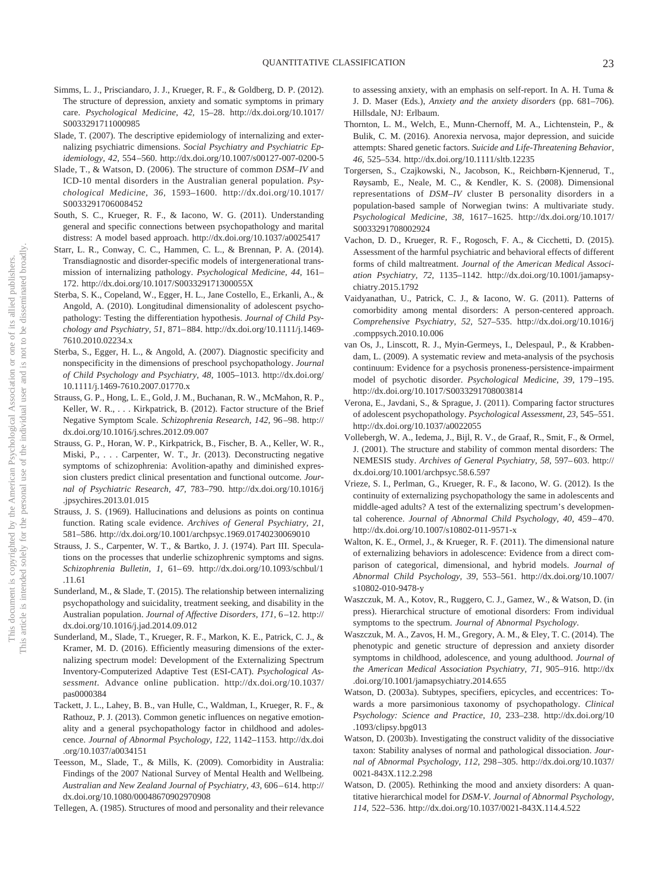- Simms, L. J., Prisciandaro, J. J., Krueger, R. F., & Goldberg, D. P. (2012). The structure of depression, anxiety and somatic symptoms in primary care. *Psychological Medicine, 42,* 15–28. [http://dx.doi.org/10.1017/](http://dx.doi.org/10.1017/S0033291711000985) [S0033291711000985](http://dx.doi.org/10.1017/S0033291711000985)
- Slade, T. (2007). The descriptive epidemiology of internalizing and externalizing psychiatric dimensions. *Social Psychiatry and Psychiatric Epidemiology, 42,* 554 –560.<http://dx.doi.org/10.1007/s00127-007-0200-5>
- Slade, T., & Watson, D. (2006). The structure of common *DSM–IV* and ICD-10 mental disorders in the Australian general population. *Psychological Medicine, 36,* 1593–1600. [http://dx.doi.org/10.1017/](http://dx.doi.org/10.1017/S0033291706008452) [S0033291706008452](http://dx.doi.org/10.1017/S0033291706008452)
- South, S. C., Krueger, R. F., & Iacono, W. G. (2011). Understanding general and specific connections between psychopathology and marital distress: A model based approach.<http://dx.doi.org/10.1037/a0025417>
- Starr, L. R., Conway, C. C., Hammen, C. L., & Brennan, P. A. (2014). Transdiagnostic and disorder-specific models of intergenerational transmission of internalizing pathology. *Psychological Medicine, 44,* 161– 172.<http://dx.doi.org/10.1017/S003329171300055X>
- Sterba, S. K., Copeland, W., Egger, H. L., Jane Costello, E., Erkanli, A., & Angold, A. (2010). Longitudinal dimensionality of adolescent psychopathology: Testing the differentiation hypothesis. *Journal of Child Psychology and Psychiatry, 51,* 871– 884. [http://dx.doi.org/10.1111/j.1469-](http://dx.doi.org/10.1111/j.1469-7610.2010.02234.x) [7610.2010.02234.x](http://dx.doi.org/10.1111/j.1469-7610.2010.02234.x)
- Sterba, S., Egger, H. L., & Angold, A. (2007). Diagnostic specificity and nonspecificity in the dimensions of preschool psychopathology. *Journal of Child Psychology and Psychiatry, 48,* 1005–1013. [http://dx.doi.org/](http://dx.doi.org/10.1111/j.1469-7610.2007.01770.x) [10.1111/j.1469-7610.2007.01770.x](http://dx.doi.org/10.1111/j.1469-7610.2007.01770.x)
- Strauss, G. P., Hong, L. E., Gold, J. M., Buchanan, R. W., McMahon, R. P., Keller, W. R., . . . Kirkpatrick, B. (2012). Factor structure of the Brief Negative Symptom Scale. *Schizophrenia Research, 142,* 96 –98. [http://](http://dx.doi.org/10.1016/j.schres.2012.09.007) [dx.doi.org/10.1016/j.schres.2012.09.007](http://dx.doi.org/10.1016/j.schres.2012.09.007)
- Strauss, G. P., Horan, W. P., Kirkpatrick, B., Fischer, B. A., Keller, W. R., Miski, P.,... Carpenter, W. T., Jr. (2013). Deconstructing negative symptoms of schizophrenia: Avolition-apathy and diminished expression clusters predict clinical presentation and functional outcome. *Journal of Psychiatric Research, 47,* 783–790. [http://dx.doi.org/10.1016/j](http://dx.doi.org/10.1016/j.jpsychires.2013.01.015) [.jpsychires.2013.01.015](http://dx.doi.org/10.1016/j.jpsychires.2013.01.015)
- Strauss, J. S. (1969). Hallucinations and delusions as points on continua function. Rating scale evidence. *Archives of General Psychiatry, 21,* 581–586.<http://dx.doi.org/10.1001/archpsyc.1969.01740230069010>
- Strauss, J. S., Carpenter, W. T., & Bartko, J. J. (1974). Part III. Speculations on the processes that underlie schizophrenic symptoms and signs. *Schizophrenia Bulletin, 1,* 61– 69. [http://dx.doi.org/10.1093/schbul/1](http://dx.doi.org/10.1093/schbul/1.11.61) [.11.61](http://dx.doi.org/10.1093/schbul/1.11.61)
- Sunderland, M., & Slade, T. (2015). The relationship between internalizing psychopathology and suicidality, treatment seeking, and disability in the Australian population. *Journal of Affective Disorders, 171, 6-12.* [http://](http://dx.doi.org/10.1016/j.jad.2014.09.012) [dx.doi.org/10.1016/j.jad.2014.09.012](http://dx.doi.org/10.1016/j.jad.2014.09.012)
- Sunderland, M., Slade, T., Krueger, R. F., Markon, K. E., Patrick, C. J., & Kramer, M. D. (2016). Efficiently measuring dimensions of the externalizing spectrum model: Development of the Externalizing Spectrum Inventory-Computerized Adaptive Test (ESI-CAT). *Psychological Assessment*. Advance online publication. [http://dx.doi.org/10.1037/](http://dx.doi.org/10.1037/pas0000384) [pas0000384](http://dx.doi.org/10.1037/pas0000384)
- Tackett, J. L., Lahey, B. B., van Hulle, C., Waldman, I., Krueger, R. F., & Rathouz, P. J. (2013). Common genetic influences on negative emotionality and a general psychopathology factor in childhood and adolescence. *Journal of Abnormal Psychology, 122,* 1142–1153. [http://dx.doi](http://dx.doi.org/10.1037/a0034151) [.org/10.1037/a0034151](http://dx.doi.org/10.1037/a0034151)
- Teesson, M., Slade, T., & Mills, K. (2009). Comorbidity in Australia: Findings of the 2007 National Survey of Mental Health and Wellbeing. *Australian and New Zealand Journal of Psychiatry, 43,* 606 – 614. [http://](http://dx.doi.org/10.1080/00048670902970908) [dx.doi.org/10.1080/00048670902970908](http://dx.doi.org/10.1080/00048670902970908)
- Tellegen, A. (1985). Structures of mood and personality and their relevance

to assessing anxiety, with an emphasis on self-report. In A. H. Tuma & J. D. Maser (Eds.), *Anxiety and the anxiety disorders* (pp. 681–706). Hillsdale, NJ: Erlbaum.

- Thornton, L. M., Welch, E., Munn-Chernoff, M. A., Lichtenstein, P., & Bulik, C. M. (2016). Anorexia nervosa, major depression, and suicide attempts: Shared genetic factors. *Suicide and Life-Threatening Behavior, 46,* 525–534.<http://dx.doi.org/10.1111/sltb.12235>
- Torgersen, S., Czajkowski, N., Jacobson, K., Reichbørn-Kjennerud, T., Røysamb, E., Neale, M. C., & Kendler, K. S. (2008). Dimensional representations of *DSM–IV* cluster B personality disorders in a population-based sample of Norwegian twins: A multivariate study. *Psychological Medicine, 38,* 1617–1625. [http://dx.doi.org/10.1017/](http://dx.doi.org/10.1017/S0033291708002924) [S0033291708002924](http://dx.doi.org/10.1017/S0033291708002924)
- Vachon, D. D., Krueger, R. F., Rogosch, F. A., & Cicchetti, D. (2015). Assessment of the harmful psychiatric and behavioral effects of different forms of child maltreatment. *Journal of the American Medical Association Psychiatry, 72,* 1135–1142. [http://dx.doi.org/10.1001/jamapsy](http://dx.doi.org/10.1001/jamapsychiatry.2015.1792)[chiatry.2015.1792](http://dx.doi.org/10.1001/jamapsychiatry.2015.1792)
- Vaidyanathan, U., Patrick, C. J., & Iacono, W. G. (2011). Patterns of comorbidity among mental disorders: A person-centered approach. *Comprehensive Psychiatry, 52,* 527–535. [http://dx.doi.org/10.1016/j](http://dx.doi.org/10.1016/j.comppsych.2010.10.006) [.comppsych.2010.10.006](http://dx.doi.org/10.1016/j.comppsych.2010.10.006)
- van Os, J., Linscott, R. J., Myin-Germeys, I., Delespaul, P., & Krabbendam, L. (2009). A systematic review and meta-analysis of the psychosis continuum: Evidence for a psychosis proneness-persistence-impairment model of psychotic disorder. *Psychological Medicine, 39,* 179 –195. <http://dx.doi.org/10.1017/S0033291708003814>
- Verona, E., Javdani, S., & Sprague, J. (2011). Comparing factor structures of adolescent psychopathology. *Psychological Assessment, 23,* 545–551. <http://dx.doi.org/10.1037/a0022055>
- Vollebergh, W. A., Iedema, J., Bijl, R. V., de Graaf, R., Smit, F., & Ormel, J. (2001). The structure and stability of common mental disorders: The NEMESIS study. *Archives of General Psychiatry, 58,* 597– 603. [http://](http://dx.doi.org/10.1001/archpsyc.58.6.597) [dx.doi.org/10.1001/archpsyc.58.6.597](http://dx.doi.org/10.1001/archpsyc.58.6.597)
- Vrieze, S. I., Perlman, G., Krueger, R. F., & Iacono, W. G. (2012). Is the continuity of externalizing psychopathology the same in adolescents and middle-aged adults? A test of the externalizing spectrum's developmental coherence. *Journal of Abnormal Child Psychology, 40, 459-470*. <http://dx.doi.org/10.1007/s10802-011-9571-x>
- Walton, K. E., Ormel, J., & Krueger, R. F. (2011). The dimensional nature of externalizing behaviors in adolescence: Evidence from a direct comparison of categorical, dimensional, and hybrid models. *Journal of Abnormal Child Psychology, 39,* 553–561. [http://dx.doi.org/10.1007/](http://dx.doi.org/10.1007/s10802-010-9478-y) [s10802-010-9478-y](http://dx.doi.org/10.1007/s10802-010-9478-y)
- Waszczuk, M. A., Kotov, R., Ruggero, C. J., Gamez, W., & Watson, D. (in press). Hierarchical structure of emotional disorders: From individual symptoms to the spectrum. *Journal of Abnormal Psychology*.
- Waszczuk, M. A., Zavos, H. M., Gregory, A. M., & Eley, T. C. (2014). The phenotypic and genetic structure of depression and anxiety disorder symptoms in childhood, adolescence, and young adulthood. *Journal of the American Medical Association Psychiatry, 71,* 905–916. [http://dx](http://dx.doi.org/10.1001/jamapsychiatry.2014.655) [.doi.org/10.1001/jamapsychiatry.2014.655](http://dx.doi.org/10.1001/jamapsychiatry.2014.655)
- Watson, D. (2003a). Subtypes, specifiers, epicycles, and eccentrices: Towards a more parsimonious taxonomy of psychopathology. *Clinical Psychology: Science and Practice, 10,* 233–238. [http://dx.doi.org/10](http://dx.doi.org/10.1093/clipsy.bpg013) [.1093/clipsy.bpg013](http://dx.doi.org/10.1093/clipsy.bpg013)
- Watson, D. (2003b). Investigating the construct validity of the dissociative taxon: Stability analyses of normal and pathological dissociation. *Journal of Abnormal Psychology, 112,* 298 –305. [http://dx.doi.org/10.1037/](http://dx.doi.org/10.1037/0021-843X.112.2.298) [0021-843X.112.2.298](http://dx.doi.org/10.1037/0021-843X.112.2.298)
- Watson, D. (2005). Rethinking the mood and anxiety disorders: A quantitative hierarchical model for *DSM-V*. *Journal of Abnormal Psychology, 114,* 522–536.<http://dx.doi.org/10.1037/0021-843X.114.4.522>